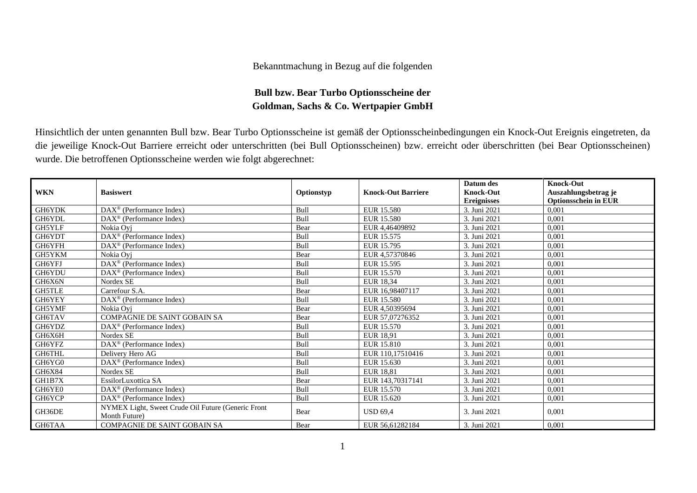## Bekanntmachung in Bezug auf die folgenden

## **Bull bzw. Bear Turbo Optionsscheine der Goldman, Sachs & Co. Wertpapier GmbH**

Hinsichtlich der unten genannten Bull bzw. Bear Turbo Optionsscheine ist gemäß der Optionsscheinbedingungen ein Knock-Out Ereignis eingetreten, da die jeweilige Knock-Out Barriere erreicht oder unterschritten (bei Bull Optionsscheinen) bzw. erreicht oder überschritten (bei Bear Optionsscheinen) wurde. Die betroffenen Optionsscheine werden wie folgt abgerechnet:

|               |                                                    |             |                           | Datum des          | <b>Knock-Out</b>            |
|---------------|----------------------------------------------------|-------------|---------------------------|--------------------|-----------------------------|
| <b>WKN</b>    | <b>Basiswert</b>                                   | Optionstyp  | <b>Knock-Out Barriere</b> | <b>Knock-Out</b>   | Auszahlungsbetrag je        |
|               |                                                    |             |                           | <b>Ereignisses</b> | <b>Optionsschein in EUR</b> |
| GH6YDK        | DAX <sup>®</sup> (Performance Index)               | <b>Bull</b> | EUR 15.580                | 3. Juni 2021       | 0.001                       |
| GH6YDL        | $DAX^{\circledast}$ (Performance Index)            | Bull        | EUR 15.580                | 3. Juni 2021       | 0,001                       |
| <b>GH5YLF</b> | Nokia Ovi                                          | Bear        | EUR 4.46409892            | 3. Juni 2021       | 0,001                       |
| GH6YDT        | DAX <sup>®</sup> (Performance Index)               | Bull        | EUR 15.575                | 3. Juni 2021       | 0,001                       |
| GH6YFH        | DAX <sup>®</sup> (Performance Index)               | Bull        | EUR 15.795                | 3. Juni 2021       | 0,001                       |
| GH5YKM        | Nokia Ovi                                          | Bear        | EUR 4.57370846            | 3. Juni 2021       | 0.001                       |
| GH6YFJ        | $DAX^{\circledast}$ (Performance Index)            | Bull        | EUR 15.595                | 3. Juni 2021       | 0,001                       |
| GH6YDU        | $DAX^{\circledR}$ (Performance Index)              | Bull        | EUR 15.570                | 3. Juni 2021       | 0,001                       |
| GH6X6N        | Nordex SE                                          | Bull        | EUR 18.34                 | 3. Juni 2021       | 0,001                       |
| <b>GH5TLE</b> | Carrefour S.A.                                     | Bear        | EUR 16,98407117           | 3. Juni 2021       | 0,001                       |
| GH6YEY        | DAX <sup>®</sup> (Performance Index)               | Bull        | EUR 15.580                | 3. Juni 2021       | 0.001                       |
| GH5YMF        | Nokia Ovi                                          | Bear        | EUR 4,50395694            | 3. Juni 2021       | 0,001                       |
| GH6TAV        | COMPAGNIE DE SAINT GOBAIN SA                       | Bear        | EUR 57,07276352           | 3. Juni 2021       | 0,001                       |
| GH6YDZ        | $DAX^{\circledast}$ (Performance Index)            | <b>Bull</b> | EUR 15.570                | 3. Juni 2021       | 0,001                       |
| GH6X6H        | Nordex SE                                          | Bull        | EUR 18,91                 | 3. Juni 2021       | 0,001                       |
| GH6YFZ        | DAX <sup>®</sup> (Performance Index)               | Bull        | EUR 15.810                | 3. Juni 2021       | 0,001                       |
| <b>GH6THL</b> | Delivery Hero AG                                   | Bull        | EUR 110,17510416          | 3. Juni 2021       | 0,001                       |
| GH6YG0        | DAX <sup>®</sup> (Performance Index)               | Bull        | EUR 15.630                | 3. Juni 2021       | 0.001                       |
| <b>GH6X84</b> | Nordex SE                                          | Bull        | EUR 18,81                 | 3. Juni 2021       | 0,001                       |
| GH1B7X        | EssilorLuxottica SA                                | Bear        | EUR 143,70317141          | 3. Juni 2021       | 0,001                       |
| GH6YE0        | DAX <sup>®</sup> (Performance Index)               | Bull        | EUR 15.570                | 3. Juni 2021       | 0,001                       |
| GH6YCP        | $\text{DAX}^{\circledast}$ (Performance Index)     | Bull        | EUR 15.620                | 3. Juni 2021       | 0,001                       |
| GH36DE        | NYMEX Light, Sweet Crude Oil Future (Generic Front | Bear        | <b>USD 69.4</b>           | 3. Juni 2021       | 0,001                       |
|               | Month Future)                                      |             |                           |                    |                             |
| GH6TAA        | <b>COMPAGNIE DE SAINT GOBAIN SA</b>                | Bear        | EUR 56,61282184           | 3. Juni 2021       | 0,001                       |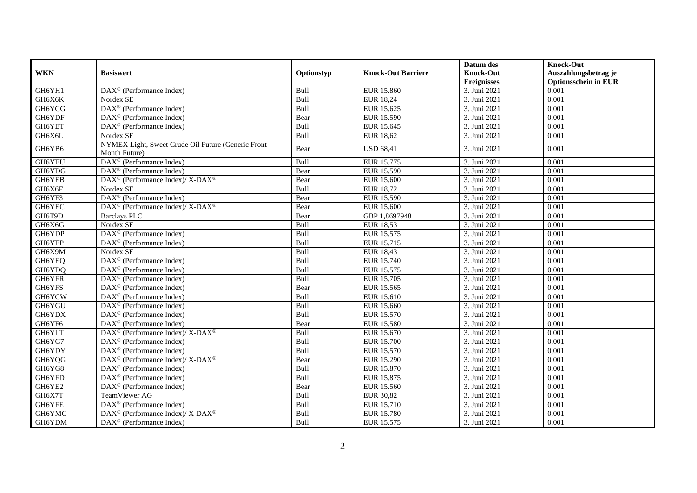|            |                                                                                         |             |                           | Datum des          | <b>Knock-Out</b>            |
|------------|-----------------------------------------------------------------------------------------|-------------|---------------------------|--------------------|-----------------------------|
| <b>WKN</b> | <b>Basiswert</b>                                                                        | Optionstyp  | <b>Knock-Out Barriere</b> | <b>Knock-Out</b>   | Auszahlungsbetrag je        |
|            |                                                                                         |             |                           | <b>Ereignisses</b> | <b>Optionsschein in EUR</b> |
| GH6YH1     | $\overline{\text{DAX}}^{\textcirc}$ (Performance Index)                                 | Bull        | <b>EUR 15.860</b>         | 3. Juni 2021       | 0,001                       |
| GH6X6K     | Nordex SE                                                                               | Bull        | <b>EUR 18,24</b>          | 3. Juni 2021       | 0,001                       |
| GH6YCG     | $DAX^{\circledR}$ (Performance Index)                                                   | <b>Bull</b> | EUR 15.625                | 3. Juni 2021       | 0.001                       |
| GH6YDF     | DAX <sup>®</sup> (Performance Index)                                                    | Bear        | EUR 15.590                | 3. Juni 2021       | 0,001                       |
| GH6YET     | DAX <sup>®</sup> (Performance Index)                                                    | Bull        | EUR 15.645                | 3. Juni 2021       | 0,001                       |
| GH6X6L     | Nordex SE                                                                               | Bull        | <b>EUR 18,62</b>          | 3. Juni 2021       | 0,001                       |
| GH6YB6     | NYMEX Light, Sweet Crude Oil Future (Generic Front<br>Month Future)                     | Bear        | <b>USD 68,41</b>          | 3. Juni 2021       | 0,001                       |
| GH6YEU     | DAX <sup>®</sup> (Performance Index)                                                    | <b>Bull</b> | EUR 15.775                | 3. Juni 2021       | 0.001                       |
| GH6YDG     | DAX <sup>®</sup> (Performance Index)                                                    | Bear        | EUR 15.590                | 3. Juni 2021       | 0,001                       |
| GH6YEB     | DAX <sup>®</sup> (Performance Index)/ X-DAX <sup>®</sup>                                | Bear        | <b>EUR 15.600</b>         | 3. Juni 2021       | 0,001                       |
| GH6X6F     | Nordex SE                                                                               | Bull        | <b>EUR 18,72</b>          | 3. Juni 2021       | 0,001                       |
| GH6YF3     | DAX <sup>®</sup> (Performance Index)                                                    | Bear        | EUR 15.590                | 3. Juni 2021       | 0,001                       |
| GH6YEC     | DAX <sup>®</sup> (Performance Index)/ X-DAX <sup>®</sup>                                | Bear        | <b>EUR 15.600</b>         | 3. Juni 2021       | 0,001                       |
| GH6T9D     | <b>Barclays PLC</b>                                                                     | Bear        | GBP 1.8697948             | 3. Juni 2021       | 0.001                       |
| GH6X6G     | Nordex SE                                                                               | Bull        | <b>EUR 18,53</b>          | 3. Juni 2021       | 0,001                       |
| GH6YDP     | DAX <sup>®</sup> (Performance Index)                                                    | Bull        | EUR 15.575                | 3. Juni 2021       | 0,001                       |
| GH6YEP     | $DAX^{\circledast}$ (Performance Index)                                                 | Bull        | EUR 15.715                | 3. Juni 2021       | 0,001                       |
| GH6X9M     | Nordex SE                                                                               | Bull        | EUR 18,43                 | 3. Juni 2021       | 0,001                       |
| GH6YEQ     | $\overline{\text{DAX}^{\otimes}}$ (Performance Index)                                   | Bull        | EUR 15.740                | 3. Juni 2021       | 0,001                       |
| GH6YDQ     | $DAX^{\circledR}$ (Performance Index)                                                   | Bull        | EUR 15.575                | 3. Juni 2021       | 0.001                       |
| GH6YFR     | $DAX^{\circledR}$ (Performance Index)                                                   | Bull        | <b>EUR 15.705</b>         | 3. Juni 2021       | 0,001                       |
| GH6YFS     | $\text{DAX}^{\textcircled{}}$ (Performance Index)                                       | Bear        | EUR 15.565                | 3. Juni 2021       | 0,001                       |
| GH6YCW     | DAX <sup>®</sup> (Performance Index)                                                    | Bull        | EUR 15.610                | 3. Juni 2021       | 0,001                       |
| GH6YGU     | DAX <sup>®</sup> (Performance Index)                                                    | Bull        | EUR 15.660                | 3. Juni 2021       | 0,001                       |
| GH6YDX     | DAX <sup>®</sup> (Performance Index)                                                    | Bull        | EUR 15.570                | 3. Juni 2021       | 0,001                       |
| GH6YF6     | $\overline{\text{DAX}^{\otimes}}$ (Performance Index)                                   | Bear        | EUR 15.580                | 3. Juni 2021       | 0,001                       |
| GH6YLT     | $\text{DAX}^{\circledast}$ (Performance Index)/ $\overline{\text{X-DAX}^{\circledast}}$ | Bull        | EUR 15.670                | 3. Juni 2021       | 0,001                       |
| GH6YG7     | $DAX^{\circledR}$ (Performance Index)                                                   | Bull        | <b>EUR 15.700</b>         | 3. Juni 2021       | 0,001                       |
| GH6YDY     | $DAX^{\circledcirc}$ (Performance Index)                                                | Bull        | EUR 15.570                | 3. Juni 2021       | 0,001                       |
| GH6YQG     | DAX <sup>®</sup> (Performance Index)/ X-DAX <sup>®</sup>                                | Bear        | EUR 15.290                | 3. Juni 2021       | 0,001                       |
| GH6YG8     | $DAX^{\circledast}$ (Performance Index)                                                 | Bull        | <b>EUR 15.870</b>         | 3. Juni 2021       | 0,001                       |
| GH6YFD     | $DAX^{\circledcirc}$ (Performance Index)                                                | Bull        | EUR 15.875                | 3. Juni 2021       | 0.001                       |
| GH6YE2     | $\overline{\text{DAX}}^{\textcirc}$ (Performance Index)                                 | Bear        | EUR 15.560                | 3. Juni 2021       | 0,001                       |
| GH6X7T     | TeamViewer AG                                                                           | Bull        | <b>EUR 30,82</b>          | 3. Juni 2021       | 0,001                       |
| GH6YFE     | $DAX^{\circledast}$ (Performance Index)                                                 | Bull        | EUR 15.710                | 3. Juni 2021       | 0,001                       |
| GH6YMG     | DAX <sup>®</sup> (Performance Index)/ X-DAX <sup>®</sup>                                | Bull        | EUR 15.780                | 3. Juni 2021       | 0,001                       |
| GH6YDM     | $DAX^{\circledast}$ (Performance Index)                                                 | Bull        | EUR 15.575                | 3. Juni 2021       | 0,001                       |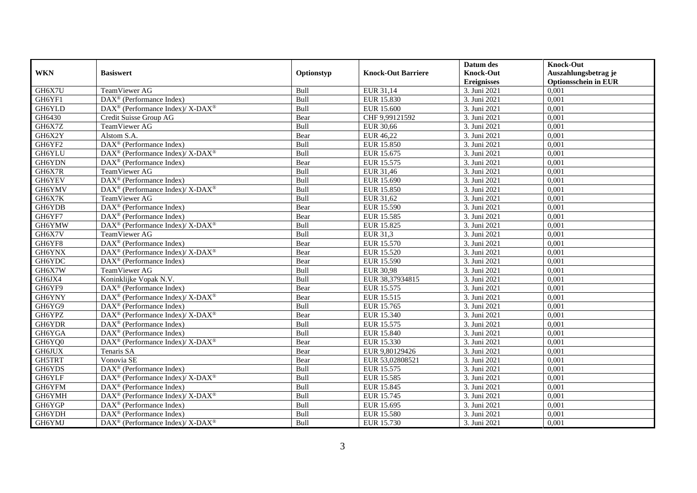|            |                                                                                         |             |                           | Datum des          | <b>Knock-Out</b>            |
|------------|-----------------------------------------------------------------------------------------|-------------|---------------------------|--------------------|-----------------------------|
| <b>WKN</b> | <b>Basiswert</b>                                                                        | Optionstyp  | <b>Knock-Out Barriere</b> | <b>Knock-Out</b>   | Auszahlungsbetrag je        |
|            |                                                                                         |             |                           | <b>Ereignisses</b> | <b>Optionsschein in EUR</b> |
| GH6X7U     | TeamViewer AG                                                                           | Bull        | EUR 31,14                 | 3. Juni 2021       | 0,001                       |
| GH6YF1     | $\text{DAX}^{\textcircled{n}}$ (Performance Index)                                      | Bull        | EUR 15.830                | 3. Juni 2021       | 0,001                       |
| GH6YLD     | DAX <sup>®</sup> (Performance Index)/ X-DAX <sup>®</sup>                                | Bull        | EUR 15.600                | 3. Juni 2021       | 0,001                       |
| GH6430     | Credit Suisse Group AG                                                                  | Bear        | CHF 9.99121592            | 3. Juni 2021       | 0.001                       |
| GH6X7Z     | TeamViewer AG                                                                           | Bull        | <b>EUR 30,66</b>          | 3. Juni 2021       | 0,001                       |
| GH6X2Y     | Alstom S.A.                                                                             | Bear        | EUR 46,22                 | 3. Juni 2021       | 0,001                       |
| GH6YF2     | $\overline{\text{DAX}^{\otimes}}$ (Performance Index)                                   | Bull        | EUR 15.850                | 3. Juni 2021       | 0,001                       |
| GH6YLU     | DAX <sup>®</sup> (Performance Index)/ X-DAX <sup>®</sup>                                | Bull        | EUR 15.675                | 3. Juni 2021       | 0,001                       |
| GH6YDN     | $DAX^{\circledast}$ (Performance Index)                                                 | Bear        | EUR 15.575                | 3. Juni 2021       | 0,001                       |
| GH6X7R     | TeamViewer AG                                                                           | Bull        | EUR 31,46                 | 3. Juni 2021       | 0,001                       |
| GH6YEV     | $DAX^{\circledR}$ (Performance Index)                                                   | Bull        | EUR 15.690                | 3. Juni 2021       | 0,001                       |
| GH6YMV     | $DAX^{\circledast}$ (Performance Index)/ $\overline{X-DAX^{\circledast}}$               | Bull        | <b>EUR 15.850</b>         | 3. Juni 2021       | 0,001                       |
| GH6X7K     | TeamViewer AG                                                                           | Bull        | EUR 31,62                 | 3. Juni 2021       | 0,001                       |
| GH6YDB     | $DAX^{\circledR}$ (Performance Index)                                                   | Bear        | EUR 15.590                | 3. Juni 2021       | 0,001                       |
| GH6YF7     | $DAX^{\circledast}$ (Performance Index)                                                 | Bear        | EUR 15.585                | 3. Juni 2021       | 0,001                       |
| GH6YMW     | DAX <sup>®</sup> (Performance Index)/ X-DAX <sup>®</sup>                                | Bull        | EUR 15.825                | 3. Juni 2021       | 0,001                       |
| GH6X7V     | <b>TeamViewer AG</b>                                                                    | Bull        | EUR 31,3                  | 3. Juni 2021       | 0,001                       |
| GH6YF8     | $DAX^{\circledcirc}$ (Performance Index)                                                | Bear        | EUR 15.570                | 3. Juni 2021       | 0,001                       |
| GH6YNX     | $\text{DAX}^{\circledast}$ (Performance Index)/ $\overline{\text{X-DAX}^{\circledast}}$ | Bear        | EUR 15.520                | 3. Juni 2021       | 0,001                       |
| GH6YDC     | $DAX^{\circledR}$ (Performance Index)                                                   | Bear        | EUR 15.590                | 3. Juni 2021       | 0,001                       |
| GH6X7W     | TeamViewer AG                                                                           | Bull        | <b>EUR 30,98</b>          | 3. Juni $2021$     | 0,001                       |
| GH6JX4     | Koninklijke Vopak N.V.                                                                  | Bull        | EUR 38,37934815           | 3. Juni 2021       | 0,001                       |
| GH6YF9     | DAX <sup>®</sup> (Performance Index)                                                    | Bear        | EUR 15.575                | 3. Juni 2021       | 0,001                       |
| GH6YNY     | DAX <sup>®</sup> (Performance Index)/ X-DAX <sup>®</sup>                                | Bear        | EUR 15.515                | 3. Juni 2021       | 0,001                       |
| GH6YG9     | $\text{DAX}^{\circledR}$ (Performance Index)                                            | <b>Bull</b> | EUR 15.765                | 3. Juni 2021       | 0.001                       |
| GH6YPZ     | DAX <sup>®</sup> (Performance Index)/ X-DAX <sup>®</sup>                                | Bear        | EUR 15.340                | 3. Juni 2021       | 0,001                       |
| GH6YDR     | DAX <sup>®</sup> (Performance Index)                                                    | Bull        | EUR 15.575                | 3. Juni 2021       | 0,001                       |
| GH6YGA     | $DAX^{\circledR}$ (Performance Index)                                                   | Bull        | EUR 15.840                | 3. Juni 2021       | 0,001                       |
| GH6YQ0     | DAX <sup>®</sup> (Performance Index)/ X-DAX <sup>®</sup>                                | Bear        | EUR 15.330                | 3. Juni 2021       | 0,001                       |
| GH6JUX     | Tenaris SA                                                                              | Bear        | EUR 9,80129426            | 3. Juni 2021       | 0,001                       |
| GH5TRT     | Vonovia SE                                                                              | Bear        | EUR 53,02808521           | 3. Juni 2021       | 0,001                       |
| GH6YDS     | DAX <sup>®</sup> (Performance Index)                                                    | Bull        | EUR 15.575                | 3. Juni 2021       | 0.001                       |
| GH6YLF     | $DAX^{\circledast}$ (Performance Index)/ $\overline{X-DAX^{\circledast}}$               | Bull        | EUR 15.585                | 3. Juni 2021       | 0,001                       |
| GH6YFM     | $\text{DAX}^{\textcircled{}}$ (Performance Index)                                       | Bull        | <b>EUR 15.845</b>         | 3. Juni 2021       | 0,001                       |
| GH6YMH     | DAX <sup>®</sup> (Performance Index)/ X-DAX <sup>®</sup>                                | Bull        | EUR 15.745                | 3. Juni 2021       | 0,001                       |
| GH6YGP     | $DAX^{\circledR}$ (Performance Index)                                                   | Bull        | EUR 15.695                | 3. Juni 2021       | 0,001                       |
| GH6YDH     | DAX <sup>®</sup> (Performance Index)                                                    | Bull        | EUR 15.580                | 3. Juni 2021       | 0,001                       |
| GH6YMJ     | DAX <sup>®</sup> (Performance Index)/X-DAX <sup>®</sup>                                 | Bull        | EUR 15.730                | 3. Juni 2021       | 0,001                       |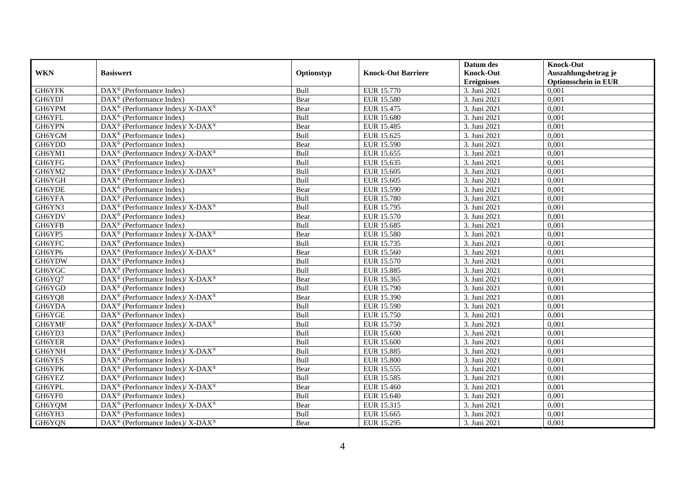|            |                                                                                         |            |                           | Datum des          | <b>Knock-Out</b>            |
|------------|-----------------------------------------------------------------------------------------|------------|---------------------------|--------------------|-----------------------------|
| <b>WKN</b> | <b>Basiswert</b>                                                                        | Optionstyp | <b>Knock-Out Barriere</b> | <b>Knock-Out</b>   | Auszahlungsbetrag je        |
|            |                                                                                         |            |                           | <b>Ereignisses</b> | <b>Optionsschein in EUR</b> |
| GH6YFK     | $\overline{\text{DAX}}^{\textcirc}$ (Performance Index)                                 | Bull       | EUR 15.770                | 3. Juni 2021       | 0,001                       |
| GH6YDJ     | $DAX^{\circledR}$ (Performance Index)                                                   | Bear       | <b>EUR 15.580</b>         | 3. Juni 2021       | 0,001                       |
| GH6YPM     | DAX <sup>®</sup> (Performance Index)/X-DAX <sup>®</sup>                                 | Bear       | EUR 15.475                | 3. Juni 2021       | 0,001                       |
| GH6YFL     | $DAX^{\circledast}$ (Performance Index)                                                 | Bull       | EUR 15.680                | 3. Juni 2021       | 0,001                       |
| GH6YPN     | $DAX^{\circledast}$ (Performance Index)/ $\overline{X-DAX^{\circledast}}$               | Bear       | EUR 15.485                | 3. Juni 2021       | 0,001                       |
| GH6YGM     | $DAX^{\circledR}$ (Performance Index)                                                   | Bull       | EUR 15.625                | 3. Juni 2021       | 0,001                       |
| GH6YDD     | $\text{DAX}^{\textcircled{}}$ (Performance Index)                                       | Bear       | EUR 15.590                | 3. Juni 2021       | 0,001                       |
| GH6YM1     | DAX <sup>®</sup> (Performance Index)/X-DAX <sup>®</sup>                                 | Bull       | EUR 15.655                | 3. Juni 2021       | 0,001                       |
| GH6YFG     | $DAX^{\circledR}$ (Performance Index)                                                   | Bull       | EUR 15.635                | 3. Juni 2021       | 0,001                       |
| GH6YM2     | DAX <sup>®</sup> (Performance Index)/ X-DAX <sup>®</sup>                                | Bull       | EUR 15.605                | 3. Juni 2021       | 0,001                       |
| GH6YGH     | $DAX^{\circledast}$ (Performance Index)                                                 | Bull       | EUR 15.605                | 3. Juni 2021       | 0,001                       |
| GH6YDE     | DAX <sup>®</sup> (Performance Index)                                                    | Bear       | EUR 15.590                | 3. Juni 2021       | 0,001                       |
| GH6YFA     | $DAX^{\circledast}$ (Performance Index)                                                 | Bull       | EUR 15.780                | 3. Juni 2021       | 0,001                       |
| GH6YN3     | $\text{DAX}^{\circledast}$ (Performance Index)/ X-DAX <sup>®</sup>                      | Bull       | EUR 15.795                | 3. Juni 2021       | 0,001                       |
| GH6YDV     | DAX <sup>®</sup> (Performance Index)                                                    | Bear       | EUR 15.570                | 3. Juni 2021       | 0,001                       |
| GH6YFB     | DAX <sup>®</sup> (Performance Index)                                                    | Bull       | EUR 15.685                | 3. Juni 2021       | 0,001                       |
| GH6YP5     | DAX <sup>®</sup> (Performance Index)/ X-DAX <sup>®</sup>                                | Bear       | <b>EUR 15.580</b>         | 3. Juni 2021       | 0,001                       |
| GH6YFC     | $\overline{\text{DAX}^{\otimes}}$ (Performance Index)                                   | Bull       | EUR 15.735                | 3. Juni 2021       | 0,001                       |
| GH6YP6     | DAX <sup>®</sup> (Performance Index)/X-DAX <sup>®</sup>                                 | Bear       | EUR 15.560                | 3. Juni 2021       | 0,001                       |
| GH6YDW     | $\text{DAX}^{\textcircled{}}$ (Performance Index)                                       | Bull       | EUR 15.570                | 3. Juni 2021       | 0,001                       |
| GH6YGC     | DAX <sup>®</sup> (Performance Index)                                                    | Bull       | EUR 15.885                | 3. Juni 2021       | 0,001                       |
| GH6YQ7     | $DAX^{\circledast}$ (Performance Index)/ $\overline{X-DAX^{\circledast}}$               | Bear       | EUR 15.365                | 3. Juni 2021       | 0,001                       |
| GH6YGD     | $\overline{\text{DAX}}^{\textcirc}$ (Performance Index)                                 | Bull       | <b>EUR 15.790</b>         | 3. Juni 2021       | 0,001                       |
| GH6YQ8     | DAX <sup>®</sup> (Performance Index)/ X-DAX <sup>®</sup>                                | Bear       | EUR 15.390                | 3. Juni 2021       | 0,001                       |
| GH6YDA     | $DAX^{\circledR}$ (Performance Index)                                                   | Bull       | EUR 15.590                | 3. Juni 2021       | 0,001                       |
| GH6YGE     | $DAX^{\circledast}$ (Performance Index)                                                 | Bull       | EUR 15.750                | 3. Juni 2021       | 0,001                       |
| GH6YMF     | DAX <sup>®</sup> (Performance Index)/X-DAX <sup>®</sup>                                 | Bull       | EUR 15.750                | 3. Juni 2021       | 0,001                       |
| GH6YD3     | DAX <sup>®</sup> (Performance Index)                                                    | Bull       | EUR 15.600                | 3. Juni 2021       | 0,001                       |
| GH6YER     | $\text{DAX}^{\textcircled{}}$ (Performance Index)                                       | Bull       | EUR 15.600                | 3. Juni 2021       | 0,001                       |
| GH6YNH     | $DAX^{\circledcirc}$ (Performance Index)/X-DAX <sup>®</sup>                             | Bull       | EUR 15.885                | 3. Juni 2021       | 0.001                       |
| GH6YES     | $DAX^{\circledR}$ (Performance Index)                                                   | Bull       | <b>EUR 15.800</b>         | 3. Juni 2021       | 0,001                       |
| GH6YPK     | $\text{DAX}^{\circledast}$ (Performance Index)/ $\overline{\text{X-DAX}^{\circledast}}$ | Bear       | EUR 15.555                | 3. Juni 2021       | 0,001                       |
| GH6YEZ     | $DAX^{\circledR}$ (Performance Index)                                                   | Bull       | EUR 15.585                | 3. Juni 2021       | 0,001                       |
| GH6YPL     | DAX <sup>®</sup> (Performance Index)/ X-DAX <sup>®</sup>                                | Bear       | EUR 15.460                | 3. Juni 2021       | 0,001                       |
| GH6YF0     | $\text{DAX}^{\textcircled{n}}$ (Performance Index)                                      | Bull       | EUR 15.640                | 3. Juni 2021       | 0,001                       |
| GH6YQM     | DAX <sup>®</sup> (Performance Index)/X-DAX <sup>®</sup>                                 | Bear       | EUR 15.315                | 3. Juni 2021       | 0,001                       |
| GH6YH3     | DAX <sup>®</sup> (Performance Index)                                                    | Bull       | EUR 15.665                | 3. Juni 2021       | 0,001                       |
| GH6YQN     | DAX <sup>®</sup> (Performance Index)/X-DAX <sup>®</sup>                                 | Bear       | EUR 15.295                | 3. Juni 2021       | 0,001                       |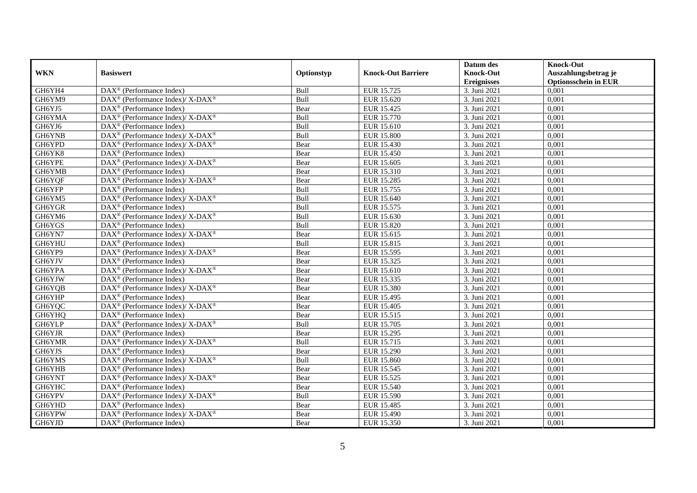|               |                                                                           |             |                           | Datum des          | <b>Knock-Out</b>            |
|---------------|---------------------------------------------------------------------------|-------------|---------------------------|--------------------|-----------------------------|
| <b>WKN</b>    | <b>Basiswert</b>                                                          | Optionstyp  | <b>Knock-Out Barriere</b> | <b>Knock-Out</b>   | Auszahlungsbetrag je        |
|               |                                                                           |             |                           | <b>Ereignisses</b> | <b>Optionsschein in EUR</b> |
| GH6YH4        | DAX <sup>®</sup> (Performance Index)                                      | Bull        | EUR 15.725                | 3. Juni 2021       | 0,001                       |
| GH6YM9        | DAX <sup>®</sup> (Performance Index)/ X-DAX <sup>®</sup>                  | Bull        | EUR 15.620                | 3. Juni 2021       | 0,001                       |
| GH6YJ5        | $DAX^{\circledR}$ (Performance Index)                                     | Bear        | EUR 15.425                | 3. Juni 2021       | 0,001                       |
| GH6YMA        | DAX <sup>®</sup> (Performance Index)/ X-DAX <sup>®</sup>                  | Bull        | EUR 15.770                | 3. Juni 2021       | 0,001                       |
| GH6YJ6        | $\overline{\text{DAX}}^{\textcirc}$ (Performance Index)                   | Bull        | EUR 15.610                | 3. Juni 2021       | 0,001                       |
| <b>GH6YNB</b> | DAX <sup>®</sup> (Performance Index)/ X-DAX <sup>®</sup>                  | Bull        | <b>EUR 15.800</b>         | 3. Juni 2021       | 0,001                       |
| GH6YPD        | DAX <sup>®</sup> (Performance Index)/X-DAX <sup>®</sup>                   | Bear        | EUR 15.430                | 3. Juni 2021       | 0,001                       |
| GH6YK8        | $DAX^{\circledR}$ (Performance Index)                                     | Bear        | <b>EUR 15.450</b>         | 3. Juni 2021       | 0,001                       |
| GH6YPE        | DAX <sup>®</sup> (Performance Index)/ X-DAX <sup>®</sup>                  | Bear        | EUR 15.605                | 3. Juni 2021       | 0,001                       |
| GH6YMB        | DAX <sup>®</sup> (Performance Index)                                      | Bear        | EUR 15.310                | 3. Juni 2021       | 0.001                       |
| GH6YQF        | DAX <sup>®</sup> (Performance Index)/ X-DAX <sup>®</sup>                  | Bear        | <b>EUR 15.285</b>         | 3. Juni 2021       | 0,001                       |
| GH6YFP        | $\text{DAX}^{\textcircled{}}$ (Performance Index)                         | Bull        | EUR 15.755                | 3. Juni 2021       | 0,001                       |
| GH6YM5        | $DAX^{\circledast}$ (Performance Index)/ $\overline{X-DAX^{\circledast}}$ | Bull        | EUR 15.640                | 3. Juni 2021       | 0,001                       |
| GH6YGR        | $DAX^{\circledcirc}$ (Performance Index)                                  | <b>Bull</b> | EUR 15.575                | 3. Juni 2021       | 0.001                       |
| GH6YM6        | DAX <sup>®</sup> (Performance Index)/ X-DAX <sup>®</sup>                  | Bull        | EUR 15.630                | 3. Juni 2021       | 0,001                       |
| GH6YGS        | $\overline{\text{DAX}^{\otimes}}$ (Performance Index)                     | Bull        | <b>EUR 15.820</b>         | 3. Juni 2021       | 0,001                       |
| GH6YN7        | DAX <sup>®</sup> (Performance Index)/ X-DAX <sup>®</sup>                  | Bear        | EUR 15.615                | 3. Juni 2021       | 0,001                       |
| GH6YHU        | $DAX^{\circledast}$ (Performance Index)                                   | Bull        | EUR 15.815                | 3. Juni 2021       | 0,001                       |
| GH6YP9        | DAX <sup>®</sup> (Performance Index)/X-DAX <sup>®</sup>                   | Bear        | EUR 15.595                | 3. Juni 2021       | 0,001                       |
| GH6YJV        | $DAX^{\circledast}$ (Performance Index)                                   | Bear        | EUR 15.325                | 3. Juni 2021       | 0,001                       |
| GH6YPA        | DAX <sup>®</sup> (Performance Index)/ X-DAX <sup>®</sup>                  | Bear        | EUR 15.610                | 3. Juni 2021       | 0,001                       |
| GH6YJW        | $DAX^{\circledR}$ (Performance Index)                                     | Bear        | EUR 15.335                | 3. Juni 2021       | 0,001                       |
| GH6YQB        | $DAX^{\circledast}$ (Performance Index)/ X-DAX <sup>®</sup>               | Bear        | <b>EUR 15.380</b>         | 3. Juni 2021       | 0,001                       |
| GH6YHP        | $\text{DAX}^{\textcircled{}}$ (Performance Index)                         | Bear        | EUR 15.495                | 3. Juni 2021       | 0,001                       |
| GH6YQC        | $\text{DAX}^{\circledast}$ (Performance Index)/ X-DAX <sup>®</sup>        | Bear        | <b>EUR 15.405</b>         | 3. Juni 2021       | 0,001                       |
| GH6YHQ        | DAX <sup>®</sup> (Performance Index)                                      | Bear        | EUR 15.515                | 3. Juni 2021       | 0,001                       |
| GH6YLP        | DAX <sup>®</sup> (Performance Index)/ X-DAX <sup>®</sup>                  | Bull        | EUR 15.705                | 3. Juni 2021       | 0,001                       |
| GH6YJR        | DAX <sup>®</sup> (Performance Index)                                      | Bear        | EUR 15.295                | 3. Juni 2021       | 0,001                       |
| GH6YMR        | DAX <sup>®</sup> (Performance Index)/X-DAX <sup>®</sup>                   | Bull        | EUR 15.715                | 3. Juni 2021       | 0,001                       |
| GH6YJS        | $DAX^{\circledast}$ (Performance Index)                                   | Bear        | EUR 15.290                | 3. Juni 2021       | 0,001                       |
| GH6YMS        | DAX <sup>®</sup> (Performance Index)/ X-DAX <sup>®</sup>                  | Bull        | EUR 15.860                | 3. Juni 2021       | 0,001                       |
| GH6YHB        | DAX <sup>®</sup> (Performance Index)                                      | Bear        | EUR 15.545                | 3. Juni 2021       | 0,001                       |
| GH6YNT        | DAX <sup>®</sup> (Performance Index)/X-DAX <sup>®</sup>                   | Bear        | EUR 15.525                | 3. Juni 2021       | 0,001                       |
| GH6YHC        | DAX <sup>®</sup> (Performance Index)                                      | Bear        | EUR 15.540                | 3. Juni 2021       | 0,001                       |
| GH6YPV        | DAX <sup>®</sup> (Performance Index)/X-DAX <sup>®</sup>                   | Bull        | EUR 15.590                | 3. Juni 2021       | 0,001                       |
| GH6YHD        | $DAX^{\circledast}$ (Performance Index)                                   | Bear        | EUR 15.485                | 3. Juni 2021       | 0,001                       |
| GH6YPW        | DAX <sup>®</sup> (Performance Index)/ X-DAX <sup>®</sup>                  | Bear        | EUR 15.490                | 3. Juni 2021       | 0,001                       |
| GH6YJD        | $\text{DAX}^{\textcircled{}}$ (Performance Index)                         | Bear        | EUR 15.350                | 3. Juni 2021       | 0,001                       |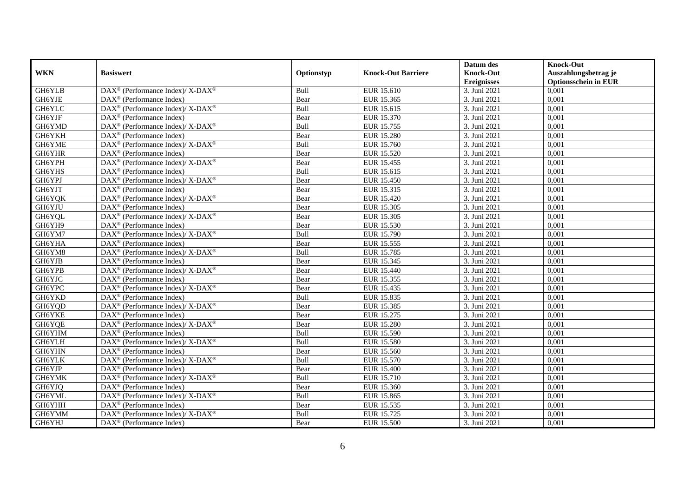|               |                                                                           |            |                           | Datum des          | <b>Knock-Out</b>            |
|---------------|---------------------------------------------------------------------------|------------|---------------------------|--------------------|-----------------------------|
| <b>WKN</b>    | <b>Basiswert</b>                                                          | Optionstyp | <b>Knock-Out Barriere</b> | <b>Knock-Out</b>   | Auszahlungsbetrag je        |
|               |                                                                           |            |                           | <b>Ereignisses</b> | <b>Optionsschein in EUR</b> |
| GH6YLB        | DAX <sup>®</sup> (Performance Index)/ X-DAX <sup>®</sup>                  | Bull       | EUR 15.610                | 3. Juni 2021       | 0,001                       |
| GH6YJE        | $DAX^{\circledR}$ (Performance Index)                                     | Bear       | EUR 15.365                | 3. Juni 2021       | 0,001                       |
| GH6YLC        | DAX <sup>®</sup> (Performance Index)/X-DAX <sup>®</sup>                   | Bull       | EUR 15.615                | 3. Juni 2021       | 0,001                       |
| GH6YJF        | $DAX^{\circledast}$ (Performance Index)                                   | Bear       | EUR 15.370                | 3. Juni 2021       | 0,001                       |
| GH6YMD        | DAX <sup>®</sup> (Performance Index)/ X-DAX <sup>®</sup>                  | Bull       | EUR 15.755                | 3. Juni 2021       | 0,001                       |
| GH6YKH        | $DAX^{\circledast}$ (Performance Index)                                   | Bear       | <b>EUR 15.280</b>         | 3. Juni 2021       | 0,001                       |
| GH6YME        | DAX <sup>®</sup> (Performance Index)/ X-DAX <sup>®</sup>                  | Bull       | EUR 15.760                | 3. Juni 2021       | 0,001                       |
| GH6YHR        | $DAX^{\circledR}$ (Performance Index)                                     | Bear       | EUR 15.520                | 3. Juni 2021       | 0,001                       |
| GH6YPH        | DAX <sup>®</sup> (Performance Index)/X-DAX <sup>®</sup>                   | Bear       | EUR 15.455                | 3. Juni 2021       | 0,001                       |
| GH6YHS        | $DAX^{\circledR}$ (Performance Index)                                     | Bull       | EUR 15.615                | 3. Juni 2021       | 0,001                       |
| GH6YPJ        | DAX <sup>®</sup> (Performance Index)/ X-DAX <sup>®</sup>                  | Bear       | <b>EUR 15.450</b>         | 3. Juni 2021       | 0,001                       |
| GH6YJT        | $\overline{\text{DAX}^{\otimes}}$ (Performance Index)                     | Bear       | EUR 15.315                | 3. Juni 2021       | 0,001                       |
| GH6YQK        | DAX <sup>®</sup> (Performance Index)/X-DAX <sup>®</sup>                   | Bear       | <b>EUR 15.420</b>         | 3. Juni 2021       | 0,001                       |
| GH6YJU        | $DAX^{\circledast}$ (Performance Index)                                   | Bear       | EUR 15.305                | 3. Juni 2021       | 0,001                       |
| GH6YQL        | DAX <sup>®</sup> (Performance Index)/ X-DAX <sup>®</sup>                  | Bear       | EUR 15.305                | 3. Juni 2021       | 0,001                       |
| GH6YH9        | DAX <sup>®</sup> (Performance Index)                                      | Bear       | EUR 15.530                | 3. Juni 2021       | 0,001                       |
| GH6YM7        | DAX <sup>®</sup> (Performance Index)/ X-DAX <sup>®</sup>                  | Bull       | EUR 15.790                | 3. Juni 2021       | 0,001                       |
| GH6YHA        | $DAX^{\circledR}$ (Performance Index)                                     | Bear       | EUR 15.555                | 3. Juni 2021       | 0,001                       |
| GH6YM8        | DAX <sup>®</sup> (Performance Index)/ X-DAX <sup>®</sup>                  | Bull       | <b>EUR 15.785</b>         | 3. Juni 2021       | 0,001                       |
| GH6YJB        | $DAX^{\circledast}$ (Performance Index)                                   | Bear       | EUR 15.345                | 3. Juni 2021       | 0,001                       |
| GH6YPB        | DAX <sup>®</sup> (Performance Index)/ X-DAX <sup>®</sup>                  | Bear       | EUR 15.440                | 3. Juni 2021       | 0,001                       |
| GH6YJC        | $DAX^{\circledR}$ (Performance Index)                                     | Bear       | EUR 15.355                | 3. Juni 2021       | 0,001                       |
| GH6YPC        | DAX <sup>®</sup> (Performance Index)/ X-DAX <sup>®</sup>                  | Bear       | EUR 15.435                | 3. Juni 2021       | 0,001                       |
| GH6YKD        | $\text{DAX}^{\textcircled{}}$ (Performance Index)                         | Bull       | EUR 15.835                | 3. Juni 2021       | 0,001                       |
| GH6YQD        | $DAX^{\circledast}$ (Performance Index)/ X-DAX <sup>®</sup>               | Bear       | EUR 15.385                | 3. Juni 2021       | 0,001                       |
| GH6YKE        | $DAX^{\circledast}$ (Performance Index)                                   | Bear       | EUR 15.275                | 3. Juni 2021       | 0,001                       |
| GH6YQE        | $DAX^{\circledast}$ (Performance Index)/ X-DAX <sup>®</sup>               | Bear       | <b>EUR 15.280</b>         | 3. Juni 2021       | 0,001                       |
| GH6YHM        | $DAX^{\circledR}$ (Performance Index)                                     | Bull       | EUR 15.590                | 3. Juni 2021       | 0.001                       |
| GH6YLH        | DAX <sup>®</sup> (Performance Index)/ X-DAX <sup>®</sup>                  | Bull       | EUR 15.580                | 3. Juni 2021       | 0,001                       |
| <b>GH6YHN</b> | $DAX^{\circledR}$ (Performance Index)                                     | Bear       | <b>EUR 15.560</b>         | 3. Juni 2021       | 0,001                       |
| GH6YLK        | DAX <sup>®</sup> (Performance Index)/ X-DAX <sup>®</sup>                  | Bull       | EUR 15.570                | 3. Juni 2021       | 0,001                       |
| GH6YJP        | DAX <sup>®</sup> (Performance Index)                                      | Bear       | <b>EUR 15.400</b>         | 3. Juni 2021       | 0.001                       |
| GH6YMK        | $DAX^{\circledast}$ (Performance Index)/ $\overline{X-DAX^{\circledast}}$ | Bull       | EUR 15.710                | 3. Juni 2021       | 0,001                       |
| GH6YJQ        | $DAX^{\circledast}$ (Performance Index)                                   | Bear       | EUR 15.360                | 3. Juni 2021       | 0,001                       |
| GH6YML        | $DAX^{\circledast}$ (Performance Index)/ X-DAX <sup>®</sup>               | Bull       | EUR 15.865                | 3. Juni 2021       | 0,001                       |
| GH6YHH        | $DAX^{\circledast}$ (Performance Index)                                   | Bear       | EUR 15.535                | 3. Juni 2021       | 0,001                       |
| GH6YMM        | DAX <sup>®</sup> (Performance Index)/ X-DAX <sup>®</sup>                  | Bull       | EUR 15.725                | 3. Juni 2021       | 0,001                       |
| GH6YHJ        | $\text{DAX}^{\textcircled{}}$ (Performance Index)                         | Bear       | <b>EUR 15.500</b>         | 3. Juni 2021       | 0,001                       |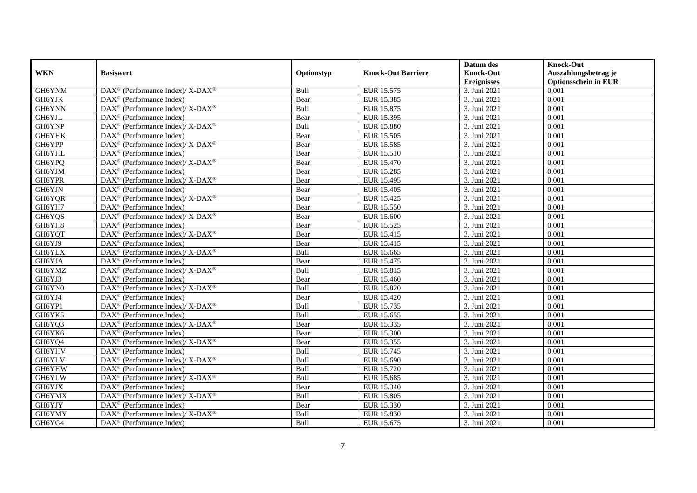|            |                                                             |            |                           | Datum des          | <b>Knock-Out</b>            |
|------------|-------------------------------------------------------------|------------|---------------------------|--------------------|-----------------------------|
| <b>WKN</b> | <b>Basiswert</b>                                            | Optionstyp | <b>Knock-Out Barriere</b> | <b>Knock-Out</b>   | Auszahlungsbetrag je        |
|            |                                                             |            |                           | <b>Ereignisses</b> | <b>Optionsschein in EUR</b> |
| GH6YNM     | DAX <sup>®</sup> (Performance Index)/ X-DAX <sup>®</sup>    | Bull       | EUR 15.575                | 3. Juni 2021       | 0,001                       |
| GH6YJK     | $DAX^{\circledR}$ (Performance Index)                       | Bear       | EUR 15.385                | 3. Juni 2021       | 0,001                       |
| GH6YNN     | $DAX^{\circledast}$ (Performance Index)/ X-DAX <sup>®</sup> | Bull       | EUR 15.875                | 3. Juni 2021       | 0,001                       |
| GH6YJL     | $DAX^{\circledast}$ (Performance Index)                     | Bear       | EUR 15.395                | 3. Juni 2021       | 0,001                       |
| GH6YNP     | DAX <sup>®</sup> (Performance Index)/ X-DAX <sup>®</sup>    | Bull       | <b>EUR 15.880</b>         | 3. Juni 2021       | 0,001                       |
| GH6YHK     | $DAX^{\circledast}$ (Performance Index)                     | Bear       | EUR 15.505                | 3. Juni 2021       | 0,001                       |
| GH6YPP     | DAX <sup>®</sup> (Performance Index)/ X-DAX <sup>®</sup>    | Bear       | EUR 15.585                | 3. Juni 2021       | 0,001                       |
| GH6YHL     | $DAX^{\circledR}$ (Performance Index)                       | Bear       | EUR 15.510                | 3. Juni 2021       | 0,001                       |
| GH6YPQ     | DAX <sup>®</sup> (Performance Index)/ X-DAX <sup>®</sup>    | Bear       | <b>EUR 15.470</b>         | 3. Juni 2021       | 0,001                       |
| GH6YJM     | $DAX^{\circledR}$ (Performance Index)                       | Bear       | <b>EUR 15.285</b>         | 3. Juni 2021       | 0,001                       |
| GH6YPR     | DAX <sup>®</sup> (Performance Index)/ X-DAX <sup>®</sup>    | Bear       | EUR 15.495                | 3. Juni 2021       | 0,001                       |
| GH6YJN     | $\overline{\text{DAX}^{\otimes}}$ (Performance Index)       | Bear       | <b>EUR 15.405</b>         | 3. Juni 2021       | 0,001                       |
| GH6YQR     | DAX <sup>®</sup> (Performance Index)/ X-DAX <sup>®</sup>    | Bear       | EUR 15.425                | 3. Juni 2021       | 0,001                       |
| GH6YH7     | $DAX^{\circledast}$ (Performance Index)                     | Bear       | EUR 15.550                | 3. Juni 2021       | 0,001                       |
| GH6YQS     | DAX <sup>®</sup> (Performance Index)/ X-DAX <sup>®</sup>    | Bear       | EUR 15.600                | 3. Juni 2021       | 0,001                       |
| GH6YH8     | DAX <sup>®</sup> (Performance Index)                        | Bear       | EUR 15.525                | 3. Juni 2021       | 0,001                       |
| GH6YQT     | DAX <sup>®</sup> (Performance Index)/ X-DAX <sup>®</sup>    | Bear       | EUR 15.415                | 3. Juni 2021       | 0,001                       |
| GH6YJ9     | $DAX^{\circledR}$ (Performance Index)                       | Bear       | EUR 15.415                | 3. Juni 2021       | 0,001                       |
| GH6YLX     | DAX <sup>®</sup> (Performance Index)/ X-DAX <sup>®</sup>    | Bull       | EUR 15.665                | 3. Juni 2021       | 0,001                       |
| GH6YJA     | $DAX^{\circledast}$ (Performance Index)                     | Bear       | EUR 15.475                | 3. Juni 2021       | 0,001                       |
| GH6YMZ     | DAX <sup>®</sup> (Performance Index)/ X-DAX <sup>®</sup>    | Bull       | EUR 15.815                | 3. Juni 2021       | 0,001                       |
| GH6YJ3     | $DAX^{\circledR}$ (Performance Index)                       | Bear       | <b>EUR 15.460</b>         | 3. Juni 2021       | 0,001                       |
| GH6YN0     | DAX <sup>®</sup> (Performance Index)/ X-DAX <sup>®</sup>    | Bull       | EUR 15.820                | 3. Juni 2021       | 0,001                       |
| GH6YJ4     | $\text{DAX}^{\textcircled{}}$ (Performance Index)           | Bear       | <b>EUR 15.420</b>         | 3. Juni 2021       | 0,001                       |
| GH6YP1     | $DAX^{\circledast}$ (Performance Index)/ X-DAX <sup>®</sup> | Bull       | EUR 15.735                | 3. Juni 2021       | 0,001                       |
| GH6YK5     | $DAX^{\circledast}$ (Performance Index)                     | Bull       | EUR 15.655                | 3. Juni 2021       | 0,001                       |
| GH6YQ3     | $DAX^{\circledast}$ (Performance Index)/ X-DAX <sup>®</sup> | Bear       | EUR 15.335                | 3. Juni 2021       | 0,001                       |
| GH6YK6     | $DAX^{\circledR}$ (Performance Index)                       | Bear       | EUR 15.300                | 3. Juni 2021       | 0.001                       |
| GH6YQ4     | DAX <sup>®</sup> (Performance Index)/ X-DAX <sup>®</sup>    | Bear       | EUR 15.355                | 3. Juni 2021       | 0,001                       |
| GH6YHV     | $DAX^{\circledR}$ (Performance Index)                       | Bull       | EUR 15.745                | 3. Juni 2021       | 0,001                       |
| GH6YLV     | DAX <sup>®</sup> (Performance Index)/ X-DAX <sup>®</sup>    | Bull       | EUR 15.690                | 3. Juni 2021       | 0,001                       |
| GH6YHW     | DAX <sup>®</sup> (Performance Index)                        | Bull       | <b>EUR 15.720</b>         | 3. Juni 2021       | 0.001                       |
| GH6YLW     | DAX <sup>®</sup> (Performance Index)/X-DAX <sup>®</sup>     | Bull       | EUR 15.685                | 3. Juni 2021       | 0,001                       |
| GH6YJX     | $\text{DAX}^{\textcircled{}}$ (Performance Index)           | Bear       | EUR 15.340                | 3. Juni 2021       | 0,001                       |
| GH6YMX     | $DAX^{\circledast}$ (Performance Index)/ X-DAX <sup>®</sup> | Bull       | <b>EUR 15.805</b>         | 3. Juni 2021       | 0,001                       |
| GH6YJY     | $DAX^{\circledast}$ (Performance Index)                     | Bear       | EUR 15.330                | 3. Juni 2021       | 0,001                       |
| GH6YMY     | DAX <sup>®</sup> (Performance Index)/ X-DAX <sup>®</sup>    | Bull       | EUR 15.830                | 3. Juni 2021       | 0,001                       |
| GH6YG4     | $\text{DAX}^{\textcircled{}}$ (Performance Index)           | Bull       | EUR 15.675                | 3. Juni 2021       | 0,001                       |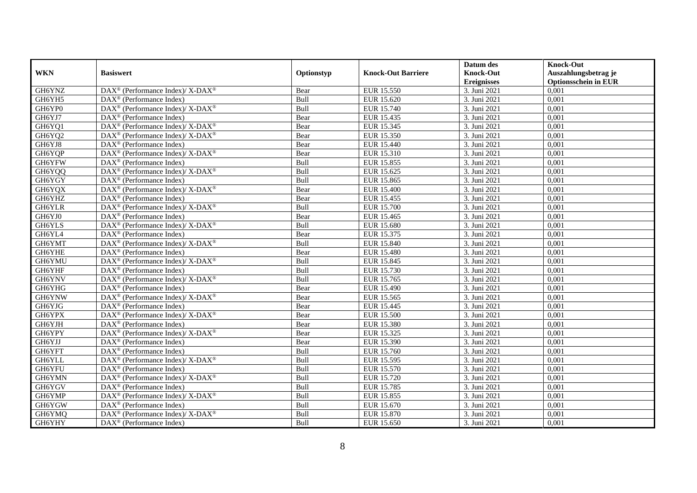|               |                                                                           |             |                           | Datum des          | <b>Knock-Out</b>            |
|---------------|---------------------------------------------------------------------------|-------------|---------------------------|--------------------|-----------------------------|
| <b>WKN</b>    | <b>Basiswert</b>                                                          | Optionstyp  | <b>Knock-Out Barriere</b> | <b>Knock-Out</b>   | Auszahlungsbetrag je        |
|               |                                                                           |             |                           | <b>Ereignisses</b> | <b>Optionsschein in EUR</b> |
| GH6YNZ        | DAX <sup>®</sup> (Performance Index)/ X-DAX <sup>®</sup>                  | Bear        | EUR 15.550                | 3. Juni 2021       | 0,001                       |
| GH6YH5        | $DAX^{\circledR}$ (Performance Index)                                     | Bull        | EUR 15.620                | 3. Juni 2021       | 0,001                       |
| GH6YP0        | $DAX^{\circledast}$ (Performance Index)/ X-DAX <sup>®</sup>               | Bull        | EUR 15.740                | 3. Juni 2021       | 0,001                       |
| GH6YJ7        | $DAX^{\circledast}$ (Performance Index)                                   | Bear        | EUR 15.435                | 3. Juni 2021       | 0,001                       |
| GH6YQ1        | DAX <sup>®</sup> (Performance Index)/X-DAX <sup>®</sup>                   | Bear        | EUR 15.345                | 3. Juni 2021       | 0,001                       |
| GH6YQ2        | DAX <sup>®</sup> (Performance Index)/X-DAX <sup>®</sup>                   | Bear        | EUR 15.350                | 3. Juni 2021       | 0,001                       |
| GH6YJ8        | $\text{DAX}^{\textcircled{}}$ (Performance Index)                         | Bear        | EUR 15.440                | 3. Juni 2021       | 0,001                       |
| GH6YQP        | DAX <sup>®</sup> (Performance Index)/ X-DAX <sup>®</sup>                  | Bear        | EUR 15.310                | 3. Juni 2021       | 0,001                       |
| GH6YFW        | $DAX^{\circledR}$ (Performance Index)                                     | Bull        | EUR 15.855                | 3. Juni 2021       | 0,001                       |
| GH6YQQ        | DAX <sup>®</sup> (Performance Index)/ X-DAX <sup>®</sup>                  | Bull        | EUR 15.625                | 3. Juni 2021       | 0,001                       |
| GH6YGY        | $\text{DAX}^{\textcircled{}}$ (Performance Index)                         | Bull        | <b>EUR 15.865</b>         | 3. Juni 2021       | 0,001                       |
| GH6YQX        | DAX <sup>®</sup> (Performance Index)/ X-DAX <sup>®</sup>                  | Bear        | <b>EUR 15.400</b>         | 3. Juni 2021       | 0,001                       |
| GH6YHZ        | $DAX^{\circledast}$ (Performance Index)                                   | Bear        | EUR 15.455                | 3. Juni 2021       | 0,001                       |
| GH6YLR        | $DAX^{\circledast}$ (Performance Index)/ X-DAX <sup>®</sup>               | Bull        | EUR 15.700                | 3. Juni 2021       | 0,001                       |
| GH6YJ0        | $DAX^{\circledast}$ (Performance Index)                                   | Bear        | EUR 15.465                | 3. Juni 2021       | 0,001                       |
| GH6YLS        | $DAX^{\circledast}$ (Performance Index)/ X-DAX <sup>®</sup>               | Bull        | EUR 15.680                | 3. Juni 2021       | 0,001                       |
| GH6YL4        | DAX <sup>®</sup> (Performance Index)                                      | Bear        | EUR 15.375                | 3. Juni 2021       | 0,001                       |
| GH6YMT        | $DAX^{\circledcirc}$ (Performance Index)/X-DAX <sup>®</sup>               | <b>Bull</b> | EUR 15.840                | 3. Juni 2021       | 0,001                       |
| <b>GH6YHE</b> | $DAX^{\circledR}$ (Performance Index)                                     | Bear        | <b>EUR 15.480</b>         | 3. Juni 2021       | 0,001                       |
| GH6YMU        | DAX <sup>®</sup> (Performance Index)/ X-DAX <sup>®</sup>                  | Bull        | EUR 15.845                | 3. Juni 2021       | 0,001                       |
| GH6YHF        | DAX <sup>®</sup> (Performance Index)                                      | Bull        | EUR 15.730                | 3. Juni 2021       | 0,001                       |
| GH6YNV        | $DAX^{\circledast}$ (Performance Index)/ $\overline{X-DAX^{\circledast}}$ | Bull        | EUR 15.765                | 3. Juni 2021       | 0,001                       |
| GH6YHG        | $\text{DAX}^{\textcircled{}}$ (Performance Index)                         | Bear        | EUR 15.490                | 3. Juni 2021       | 0,001                       |
| GH6YNW        | DAX <sup>®</sup> (Performance Index)/ X-DAX <sup>®</sup>                  | Bear        | EUR 15.565                | 3. Juni 2021       | 0,001                       |
| GH6YJG        | DAX <sup>®</sup> (Performance Index)                                      | Bear        | EUR 15.445                | 3. Juni 2021       | 0,001                       |
| GH6YPX        | DAX <sup>®</sup> (Performance Index)/X-DAX <sup>®</sup>                   | Bear        | EUR 15.500                | 3. Juni 2021       | 0,001                       |
| GH6YJH        | $DAX^{\circledast}$ (Performance Index)                                   | Bear        | EUR 15.380                | 3. Juni 2021       | 0,001                       |
| GH6YPY        | $DAX^{\circledast}$ (Performance Index)/ $\overline{X-DAX^{\circledast}}$ | Bear        | EUR 15.325                | 3. Juni 2021       | 0.001                       |
| GH6YJJ        | $DAX^{\circledR}$ (Performance Index)                                     | Bear        | EUR 15.390                | 3. Juni 2021       | 0,001                       |
| GH6YFT        | $DAX^{\circledR}$ (Performance Index)                                     | Bull        | EUR 15.760                | 3. Juni 2021       | 0,001                       |
| GH6YLL        | DAX <sup>®</sup> (Performance Index)/ X-DAX <sup>®</sup>                  | Bull        | EUR 15.595                | 3. Juni 2021       | 0,001                       |
| GH6YFU        | DAX <sup>®</sup> (Performance Index)                                      | Bull        | EUR 15.570                | 3. Juni 2021       | 0.001                       |
| GH6YMN        | $DAX^{\circledast}$ (Performance Index)/ $\overline{X-DAX^{\circledast}}$ | Bull        | EUR 15.720                | 3. Juni 2021       | 0,001                       |
| GH6YGV        | $DAX^{\circledast}$ (Performance Index)                                   | Bull        | EUR 15.785                | 3. Juni 2021       | 0,001                       |
| GH6YMP        | $DAX^{\circledast}$ (Performance Index)/ X-DAX <sup>®</sup>               | Bull        | EUR 15.855                | 3. Juni 2021       | 0,001                       |
| GH6YGW        | $DAX^{\circledast}$ (Performance Index)                                   | Bull        | EUR 15.670                | 3. Juni 2021       | 0,001                       |
| GH6YMQ        | DAX <sup>®</sup> (Performance Index)/ X-DAX <sup>®</sup>                  | Bull        | EUR 15.870                | 3. Juni 2021       | 0,001                       |
| GH6YHY        | $\text{DAX}^{\textcircled{}}$ (Performance Index)                         | Bull        | EUR 15.650                | 3. Juni 2021       | 0,001                       |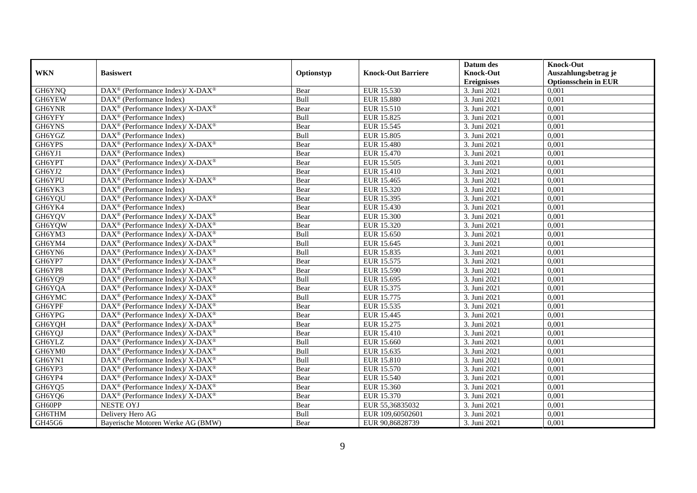|            |                                                                    |            |                           | Datum des          | <b>Knock-Out</b>            |
|------------|--------------------------------------------------------------------|------------|---------------------------|--------------------|-----------------------------|
| <b>WKN</b> | <b>Basiswert</b>                                                   | Optionstyp | <b>Knock-Out Barriere</b> | <b>Knock-Out</b>   | Auszahlungsbetrag je        |
|            |                                                                    |            |                           | <b>Ereignisses</b> | <b>Optionsschein in EUR</b> |
| GH6YNQ     | DAX <sup>®</sup> (Performance Index)/ X-DAX <sup>®</sup>           | Bear       | EUR 15.530                | 3. Juni 2021       | 0,001                       |
| GH6YEW     | $\text{DAX}^{\textcircled{n}}$ (Performance Index)                 | Bull       | <b>EUR 15.880</b>         | 3. Juni 2021       | 0,001                       |
| GH6YNR     | $DAX^{\circledcirc}$ (Performance Index)/X-DAX <sup>®</sup>        | Bear       | EUR 15.510                | 3. Juni 2021       | 0,001                       |
| GH6YFY     | DAX <sup>®</sup> (Performance Index)                               | Bull       | <b>EUR 15.825</b>         | 3. Juni 2021       | 0,001                       |
| GH6YNS     | DAX <sup>®</sup> (Performance Index)/X-DAX <sup>®</sup>            | Bear       | EUR 15.545                | 3. Juni 2021       | 0,001                       |
| GH6YGZ     | $DAX^{\circledast}$ (Performance Index)                            | Bull       | <b>EUR 15.805</b>         | 3. Juni 2021       | 0,001                       |
| GH6YPS     | DAX <sup>®</sup> (Performance Index)/ X-DAX <sup>®</sup>           | Bear       | EUR 15.480                | 3. Juni 2021       | 0,001                       |
| GH6YJ1     | $DAX^{\circledast}$ (Performance Index)                            | Bear       | EUR 15.470                | 3. Juni 2021       | 0,001                       |
| GH6YPT     | DAX <sup>®</sup> (Performance Index)/ X-DAX <sup>®</sup>           | Bear       | EUR 15.505                | 3. Juni 2021       | 0,001                       |
| GH6YJ2     | DAX <sup>®</sup> (Performance Index)                               | Bear       | EUR 15.410                | 3. Juni 2021       | 0,001                       |
| GH6YPU     | DAX <sup>®</sup> (Performance Index)/ X-DAX <sup>®</sup>           | Bear       | EUR 15.465                | 3. Juni 2021       | 0,001                       |
| GH6YK3     | DAX <sup>®</sup> (Performance Index)                               | Bear       | EUR 15.320                | 3. Juni 2021       | 0,001                       |
| GH6YQU     | DAX <sup>®</sup> (Performance Index)/ X-DAX <sup>®</sup>           | Bear       | EUR 15.395                | 3. Juni 2021       | 0,001                       |
| GH6YK4     | $\text{DAX}^{\textcircled{}}$ (Performance Index)                  | Bear       | EUR 15.430                | 3. Juni 2021       | 0,001                       |
| GH6YQV     | $DAX^{\circledast}$ (Performance Index)/ X-DAX <sup>®</sup>        | Bear       | EUR 15.300                | 3. Juni 2021       | 0,001                       |
| GH6YQW     | DAX <sup>®</sup> (Performance Index)/X-DAX <sup>®</sup>            | Bear       | EUR 15.320                | 3. Juni 2021       | 0,001                       |
| GH6YM3     | DAX <sup>®</sup> (Performance Index)/ X-DAX <sup>®</sup>           | Bull       | EUR 15.650                | 3. Juni 2021       | 0,001                       |
| GH6YM4     | DAX <sup>®</sup> (Performance Index)/ X-DAX <sup>®</sup>           | Bull       | EUR 15.645                | 3. Juni 2021       | 0,001                       |
| GH6YN6     | $\text{DAX}^{\circledast}$ (Performance Index)/ X-DAX <sup>®</sup> | Bull       | EUR 15.835                | 3. Juni 2021       | 0,001                       |
| GH6YP7     | DAX <sup>®</sup> (Performance Index)/ X-DAX <sup>®</sup>           | Bear       | EUR 15.575                | 3. Juni 2021       | 0,001                       |
| GH6YP8     | $DAX^{\circledcirc}$ (Performance Index)/X-DAX <sup>®</sup>        | Bear       | EUR 15.590                | 3. Juni 2021       | 0.001                       |
| GH6YQ9     | $DAX^{\circledast}$ (Performance Index)/ X-DAX <sup>®</sup>        | Bull       | EUR 15.695                | 3. Juni 2021       | 0,001                       |
| GH6YQA     | DAX <sup>®</sup> (Performance Index)/ X-DAX <sup>®</sup>           | Bear       | EUR 15.375                | 3. Juni 2021       | 0,001                       |
| GH6YMC     | DAX <sup>®</sup> (Performance Index)/ X-DAX <sup>®</sup>           | Bull       | EUR 15.775                | 3. Juni 2021       | 0,001                       |
| GH6YPF     | $DAX^{\circledast}$ (Performance Index)/ X-DAX <sup>®</sup>        | Bear       | EUR 15.535                | 3. Juni 2021       | 0,001                       |
| GH6YPG     | $DAX^{\circledast}$ (Performance Index)/ X-DAX <sup>®</sup>        | Bear       | EUR 15.445                | 3. Juni 2021       | 0,001                       |
| GH6YQH     | $DAX^{\circledast}$ (Performance Index)/ X-DAX <sup>®</sup>        | Bear       | EUR 15.275                | 3. Juni 2021       | 0.001                       |
| GH6YQJ     | DAX <sup>®</sup> (Performance Index)/ X-DAX <sup>®</sup>           | Bear       | EUR 15.410                | 3. Juni 2021       | 0,001                       |
| GH6YLZ     | DAX <sup>®</sup> (Performance Index)/X-DAX <sup>®</sup>            | Bull       | EUR 15.660                | 3. Juni 2021       | 0,001                       |
| GH6YM0     | $DAX^{\circledast}$ (Performance Index)/ X-DAX <sup>®</sup>        | Bull       | EUR 15.635                | 3. Juni 2021       | 0,001                       |
| GH6YN1     | $DAX^{\circledast}$ (Performance Index)/ X-DAX <sup>®</sup>        | Bull       | EUR 15.810                | 3. Juni 2021       | 0,001                       |
| GH6YP3     | DAX <sup>®</sup> (Performance Index)/ X-DAX <sup>®</sup>           | Bear       | EUR 15.570                | 3. Juni 2021       | 0,001                       |
| GH6YP4     | $DAX^{\circledast}$ (Performance Index)/ X-DAX <sup>®</sup>        | Bear       | EUR 15.540                | 3. Juni 2021       | 0.001                       |
| GH6YQ5     | DAX <sup>®</sup> (Performance Index)/ X-DAX <sup>®</sup>           | Bear       | EUR 15.360                | 3. Juni 2021       | 0,001                       |
| GH6YQ6     | DAX <sup>®</sup> (Performance Index)/ X-DAX <sup>®</sup>           | Bear       | EUR 15.370                | 3. Juni 2021       | 0,001                       |
| GH60PP     | <b>NESTE OYJ</b>                                                   | Bear       | EUR 55,36835032           | 3. Juni 2021       | 0,001                       |
| GH6THM     | Delivery Hero AG                                                   | Bull       | EUR 109,60502601          | 3. Juni 2021       | 0,001                       |
| GH45G6     | Bayerische Motoren Werke AG (BMW)                                  | Bear       | EUR 90,86828739           | 3. Juni 2021       | 0,001                       |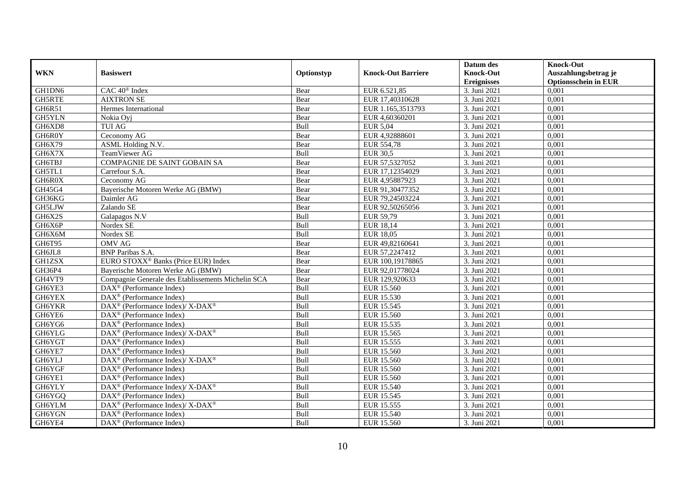|               |                                                                          |            |                           | Datum des          | <b>Knock-Out</b>            |
|---------------|--------------------------------------------------------------------------|------------|---------------------------|--------------------|-----------------------------|
| <b>WKN</b>    | <b>Basiswert</b>                                                         | Optionstyp | <b>Knock-Out Barriere</b> | <b>Knock-Out</b>   | Auszahlungsbetrag je        |
|               |                                                                          |            |                           | <b>Ereignisses</b> | <b>Optionsschein in EUR</b> |
| GH1DN6        | CAC 40 <sup>®</sup> Index                                                | Bear       | EUR 6.521,85              | 3. Juni 2021       | 0,001                       |
| <b>GH5RTE</b> | <b>AIXTRON SE</b>                                                        | Bear       | EUR 17,40310628           | 3. Juni 2021       | 0,001                       |
| GH6R51        | Hermes International                                                     | Bear       | EUR 1.165,3513793         | 3. Juni 2021       | 0,001                       |
| GH5YLN        | Nokia Oyj                                                                | Bear       | EUR 4,60360201            | 3. Juni 2021       | 0,001                       |
| GH6XD8        | TUI AG                                                                   | Bull       | <b>EUR 5,04</b>           | 3. Juni 2021       | 0,001                       |
| GH6R0Y        | Ceconomy AG                                                              | Bear       | EUR 4,92888601            | 3. Juni 2021       | 0,001                       |
| GH6X79        | ASML Holding N.V.                                                        | Bear       | EUR 554,78                | 3. Juni 2021       | 0,001                       |
| GH6X7X        | TeamViewer AG                                                            | Bull       | <b>EUR 30,5</b>           | 3. Juni 2021       | 0,001                       |
| GH6TBJ        | COMPAGNIE DE SAINT GOBAIN SA                                             | Bear       | EUR 57,5327052            | 3. Juni 2021       | 0,001                       |
| GH5TL1        | Carrefour S.A.                                                           | Bear       | EUR 17,12354029           | 3. Juni 2021       | 0,001                       |
| GH6R0X        | Ceconomy AG                                                              | Bear       | EUR 4,95887923            | 3. Juni 2021       | 0,001                       |
| GH45G4        | Bayerische Motoren Werke AG (BMW)                                        | Bear       | EUR 91,30477352           | 3. Juni 2021       | 0,001                       |
| GH36KG        | Daimler AG                                                               | Bear       | EUR 79,24503224           | 3. Juni 2021       | 0,001                       |
| GH5LJW        | Zalando SE                                                               | Bear       | EUR 92,50265056           | 3. Juni 2021       | 0,001                       |
| GH6X2S        | Galapagos N.V                                                            | Bull       | EUR 59,79                 | 3. Juni 2021       | 0,001                       |
| GH6X6P        | Nordex SE                                                                | Bull       | <b>EUR 18,14</b>          | 3. Juni 2021       | 0,001                       |
| GH6X6M        | Nordex SE                                                                | Bull       | <b>EUR 18,05</b>          | 3. Juni 2021       | 0,001                       |
| GH6T95        | <b>OMV AG</b>                                                            | Bear       | EUR 49,82160641           | 3. Juni 2021       | 0,001                       |
| GH6JL8        | <b>BNP</b> Paribas S.A.                                                  | Bear       | EUR 57,2247412            | 3. Juni 2021       | 0,001                       |
| <b>GH1ZSX</b> | EURO STOXX <sup>®</sup> Banks (Price EUR) Index                          | Bear       | EUR 100,19178865          | 3. Juni 2021       | 0,001                       |
| GH36P4        | Bayerische Motoren Werke AG (BMW)                                        | Bear       | EUR 92,01778024           | 3. Juni $2021$     | 0,001                       |
| GH4VT9        | Compagnie Generale des Etablissements Michelin SCA                       | Bear       | EUR 129,920633            | 3. Juni 2021       | 0,001                       |
| GH6YE3        | DAX <sup>®</sup> (Performance Index)                                     | Bull       | EUR 15.560                | 3. Juni 2021       | 0,001                       |
| GH6YEX        | DAX <sup>®</sup> (Performance Index)                                     | Bull       | EUR 15.530                | 3. Juni 2021       | 0,001                       |
| GH6YKR        | $\text{DAX}^{\circledR}$ (Performance Index)/ X-DAX <sup>®</sup>         | Bull       | EUR 15.545                | 3. Juni 2021       | 0,001                       |
| GH6YE6        | $\text{DAX}^{\otimes}$ (Performance Index)                               | Bull       | EUR 15.560                | 3. Juni 2021       | 0,001                       |
| GH6YG6        | DAX <sup>®</sup> (Performance Index)                                     | Bull       | EUR 15.535                | 3. Juni 2021       | 0,001                       |
| GH6YLG        | $DAX^{\circledcirc}$ (Performance Index)/ X-DAX <sup>®</sup>             | Bull       | EUR 15.565                | 3. Juni 2021       | 0.001                       |
| GH6YGT        | $\text{DAX}^{\textcircled{p}}$ (Performance Index)                       | Bull       | EUR 15.555                | 3. Juni 2021       | 0,001                       |
| GH6YE7        | DAX <sup>®</sup> (Performance Index)                                     | Bull       | EUR 15.560                | 3. Juni 2021       | 0,001                       |
| GH6YLJ        | $\text{DAX}^{\circledR}$ (Performance Index)/ X-DAX <sup>®</sup>         | Bull       | <b>EUR 15.560</b>         | 3. Juni 2021       | 0,001                       |
| GH6YGF        | $\text{DAX}^{\textcircled{n}}$ (Performance Index)                       | Bull       | <b>EUR 15.560</b>         | 3. Juni 2021       | 0.001                       |
| GH6YE1        | $\text{DAX}^{\textcircled{p}}$ (Performance Index)                       | Bull       | <b>EUR 15.560</b>         | 3. Juni 2021       | 0,001                       |
| GH6YLY        | $\overline{\text{DAX}^{\otimes}}$ (Performance Index)/X-DAX <sup>®</sup> | Bull       | EUR 15.540                | 3. Juni 2021       | 0,001                       |
| GH6YGQ        | $\text{DAX}^{\circledast}$ (Performance Index)                           | Bull       | EUR 15.545                | 3. Juni 2021       | 0,001                       |
| GH6YLM        | $\text{DAX}^{\circledast}$ (Performance Index)/ X-DAX <sup>®</sup>       | Bull       | EUR 15.555                | 3. Juni 2021       | 0,001                       |
| GH6YGN        | $\text{DAX}^{\otimes}$ (Performance Index)                               | Bull       | EUR 15.540                | 3. Juni 2021       | 0,001                       |
| GH6YE4        | $\text{DAX}^{\textcircled{n}}$ (Performance Index)                       | Bull       | EUR 15.560                | 3. Juni 2021       | 0,001                       |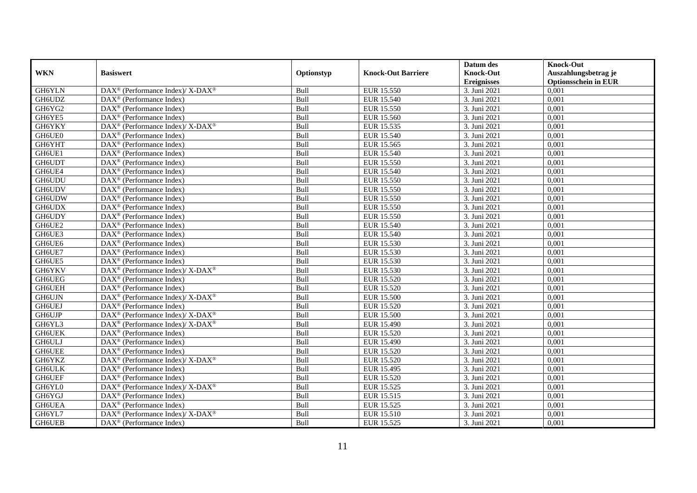|               |                                                                    |            |                           | Datum des          | <b>Knock-Out</b>            |
|---------------|--------------------------------------------------------------------|------------|---------------------------|--------------------|-----------------------------|
| <b>WKN</b>    | <b>Basiswert</b>                                                   | Optionstyp | <b>Knock-Out Barriere</b> | <b>Knock-Out</b>   | Auszahlungsbetrag je        |
|               |                                                                    |            |                           | <b>Ereignisses</b> | <b>Optionsschein in EUR</b> |
| <b>GH6YLN</b> | DAX <sup>®</sup> (Performance Index)/ X-DAX <sup>®</sup>           | Bull       | EUR 15.550                | 3. Juni 2021       | 0,001                       |
| GH6UDZ        | $DAX^{\circledR}$ (Performance Index)                              | Bull       | <b>EUR 15.540</b>         | 3. Juni 2021       | 0,001                       |
| GH6YG2        | DAX <sup>®</sup> (Performance Index)                               | Bull       | <b>EUR 15.550</b>         | 3. Juni 2021       | 0,001                       |
| GH6YE5        | $\text{DAX}^{\circledast}$ (Performance Index)                     | Bull       | EUR 15.560                | 3. Juni 2021       | 0,001                       |
| GH6YKY        | $\text{DAX}^{\circledR}$ (Performance Index)/ X-DAX <sup>®</sup>   | Bull       | EUR 15.535                | 3. Juni 2021       | 0,001                       |
| GH6UE0        | $\text{DAX}^{\textcircled{n}}$ (Performance Index)                 | Bull       | EUR 15.540                | 3. Juni 2021       | 0,001                       |
| GH6YHT        | $\text{DAX}^{\textcircled{n}}$ (Performance Index)                 | Bull       | EUR 15.565                | 3. Juni 2021       | 0,001                       |
| GH6UE1        | $\text{DAX}^{\textcircled{}}$ (Performance Index)                  | Bull       | <b>EUR 15.540</b>         | 3. Juni 2021       | 0,001                       |
| GH6UDT        | $\text{DAX}^{\textcircled{p}}$ (Performance Index)                 | Bull       | <b>EUR 15.550</b>         | 3. Juni 2021       | 0,001                       |
| GH6UE4        | $DAX^{\otimes}$ (Performance Index)                                | Bull       | <b>EUR 15.540</b>         | 3. Juni 2021       | 0,001                       |
| <b>GH6UDU</b> | DAX <sup>®</sup> (Performance Index)                               | Bull       | EUR 15.550                | 3. Juni 2021       | 0,001                       |
| <b>GH6UDV</b> | $\overline{\text{DAX}^{\otimes}}$ (Performance Index)              | Bull       | EUR 15.550                | 3. Juni 2021       | 0,001                       |
| GH6UDW        | $\text{DAX}^{\circledast}$ (Performance Index)                     | Bull       | <b>EUR 15.550</b>         | 3. Juni 2021       | 0,001                       |
| GH6UDX        | DAX <sup>®</sup> (Performance Index)                               | Bull       | EUR 15.550                | 3. Juni 2021       | 0,001                       |
| GH6UDY        | DAX <sup>®</sup> (Performance Index)                               | Bull       | EUR 15.550                | 3. Juni 2021       | 0,001                       |
| GH6UE2        | DAX <sup>®</sup> (Performance Index)                               | Bull       | EUR 15.540                | 3. Juni 2021       | 0,001                       |
| GH6UE3        | DAX <sup>®</sup> (Performance Index)                               | Bull       | EUR 15.540                | 3. Juni 2021       | 0,001                       |
| GH6UE6        | $DAX^{\circledR}$ (Performance Index)                              | Bull       | EUR 15.530                | 3. Juni 2021       | 0,001                       |
| GH6UE7        | $\overline{\text{DAX}}^{\textcircled{}}$ (Performance Index)       | Bull       | EUR 15.530                | 3. Juni 2021       | 0,001                       |
| GH6UE5        | $\overline{\text{DAX}^{\otimes}}$ (Performance Index)              | Bull       | EUR 15.530                | 3. Juni 2021       | 0,001                       |
| GH6YKV        | $\text{DAX}^{\circledR}$ (Performance Index)/ X-DAX <sup>®</sup>   | Bull       | EUR 15.530                | 3. Juni $2021$     | 0,001                       |
| <b>GH6UEG</b> | $\overline{\text{DAX}^{\otimes}}$ (Performance Index)              | Bull       | <b>EUR 15.520</b>         | 3. Juni 2021       | 0,001                       |
| <b>GH6UEH</b> | $\text{DAX}^{\circledast}$ (Performance Index)                     | Bull       | <b>EUR 15.520</b>         | 3. Juni 2021       | 0,001                       |
| GH6UJN        | $\text{DAX}^{\circledR}$ (Performance Index)/ X-DAX <sup>®</sup>   | Bull       | <b>EUR 15.500</b>         | 3. Juni 2021       | 0,001                       |
| GH6UEJ        | $\text{DAX}^{\circledast}$ (Performance Index)                     | Bull       | EUR 15.520                | 3. Juni 2021       | 0,001                       |
| GH6UJP        | DAX <sup>®</sup> (Performance Index)/ X-DAX <sup>®</sup>           | Bull       | <b>EUR 15.500</b>         | 3. Juni 2021       | 0,001                       |
| GH6YL3        | $\text{DAX}^{\circledast}$ (Performance Index)/ X-DAX <sup>®</sup> | Bull       | EUR 15.490                | 3. Juni 2021       | 0,001                       |
| <b>GH6UEK</b> | $\text{DAX}^{\textcircled{p}}$ (Performance Index)                 | Bull       | <b>EUR 15.520</b>         | 3. Juni 2021       | 0.001                       |
| GH6ULJ        | $\text{DAX}^{\textcircled{p}}$ (Performance Index)                 | Bull       | EUR 15.490                | 3. Juni 2021       | 0,001                       |
| <b>GH6UEE</b> | $DAX^{\circledR}$ (Performance Index)                              | Bull       | <b>EUR 15.520</b>         | 3. Juni 2021       | 0,001                       |
| GH6YKZ        | $\text{DAX}^{\circledR}$ (Performance Index)/ X-DAX <sup>®</sup>   | Bull       | EUR 15.520                | 3. Juni 2021       | 0,001                       |
| <b>GH6ULK</b> | $\text{DAX}^{\textcircled{n}}$ (Performance Index)                 | Bull       | EUR 15.495                | 3. Juni 2021       | 0.001                       |
| <b>GH6UEF</b> | $\overline{\text{DAX}^{\otimes}}$ (Performance Index)              | Bull       | <b>EUR 15.520</b>         | 3. Juni 2021       | 0,001                       |
| GH6YL0        | $\text{DAX}^{\circledR}$ (Performance Index)/ X-DAX <sup>®</sup>   | Bull       | EUR 15.525                | 3. Juni 2021       | 0,001                       |
| GH6YGJ        | $\text{DAX}^{\circledast}$ (Performance Index)                     | Bull       | EUR 15.515                | 3. Juni 2021       | 0,001                       |
| GH6UEA        | $\text{DAX}^{\circledast}$ (Performance Index)                     | Bull       | EUR 15.525                | 3. Juni 2021       | 0,001                       |
| GH6YL7        | DAX <sup>®</sup> (Performance Index)/ X-DAX <sup>®</sup>           | Bull       | EUR 15.510                | 3. Juni 2021       | 0,001                       |
| <b>GH6UEB</b> | $\text{DAX}^{\textcircled{n}}$ (Performance Index)                 | Bull       | EUR 15.525                | 3. Juni 2021       | 0,001                       |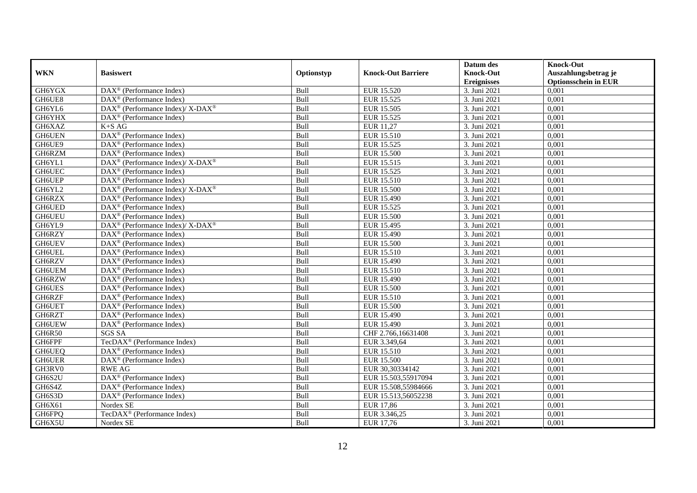|               |                                                                    |            |                           | Datum des          | <b>Knock-Out</b>            |
|---------------|--------------------------------------------------------------------|------------|---------------------------|--------------------|-----------------------------|
| <b>WKN</b>    | <b>Basiswert</b>                                                   | Optionstyp | <b>Knock-Out Barriere</b> | <b>Knock-Out</b>   | Auszahlungsbetrag je        |
|               |                                                                    |            |                           | <b>Ereignisses</b> | <b>Optionsschein in EUR</b> |
| GH6YGX        | DAX <sup>®</sup> (Performance Index)                               | Bull       | EUR 15.520                | 3. Juni 2021       | 0,001                       |
| GH6UE8        | $\text{DAX}^{\textcircled{p}}$ (Performance Index)                 | Bull       | EUR 15.525                | 3. Juni 2021       | 0,001                       |
| GH6YL6        | $\text{DAX}^{\circledast}$ (Performance Index)/ X-DAX <sup>®</sup> | Bull       | EUR 15.505                | 3. Juni 2021       | 0,001                       |
| GH6YHX        | $\text{DAX}^{\circledast}$ (Performance Index)                     | Bull       | EUR 15.525                | 3. Juni 2021       | 0,001                       |
| GH6XAZ        | $K+SAG$                                                            | Bull       | EUR 11,27                 | 3. Juni 2021       | 0,001                       |
| <b>GH6UEN</b> | DAX <sup>®</sup> (Performance Index)                               | Bull       | EUR 15.510                | 3. Juni 2021       | 0,001                       |
| GH6UE9        | $\text{DAX}^{\textcircled{D}}$ (Performance Index)                 | Bull       | EUR 15.525                | 3. Juni 2021       | 0,001                       |
| GH6RZM        | $\text{DAX}^{\textcircled{p}}$ (Performance Index)                 | Bull       | <b>EUR 15.500</b>         | 3. Juni 2021       | 0,001                       |
| GH6YL1        | $\text{DAX}^{\circledR}$ (Performance Index)/ X-DAX <sup>®</sup>   | Bull       | EUR 15.515                | 3. Juni 2021       | 0,001                       |
| <b>GH6UEC</b> | $\text{DAX}^{\textcircled{n}}$ (Performance Index)                 | Bull       | EUR 15.525                | 3. Juni 2021       | 0,001                       |
| GH6UEP        | DAX <sup>®</sup> (Performance Index)                               | Bull       | EUR 15.510                | 3. Juni 2021       | 0,001                       |
| GH6YL2        | $\text{DAX}^{\circledR}$ (Performance Index)/ X-DAX <sup>®</sup>   | Bull       | <b>EUR 15.500</b>         | 3. Juni 2021       | 0,001                       |
| GH6RZX        | $\text{DAX}^{\circledast}$ (Performance Index)                     | Bull       | EUR 15.490                | 3. Juni 2021       | 0,001                       |
| GH6UED        | DAX <sup>®</sup> (Performance Index)                               | Bull       | EUR 15.525                | 3. Juni 2021       | 0,001                       |
| <b>GH6UEU</b> | DAX <sup>®</sup> (Performance Index)                               | Bull       | <b>EUR 15.500</b>         | 3. Juni 2021       | 0,001                       |
| GH6YL9        | DAX <sup>®</sup> (Performance Index)/X-DAX <sup>®</sup>            | Bull       | EUR 15.495                | 3. Juni 2021       | 0,001                       |
| GH6RZY        | $\text{DAX}^{\textcircled{p}}$ (Performance Index)                 | Bull       | EUR 15.490                | 3. Juni 2021       | 0,001                       |
| <b>GH6UEV</b> | $\overline{\text{DAX}^{\otimes}}$ (Performance Index)              | Bull       | <b>EUR 15.500</b>         | 3. Juni 2021       | 0,001                       |
| <b>GH6UEL</b> | $\text{DAX}^{\textcircled{n}}$ (Performance Index)                 | Bull       | EUR 15.510                | 3. Juni 2021       | 0,001                       |
| GH6RZV        | $\text{DAX}^{\textcircled{n}}$ (Performance Index)                 | Bull       | EUR 15.490                | 3. Juni 2021       | 0,001                       |
| GH6UEM        | DAX <sup>®</sup> (Performance Index)                               | Bull       | EUR 15.510                | 3. Juni 2021       | 0,001                       |
| GH6RZW        | $\overline{\text{DAX}}^{\textcirc}$ (Performance Index)            | Bull       | EUR 15.490                | 3. Juni 2021       | 0,001                       |
| <b>GH6UES</b> | $\overline{\text{DAX}^{\otimes}}$ (Performance Index)              | Bull       | <b>EUR 15.500</b>         | 3. Juni 2021       | 0,001                       |
| GH6RZF        | $\text{DAX}^{\textcircled{p}}$ (Performance Index)                 | Bull       | EUR 15.510                | 3. Juni 2021       | 0,001                       |
| <b>GH6UET</b> | $\text{DAX}^{\textcircled{D}}$ (Performance Index)                 | Bull       | <b>EUR 15.500</b>         | 3. Juni 2021       | 0,001                       |
| GH6RZT        | $\text{DAX}^{\textcircled{n}}$ (Performance Index)                 | Bull       | EUR 15.490                | 3. Juni 2021       | 0,001                       |
| <b>GH6UEW</b> | $\overline{\text{DAX}^{\circledast}}$ (Performance Index)          | Bull       | EUR 15.490                | 3. Juni 2021       | 0,001                       |
| GH6R50        | <b>SGS SA</b>                                                      | Bull       | CHF 2.766,16631408        | 3. Juni 2021       | 0,001                       |
| GH6FPF        | TecDAX <sup>®</sup> (Performance Index)                            | Bull       | EUR 3.349,64              | 3. Juni 2021       | 0,001                       |
| <b>GH6UEQ</b> | $DAX^{\circledR}$ (Performance Index)                              | Bull       | EUR 15.510                | 3. Juni 2021       | 0.001                       |
| <b>GH6UER</b> | DAX <sup>®</sup> (Performance Index)                               | Bull       | <b>EUR 15.500</b>         | 3. Juni 2021       | 0,001                       |
| GH3RV0        | <b>RWE AG</b>                                                      | Bull       | EUR 30,30334142           | 3. Juni 2021       | 0,001                       |
| GH6S2U        | $\overline{\text{DAX}^{\otimes}}$ (Performance Index)              | Bull       | EUR 15.503,55917094       | 3. Juni 2021       | 0,001                       |
| GH6S4Z        | DAX <sup>®</sup> (Performance Index)                               | Bull       | EUR 15.508,55984666       | 3. Juni 2021       | 0,001                       |
| GH6S3D        | $\text{DAX}^{\circledast}$ (Performance Index)                     | Bull       | EUR 15.513,56052238       | 3. Juni 2021       | 0,001                       |
| GH6X61        | Nordex SE                                                          | Bull       | <b>EUR 17,86</b>          | 3. Juni 2021       | 0,001                       |
| GH6FPQ        | TecDAX <sup>®</sup> (Performance Index)                            | Bull       | EUR 3.346,25              | 3. Juni 2021       | 0,001                       |
| GH6X5U        | Nordex SE                                                          | Bull       | EUR 17,76                 | 3. Juni 2021       | 0,001                       |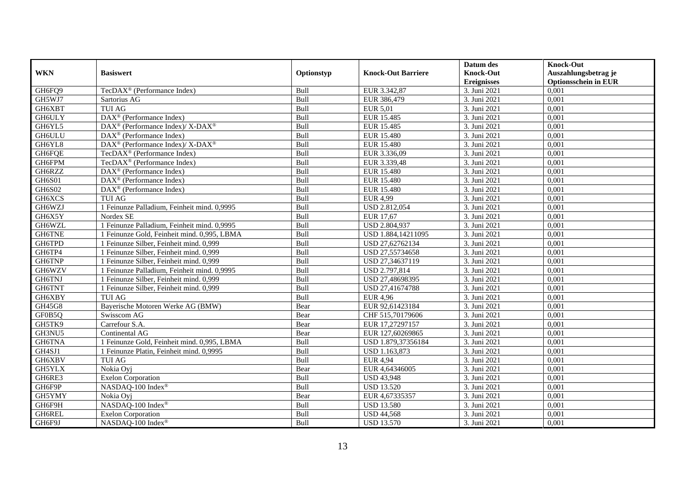|               |                                                                  |             |                           | Datum des          | <b>Knock-Out</b>            |
|---------------|------------------------------------------------------------------|-------------|---------------------------|--------------------|-----------------------------|
| <b>WKN</b>    | <b>Basiswert</b>                                                 | Optionstyp  | <b>Knock-Out Barriere</b> | <b>Knock-Out</b>   | Auszahlungsbetrag je        |
|               |                                                                  |             |                           | <b>Ereignisses</b> | <b>Optionsschein in EUR</b> |
| GH6FQ9        | TecDAX <sup>®</sup> (Performance Index)                          | Bull        | EUR 3.342,87              | 3. Juni 2021       | 0,001                       |
| GH5WJ7        | Sartorius AG                                                     | Bull        | EUR 386,479               | 3. Juni 2021       | 0,001                       |
| GH6XBT        | <b>TUI AG</b>                                                    | Bull        | EUR 5,01                  | 3. Juni 2021       | 0,001                       |
| GH6ULY        | $\text{DAX}^{\textcircled{D}}$ (Performance Index)               | Bull        | EUR 15.485                | 3. Juni 2021       | 0.001                       |
| GH6YL5        | $\text{DAX}^{\circledR}$ (Performance Index)/ X-DAX <sup>®</sup> | Bull        | EUR 15.485                | 3. Juni 2021       | 0,001                       |
| <b>GH6ULU</b> | $\text{DAX}^{\textcircled{p}}$ (Performance Index)               | Bull        | <b>EUR 15.480</b>         | 3. Juni 2021       | 0,001                       |
| GH6YL8        | $DAX^{\circledast}$ (Performance Index)/X-DAX <sup>®</sup>       | Bull        | <b>EUR 15.480</b>         | 3. Juni 2021       | 0,001                       |
| GH6FQE        | TecDAX <sup>®</sup> (Performance Index)                          | Bull        | EUR 3.336,09              | 3. Juni 2021       | 0,001                       |
| GH6FPM        | TecDAX <sup>®</sup> (Performance Index)                          | Bull        | EUR 3.339,48              | 3. Juni 2021       | 0,001                       |
| GH6RZZ        | $\text{DAX}^{\textcircled{n}}$ (Performance Index)               | Bull        | <b>EUR 15.480</b>         | 3. Juni 2021       | 0,001                       |
| <b>GH6S01</b> | $\overline{\text{DAX}^{\otimes}}$ (Performance Index)            | Bull        | <b>EUR 15.480</b>         | 3. Juni 2021       | 0.001                       |
| GH6S02        | $\text{DAX}^{\textcircled{p}}$ (Performance Index)               | Bull        | <b>EUR 15.480</b>         | 3. Juni 2021       | 0,001                       |
| GH6XCS        | <b>TUI AG</b>                                                    | Bull        | <b>EUR 4,99</b>           | 3. Juni 2021       | 0,001                       |
| GH6WZJ        | 1 Feinunze Palladium, Feinheit mind. 0,9995                      | Bull        | USD 2.812,054             | 3. Juni 2021       | 0,001                       |
| GH6X5Y        | Nordex SE                                                        | Bull        | EUR 17,67                 | 3. Juni 2021       | 0,001                       |
| GH6WZL        | 1 Feinunze Palladium, Feinheit mind. 0,9995                      | Bull        | USD 2.804,937             | 3. Juni 2021       | 0,001                       |
| GH6TNE        | 1 Feinunze Gold, Feinheit mind. 0,995, LBMA                      | Bull        | USD 1.884,14211095        | 3. Juni 2021       | 0,001                       |
| GH6TPD        | 1 Feinunze Silber, Feinheit mind. 0.999                          | <b>Bull</b> | USD 27.62762134           | 3. Juni 2021       | 0.001                       |
| GH6TP4        | 1 Feinunze Silber, Feinheit mind. 0,999                          | Bull        | USD 27,55734658           | 3. Juni 2021       | 0,001                       |
| GH6TNP        | 1 Feinunze Silber, Feinheit mind. 0,999                          | Bull        | USD 27,34637119           | 3. Juni 2021       | 0,001                       |
| GH6WZV        | 1 Feinunze Palladium, Feinheit mind. 0,9995                      | Bull        | USD 2.797,814             | 3. Juni 2021       | 0,001                       |
| GH6TNJ        | 1 Feinunze Silber, Feinheit mind. 0,999                          | Bull        | USD 27,48698395           | 3. Juni 2021       | 0,001                       |
| GH6TNT        | 1 Feinunze Silber, Feinheit mind. 0,999                          | Bull        | USD 27,41674788           | 3. Juni 2021       | 0,001                       |
| GH6XBY        | <b>TUI AG</b>                                                    | Bull        | <b>EUR 4,96</b>           | 3. Juni 2021       | 0,001                       |
| GH45G8        | Baverische Motoren Werke AG (BMW)                                | Bear        | EUR 92,61423184           | 3. Juni 2021       | 0.001                       |
| GF0B5Q        | Swisscom AG                                                      | Bear        | CHF 515,70179606          | 3. Juni 2021       | 0,001                       |
| GH5TK9        | Carrefour S.A.                                                   | Bear        | EUR 17,27297157           | 3. Juni 2021       | 0,001                       |
| GH3NU5        | Continental AG                                                   | Bear        | EUR 127,60269865          | 3. Juni 2021       | 0,001                       |
| GH6TNA        | 1 Feinunze Gold, Feinheit mind. 0,995, LBMA                      | Bull        | USD 1.879,37356184        | 3. Juni 2021       | 0,001                       |
| GH4SJ1        | 1 Feinunze Platin, Feinheit mind. 0,9995                         | Bull        | USD 1.163,873             | 3. Juni 2021       | 0,001                       |
| GH6XBV        | <b>TUI AG</b>                                                    | Bull        | <b>EUR 4,94</b>           | 3. Juni 2021       | 0,001                       |
| GH5YLX        | Nokia Ovi                                                        | Bear        | EUR 4,64346005            | 3. Juni 2021       | 0.001                       |
| GH6RE3        | <b>Exelon Corporation</b>                                        | Bull        | <b>USD 43,948</b>         | 3. Juni 2021       | 0,001                       |
| GH6F9P        | NASDAQ-100 Index®                                                | Bull        | <b>USD 13.520</b>         | 3. Juni 2021       | 0,001                       |
| GH5YMY        | Nokia Ovi                                                        | Bear        | EUR 4,67335357            | 3. Juni 2021       | 0,001                       |
| GH6F9H        | NASDAQ-100 Index®                                                | Bull        | <b>USD 13.580</b>         | 3. Juni 2021       | 0,001                       |
| GH6REL        | <b>Exelon Corporation</b>                                        | Bull        | <b>USD 44,568</b>         | 3. Juni 2021       | 0,001                       |
| GH6F9J        | NASDAQ-100 Index®                                                | Bull        | <b>USD 13.570</b>         | 3. Juni 2021       | 0,001                       |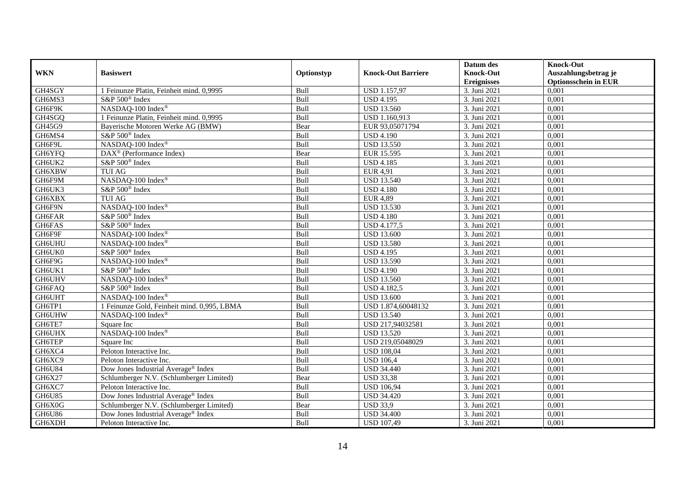|               |                                                 |            |                           | Datum des          | <b>Knock-Out</b>            |
|---------------|-------------------------------------------------|------------|---------------------------|--------------------|-----------------------------|
| <b>WKN</b>    | <b>Basiswert</b>                                | Optionstyp | <b>Knock-Out Barriere</b> | <b>Knock-Out</b>   | Auszahlungsbetrag je        |
|               |                                                 |            |                           | <b>Ereignisses</b> | <b>Optionsschein in EUR</b> |
| GH4SGY        | 1 Feinunze Platin, Feinheit mind. 0,9995        | Bull       | <b>USD 1.157,97</b>       | 3. Juni 2021       | 0,001                       |
| GH6MS3        | S&P 500 <sup>®</sup> Index                      | Bull       | $\overline{USD4.1}95$     | 3. Juni 2021       | 0,001                       |
| GH6F9K        | NASDAQ-100 Index®                               | Bull       | <b>USD 13.560</b>         | 3. Juni 2021       | 0,001                       |
| GH4SGQ        | 1 Feinunze Platin, Feinheit mind. 0,9995        | Bull       | USD 1.160,913             | 3. Juni 2021       | 0,001                       |
| GH45G9        | Bayerische Motoren Werke AG (BMW)               | Bear       | EUR 93,05071794           | 3. Juni 2021       | 0,001                       |
| GH6MS4        | S&P 500 <sup>®</sup> Index                      | Bull       | <b>USD 4.190</b>          | 3. Juni 2021       | 0,001                       |
| GH6F9L        | NASDAQ-100 Index®                               | Bull       | <b>USD 13.550</b>         | 3. Juni 2021       | 0,001                       |
| GH6YFQ        | DAX <sup>®</sup> (Performance Index)            | Bear       | <b>EUR 15.595</b>         | 3. Juni 2021       | 0,001                       |
| GH6UK2        | S&P 500 <sup>®</sup> Index                      | Bull       | <b>USD 4.185</b>          | 3. Juni 2021       | 0,001                       |
| GH6XBW        | <b>TUI AG</b>                                   | Bull       | <b>EUR 4,91</b>           | 3. Juni 2021       | 0,001                       |
| GH6F9M        | NASDAQ-100 Index®                               | Bull       | <b>USD 13.540</b>         | 3. Juni 2021       | 0,001                       |
| GH6UK3        | S&P 500 <sup>®</sup> Index                      | Bull       | <b>USD 4.180</b>          | 3. Juni 2021       | 0,001                       |
| GH6XBX        | <b>TUI AG</b>                                   | Bull       | <b>EUR 4,89</b>           | 3. Juni 2021       | 0,001                       |
| GH6F9N        | NASDAQ-100 Index®                               | Bull       | <b>USD</b> 13.530         | 3. Juni 2021       | 0.001                       |
| GH6FAR        | S&P 500 <sup>®</sup> Index                      | Bull       | <b>USD 4.180</b>          | 3. Juni 2021       | 0,001                       |
| GH6FAS        | S&P 500 <sup>®</sup> Index                      | Bull       | <b>USD 4.177,5</b>        | 3. Juni 2021       | 0,001                       |
| GH6F9F        | NASDAQ-100 Index®                               | Bull       | <b>USD 13.600</b>         | 3. Juni 2021       | 0,001                       |
| GH6UHU        | NASDAQ-100 Index®                               | Bull       | <b>USD 13.580</b>         | 3. Juni 2021       | 0,001                       |
| GH6UK0        | S&P 500 <sup>®</sup> Index                      | Bull       | <b>USD 4.195</b>          | 3. Juni 2021       | 0,001                       |
| GH6F9G        | NASDAQ-100 Index®                               | Bull       | <b>USD 13.590</b>         | 3. Juni 2021       | 0,001                       |
| GH6UK1        | S&P 500 <sup>®</sup> Index                      | Bull       | <b>USD 4.190</b>          | 3. Juni 2021       | 0,001                       |
| <b>GH6UHV</b> | NASDAQ-100 Index®                               | Bull       | <b>USD 13.560</b>         | 3. Juni 2021       | 0,001                       |
| GH6FAQ        | S&P 500 <sup>®</sup> Index                      | Bull       | <b>USD 4.182,5</b>        | 3. Juni 2021       | 0,001                       |
| <b>GH6UHT</b> | NASDAQ-100 Index®                               | Bull       | <b>USD 13.600</b>         | 3. Juni 2021       | 0,001                       |
| GH6TP1        | 1 Feinunze Gold, Feinheit mind. 0,995, LBMA     | Bull       | USD 1.874,60048132        | 3. Juni 2021       | 0,001                       |
| GH6UHW        | NASDAQ-100 Index <sup>®</sup>                   | Bull       | <b>USD 13.540</b>         | 3. Juni 2021       | 0,001                       |
| GH6TE7        | Square Inc                                      | Bull       | USD 217,94032581          | 3. Juni 2021       | 0,001                       |
| <b>GH6UHX</b> | NASDAQ-100 Index®                               | Bull       | <b>USD 13.520</b>         | 3. Juni 2021       | 0,001                       |
| GH6TEP        | Square Inc                                      | Bull       | USD 219,05048029          | 3. Juni 2021       | 0,001                       |
| GH6XC4        | Peloton Interactive Inc.                        | Bull       | <b>USD 108,04</b>         | 3. Juni 2021       | 0,001                       |
| GH6XC9        | Peloton Interactive Inc.                        | Bull       | <b>USD 106,4</b>          | 3. Juni 2021       | 0,001                       |
| GH6U84        | Dow Jones Industrial Average <sup>®</sup> Index | Bull       | <b>USD 34.440</b>         | 3. Juni 2021       | 0,001                       |
| GH6X27        | Schlumberger N.V. (Schlumberger Limited)        | Bear       | <b>USD 33,38</b>          | 3. Juni 2021       | 0,001                       |
| GH6XC7        | Peloton Interactive Inc.                        | Bull       | <b>USD 106,94</b>         | 3. Juni 2021       | 0,001                       |
| GH6U85        | Dow Jones Industrial Average® Index             | Bull       | <b>USD 34.420</b>         | 3. Juni 2021       | 0,001                       |
| GH6X0G        | Schlumberger N.V. (Schlumberger Limited)        | Bear       | <b>USD 33,9</b>           | 3. Juni 2021       | 0,001                       |
| GH6U86        | Dow Jones Industrial Average® Index             | Bull       | <b>USD 34.400</b>         | 3. Juni 2021       | 0,001                       |
| GH6XDH        | Peloton Interactive Inc.                        | Bull       | <b>USD 107,49</b>         | 3. Juni 2021       | 0,001                       |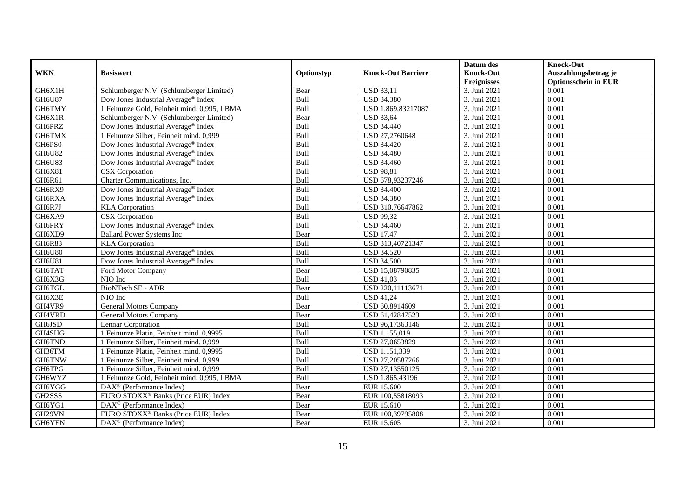|               |                                                 |             |                           | Datum des          | <b>Knock-Out</b>            |
|---------------|-------------------------------------------------|-------------|---------------------------|--------------------|-----------------------------|
| <b>WKN</b>    | <b>Basiswert</b>                                | Optionstyp  | <b>Knock-Out Barriere</b> | <b>Knock-Out</b>   | Auszahlungsbetrag je        |
|               |                                                 |             |                           | <b>Ereignisses</b> | <b>Optionsschein in EUR</b> |
| GH6X1H        | Schlumberger N.V. (Schlumberger Limited)        | Bear        | <b>USD 33,11</b>          | 3. Juni 2021       | 0,001                       |
| <b>GH6U87</b> | Dow Jones Industrial Average® Index             | Bull        | <b>USD 34.380</b>         | 3. Juni 2021       | 0,001                       |
| GH6TMY        | 1 Feinunze Gold, Feinheit mind. 0,995, LBMA     | Bull        | USD 1.869,83217087        | 3. Juni 2021       | 0,001                       |
| GH6X1R        | Schlumberger N.V. (Schlumberger Limited)        | Bear        | <b>USD 33,64</b>          | 3. Juni 2021       | 0,001                       |
| GH6PRZ        | Dow Jones Industrial Average <sup>®</sup> Index | Bull        | <b>USD 34.440</b>         | 3. Juni 2021       | 0,001                       |
| GH6TMX        | 1 Feinunze Silber, Feinheit mind. 0,999         | Bull        | USD 27,2760648            | 3. Juni 2021       | 0,001                       |
| GH6PS0        | Dow Jones Industrial Average® Index             | Bull        | <b>USD 34.420</b>         | 3. Juni 2021       | 0,001                       |
| <b>GH6U82</b> | Dow Jones Industrial Average® Index             | Bull        | <b>USD 34.480</b>         | 3. Juni 2021       | 0,001                       |
| GH6U83        | Dow Jones Industrial Average® Index             | Bull        | <b>USD 34.460</b>         | 3. Juni 2021       | 0,001                       |
| GH6X81        | <b>CSX</b> Corporation                          | Bull        | <b>USD 98,81</b>          | 3. Juni 2021       | 0,001                       |
| GH6R61        | Charter Communications, Inc.                    | Bull        | USD 678,93237246          | 3. Juni 2021       | 0,001                       |
| GH6RX9        | Dow Jones Industrial Average® Index             | Bull        | <b>USD 34.400</b>         | 3. Juni 2021       | 0,001                       |
| GH6RXA        | Dow Jones Industrial Average <sup>®</sup> Index | Bull        | <b>USD 34.380</b>         | 3. Juni 2021       | 0,001                       |
| GH6R7J        | <b>KLA</b> Corporation                          | Bull        | USD 310,76647862          | 3. Juni 2021       | 0,001                       |
| GH6XA9        | <b>CSX</b> Corporation                          | Bull        | <b>USD 99,32</b>          | 3. Juni 2021       | 0,001                       |
| GH6PRY        | Dow Jones Industrial Average® Index             | Bull        | <b>USD 34.460</b>         | 3. Juni 2021       | 0,001                       |
| GH6XD9        | <b>Ballard Power Systems Inc</b>                | Bear        | <b>USD 17,47</b>          | 3. Juni 2021       | 0,001                       |
| GH6R83        | <b>KLA</b> Corporation                          | <b>Bull</b> | USD 313,40721347          | 3. Juni 2021       | 0,001                       |
| <b>GH6U80</b> | Dow Jones Industrial Average® Index             | Bull        | <b>USD 34.520</b>         | 3. Juni 2021       | 0,001                       |
| GH6U81        | Dow Jones Industrial Average® Index             | Bull        | <b>USD 34.500</b>         | 3. Juni 2021       | 0,001                       |
| GH6TAT        | Ford Motor Company                              | Bear        | USD 15,08790835           | 3. Juni 2021       | 0,001                       |
| GH6X3G        | NIO Inc                                         | Bull        | <b>USD 41,03</b>          | 3. Juni 2021       | 0,001                       |
| GH6TGL        | <b>BioNTech SE - ADR</b>                        | Bear        | USD 220,11113671          | 3. Juni 2021       | 0,001                       |
| GH6X3E        | NIO Inc                                         | Bull        | <b>USD 41,24</b>          | 3. Juni 2021       | 0,001                       |
| GH4VR9        | <b>General Motors Company</b>                   | Bear        | USD 60,8914609            | 3. Juni 2021       | 0,001                       |
| GH4VRD        | <b>General Motors Company</b>                   | Bear        | USD 61,42847523           | 3. Juni 2021       | 0,001                       |
| GH6JSD        | Lennar Corporation                              | Bull        | USD 96,17363146           | 3. Juni 2021       | 0,001                       |
| GH4SHG        | 1 Feinunze Platin, Feinheit mind. 0,9995        | Bull        | USD 1.155,019             | 3. Juni 2021       | 0.001                       |
| GH6TND        | 1 Feinunze Silber, Feinheit mind. 0,999         | Bull        | USD 27,0653829            | 3. Juni 2021       | 0,001                       |
| GH36TM        | 1 Feinunze Platin, Feinheit mind. 0,9995        | Bull        | USD 1.151,339             | 3. Juni 2021       | 0,001                       |
| GH6TNW        | 1 Feinunze Silber, Feinheit mind. 0,999         | Bull        | USD 27,20587266           | 3. Juni 2021       | 0,001                       |
| GH6TPG        | 1 Feinunze Silber, Feinheit mind. 0,999         | Bull        | USD 27,13550125           | 3. Juni 2021       | 0.001                       |
| GH6WYZ        | 1 Feinunze Gold, Feinheit mind. 0,995, LBMA     | Bull        | USD 1.865,43196           | 3. Juni 2021       | 0,001                       |
| GH6YGG        | DAX <sup>®</sup> (Performance Index)            | Bear        | <b>EUR 15.600</b>         | 3. Juni 2021       | 0,001                       |
| GH2SSS        | EURO STOXX <sup>®</sup> Banks (Price EUR) Index | Bear        | EUR 100,55818093          | 3. Juni 2021       | 0,001                       |
| GH6YG1        | $DAX^{\circledast}$ (Performance Index)         | Bear        | EUR 15.610                | 3. Juni 2021       | 0,001                       |
| GH29VN        | EURO STOXX <sup>®</sup> Banks (Price EUR) Index | Bear        | EUR 100,39795808          | 3. Juni 2021       | 0,001                       |
| GH6YEN        | $\text{DAX}^{\circledast}$ (Performance Index)  | Bear        | EUR 15.605                | 3. Juni 2021       | 0,001                       |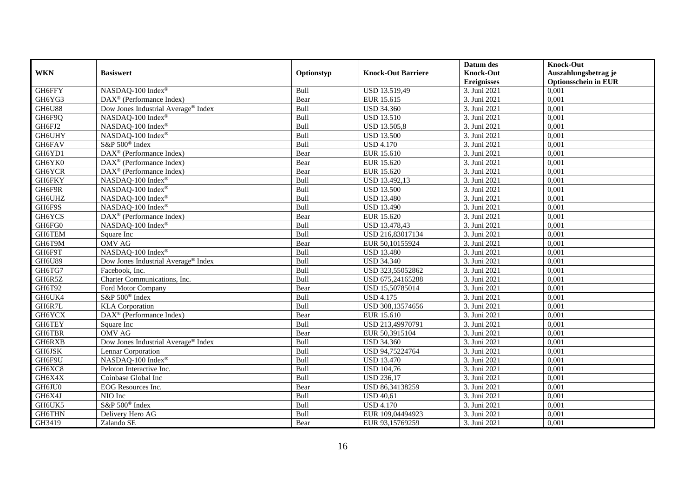|               |                                                       |             |                           | Datum des          | <b>Knock-Out</b>            |
|---------------|-------------------------------------------------------|-------------|---------------------------|--------------------|-----------------------------|
| <b>WKN</b>    | <b>Basiswert</b>                                      | Optionstyp  | <b>Knock-Out Barriere</b> | <b>Knock-Out</b>   | Auszahlungsbetrag je        |
|               |                                                       |             |                           | <b>Ereignisses</b> | <b>Optionsschein in EUR</b> |
| GH6FFY        | NASDAQ-100 Index®                                     | Bull        | USD 13.519,49             | 3. Juni 2021       | 0,001                       |
| GH6YG3        | $\overline{\text{DAX}^{\otimes}}$ (Performance Index) | Bear        | EUR 15.615                | 3. Juni 2021       | 0,001                       |
| GH6U88        | Dow Jones Industrial Average <sup>®</sup> Index       | Bull        | <b>USD 34.360</b>         | 3. Juni 2021       | 0,001                       |
| GH6F9Q        | NASDAQ-100 Index®                                     | Bull        | <b>USD 13.510</b>         | 3. Juni 2021       | 0,001                       |
| GH6FJ2        | NASDAQ-100 Index®                                     | Bull        | <b>USD 13.505,8</b>       | 3. Juni 2021       | 0,001                       |
| <b>GH6UHY</b> | NASDAQ-100 Index®                                     | Bull        | <b>USD 13.500</b>         | 3. Juni 2021       | 0,001                       |
| <b>GH6FAV</b> | S&P 500 <sup>®</sup> Index                            | Bull        | <b>USD 4.170</b>          | 3. Juni 2021       | 0,001                       |
| GH6YD1        | DAX <sup>®</sup> (Performance Index)                  | Bear        | EUR 15.610                | 3. Juni 2021       | 0,001                       |
| GH6YK0        | $DAX^{\circledast}$ (Performance Index)               | Bear        | EUR 15.620                | 3. Juni 2021       | 0,001                       |
| GH6YCR        | DAX <sup>®</sup> (Performance Index)                  | Bear        | EUR 15.620                | 3. Juni 2021       | 0,001                       |
| GH6FKY        | NASDAQ-100 Index®                                     | Bull        | USD 13.492,13             | 3. Juni 2021       | 0,001                       |
| GH6F9R        | NASDAQ-100 Index®                                     | Bull        | <b>USD 13.500</b>         | 3. Juni 2021       | 0,001                       |
| GH6UHZ        | NASDAQ-100 Index®                                     | Bull        | <b>USD 13.480</b>         | 3. Juni 2021       | 0,001                       |
| GH6F9S        | NASDAO-100 Index <sup>®</sup>                         | <b>Bull</b> | <b>USD 13.490</b>         | 3. Juni 2021       | 0.001                       |
| GH6YCS        | $DAX^{\circledast}$ (Performance Index)               | Bear        | EUR 15.620                | 3. Juni 2021       | 0,001                       |
| GH6FG0        | NASDAQ-100 Index®                                     | Bull        | USD 13.478,43             | 3. Juni 2021       | 0,001                       |
| GH6TEM        | Square Inc                                            | Bull        | USD 216,83017134          | 3. Juni 2021       | 0,001                       |
| GH6T9M        | <b>OMV AG</b>                                         | Bear        | EUR 50,10155924           | 3. Juni 2021       | 0,001                       |
| GH6F9T        | NASDAQ-100 Index®                                     | Bull        | <b>USD 13.480</b>         | 3. Juni 2021       | 0,001                       |
| GH6U89        | Dow Jones Industrial Average® Index                   | Bull        | <b>USD 34.340</b>         | 3. Juni 2021       | 0,001                       |
| GH6TG7        | Facebook, Inc.                                        | Bull        | USD 323,55052862          | 3. Juni 2021       | 0,001                       |
| GH6R5Z        | Charter Communications, Inc.                          | Bull        | USD 675,24165288          | 3. Juni 2021       | 0,001                       |
| GH6T92        | Ford Motor Company                                    | Bear        | USD 15,50785014           | 3. Juni 2021       | 0,001                       |
| GH6UK4        | S&P 500 <sup>®</sup> Index                            | Bull        | $USD$ 4.175               | 3. Juni 2021       | 0,001                       |
| GH6R7L        | <b>KLA</b> Corporation                                | Bull        | USD 308,13574656          | 3. Juni 2021       | 0,001                       |
| GH6YCX        | DAX <sup>®</sup> (Performance Index)                  | Bear        | EUR 15.610                | 3. Juni 2021       | 0,001                       |
| GH6TEY        | Square Inc                                            | Bull        | USD 213,49970791          | 3. Juni 2021       | 0,001                       |
| <b>GH6TBR</b> | <b>OMV AG</b>                                         | Bear        | EUR 50,3915104            | 3. Juni 2021       | 0,001                       |
| GH6RXB        | Dow Jones Industrial Average® Index                   | Bull        | <b>USD 34.360</b>         | 3. Juni 2021       | 0,001                       |
| <b>GH6JSK</b> | Lennar Corporation                                    | Bull        | USD 94,75224764           | 3. Juni 2021       | 0,001                       |
| GH6F9U        | NASDAQ-100 Index®                                     | Bull        | <b>USD 13.470</b>         | 3. Juni 2021       | 0,001                       |
| GH6XC8        | Peloton Interactive Inc.                              | Bull        | <b>USD 104,76</b>         | 3. Juni 2021       | 0,001                       |
| GH6X4X        | Coinbase Global Inc                                   | Bull        | <b>USD 236,17</b>         | 3. Juni 2021       | 0,001                       |
| GH6JU0        | EOG Resources Inc.                                    | Bear        | USD 86,34138259           | 3. Juni 2021       | 0,001                       |
| GH6X4J        | NIO Inc                                               | Bull        | <b>USD 40,61</b>          | 3. Juni 2021       | 0,001                       |
| GH6UK5        | S&P 500 <sup>®</sup> Index                            | Bull        | <b>USD 4.170</b>          | 3. Juni 2021       | 0,001                       |
| GH6THN        | Delivery Hero AG                                      | Bull        | EUR 109,04494923          | 3. Juni 2021       | 0,001                       |
| GH3419        | Zalando SE                                            | Bear        | EUR 93,15769259           | 3. Juni 2021       | 0,001                       |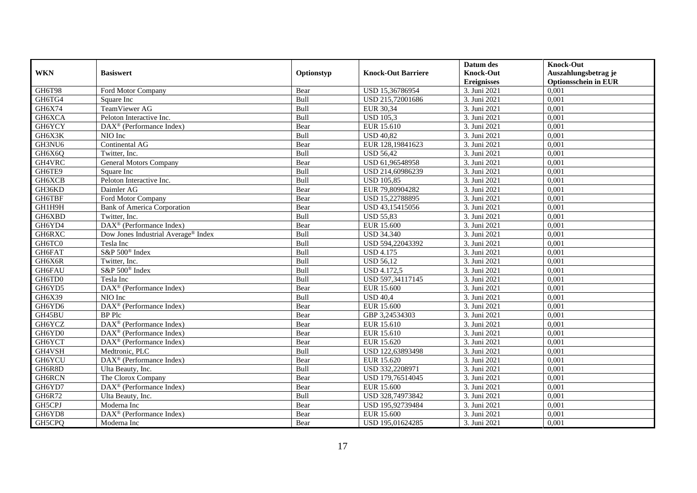|            |                                                         |             |                           | Datum des          | <b>Knock-Out</b>            |
|------------|---------------------------------------------------------|-------------|---------------------------|--------------------|-----------------------------|
| <b>WKN</b> | <b>Basiswert</b>                                        | Optionstyp  | <b>Knock-Out Barriere</b> | <b>Knock-Out</b>   | Auszahlungsbetrag je        |
|            |                                                         |             |                           | <b>Ereignisses</b> | <b>Optionsschein in EUR</b> |
| GH6T98     | Ford Motor Company                                      | Bear        | USD 15,36786954           | 3. Juni 2021       | 0,001                       |
| GH6TG4     | Square Inc                                              | Bull        | USD 215,72001686          | 3. Juni 2021       | 0,001                       |
| GH6X74     | TeamViewer AG                                           | Bull        | EUR 30,34                 | 3. Juni 2021       | 0,001                       |
| GH6XCA     | Peloton Interactive Inc.                                | Bull        | <b>USD 105,3</b>          | 3. Juni 2021       | 0,001                       |
| GH6YCY     | DAX <sup>®</sup> (Performance Index)                    | Bear        | EUR 15.610                | 3. Juni 2021       | 0,001                       |
| GH6X3K     | NIO Inc                                                 | Bull        | <b>USD 40,82</b>          | 3. Juni 2021       | 0.001                       |
| GH3NU6     | Continental AG                                          | Bear        | EUR 128,19841623          | 3. Juni 2021       | 0,001                       |
| GH6X6Q     | Twitter, Inc.                                           | Bull        | <b>USD 56,42</b>          | 3. Juni 2021       | 0,001                       |
| GH4VRC     | <b>General Motors Company</b>                           | Bear        | USD 61,96548958           | 3. Juni 2021       | 0,001                       |
| GH6TE9     | Square Inc                                              | Bull        | USD 214,60986239          | 3. Juni 2021       | 0,001                       |
| GH6XCB     | Peloton Interactive Inc.                                | Bull        | <b>USD 105,85</b>         | 3. Juni 2021       | 0,001                       |
| GH36KD     | Daimler AG                                              | Bear        | EUR 79,80904282           | 3. Juni 2021       | 0,001                       |
| GH6TBF     | Ford Motor Company                                      | Bear        | USD 15,22788895           | 3. Juni 2021       | 0,001                       |
| GH1H9H     | <b>Bank of America Corporation</b>                      | Bear        | USD 43,15415056           | 3. Juni 2021       | 0,001                       |
| GH6XBD     | Twitter, Inc.                                           | Bull        | <b>USD 55,83</b>          | 3. Juni 2021       | 0,001                       |
| GH6YD4     | DAX <sup>®</sup> (Performance Index)                    | Bear        | EUR 15.600                | 3. Juni 2021       | 0,001                       |
| GH6RXC     | Dow Jones Industrial Average® Index                     | Bull        | <b>USD 34.340</b>         | 3. Juni 2021       | 0,001                       |
| GH6TC0     | Tesla Inc                                               | <b>Bull</b> | USD 594.22043392          | 3. Juni 2021       | 0,001                       |
| GH6FAT     | S&P 500 <sup>®</sup> Index                              | Bull        | <b>USD 4.175</b>          | 3. Juni 2021       | 0,001                       |
| GH6X6R     | Twitter, Inc.                                           | Bull        | <b>USD 56,12</b>          | 3. Juni 2021       | 0,001                       |
| GH6FAU     | S&P 500 <sup>®</sup> Index                              | Bull        | <b>USD 4.172,5</b>        | 3. Juni 2021       | 0,001                       |
| GH6TD0     | Tesla Inc                                               | Bull        | USD 597,34117145          | 3. Juni 2021       | 0,001                       |
| GH6YD5     | DAX <sup>®</sup> (Performance Index)                    | Bear        | EUR 15.600                | 3. Juni 2021       | 0,001                       |
| GH6X39     | NIO Inc                                                 | Bull        | <b>USD 40,4</b>           | 3. Juni 2021       | 0,001                       |
| GH6YD6     | DAX <sup>®</sup> (Performance Index)                    | Bear        | EUR 15.600                | 3. Juni 2021       | 0,001                       |
| GH45BU     | BP Plc                                                  | Bear        | GBP 3,24534303            | 3. Juni 2021       | 0,001                       |
| GH6YCZ     | DAX <sup>®</sup> (Performance Index)                    | Bear        | EUR 15.610                | 3. Juni 2021       | 0,001                       |
| GH6YD0     | $\text{DAX}^{\circledast}$ (Performance Index)          | Bear        | EUR 15.610                | 3. Juni 2021       | 0.001                       |
| GH6YCT     | $\overline{\text{DAX}}^{\textcirc}$ (Performance Index) | Bear        | EUR 15.620                | 3. Juni 2021       | 0,001                       |
| GH4VSH     | Medtronic, PLC                                          | Bull        | USD 122,63893498          | 3. Juni 2021       | 0,001                       |
| GH6YCU     | DAX <sup>®</sup> (Performance Index)                    | Bear        | EUR 15.620                | 3. Juni 2021       | 0,001                       |
| GH6R8D     | Ulta Beauty, Inc.                                       | Bull        | USD 332,2208971           | 3. Juni 2021       | 0.001                       |
| GH6RCN     | The Clorox Company                                      | Bear        | USD 179,76514045          | 3. Juni 2021       | 0,001                       |
| GH6YD7     | DAX <sup>®</sup> (Performance Index)                    | Bear        | EUR 15.600                | 3. Juni 2021       | 0,001                       |
| GH6R72     | Ulta Beauty, Inc.                                       | Bull        | USD 328,74973842          | 3. Juni 2021       | 0,001                       |
| GH5CPJ     | Moderna Inc                                             | Bear        | USD 195,92739484          | 3. Juni 2021       | 0,001                       |
| GH6YD8     | DAX <sup>®</sup> (Performance Index)                    | Bear        | EUR 15.600                | 3. Juni 2021       | 0,001                       |
| GH5CPQ     | Moderna Inc                                             | Bear        | USD 195,01624285          | 3. Juni 2021       | 0,001                       |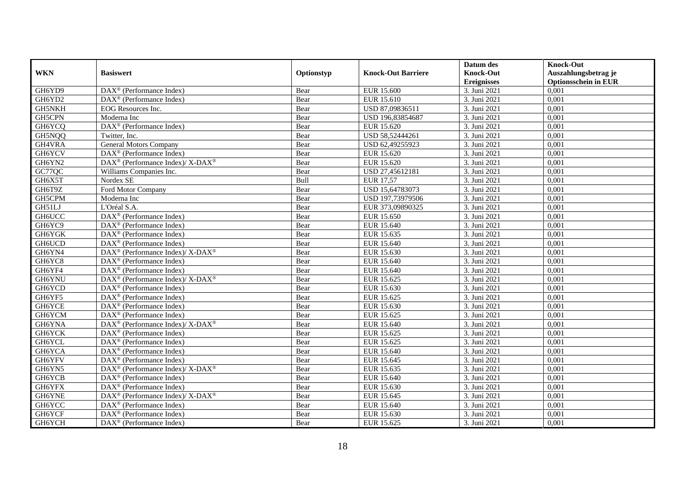|               |                                                                           |            |                           | Datum des          | <b>Knock-Out</b>            |
|---------------|---------------------------------------------------------------------------|------------|---------------------------|--------------------|-----------------------------|
| <b>WKN</b>    | <b>Basiswert</b>                                                          | Optionstyp | <b>Knock-Out Barriere</b> | <b>Knock-Out</b>   | Auszahlungsbetrag je        |
|               |                                                                           |            |                           | <b>Ereignisses</b> | <b>Optionsschein in EUR</b> |
| GH6YD9        | $\overline{\text{DAX}^{\otimes}}$ (Performance Index)                     | Bear       | <b>EUR 15.600</b>         | 3. Juni 2021       | 0,001                       |
| GH6YD2        | $DAX^{\circledR}$ (Performance Index)                                     | Bear       | EUR 15.610                | 3. Juni 2021       | 0,001                       |
| GH5NKH        | <b>EOG</b> Resources Inc.                                                 | Bear       | USD 87,09836511           | 3. Juni 2021       | 0,001                       |
| GH5CPN        | Moderna Inc                                                               | Bear       | USD 196,83854687          | 3. Juni 2021       | 0,001                       |
| GH6YCQ        | DAX <sup>®</sup> (Performance Index)                                      | Bear       | EUR 15.620                | 3. Juni 2021       | 0,001                       |
| GH5NQQ        | Twitter, Inc.                                                             | Bear       | USD 58,52444261           | 3. Juni 2021       | 0.001                       |
| GH4VRA        | General Motors Company                                                    | Bear       | USD 62,49255923           | 3. Juni 2021       | 0,001                       |
| GH6YCV        | $DAX^{\circledR}$ (Performance Index)                                     | Bear       | EUR 15.620                | 3. Juni 2021       | 0,001                       |
| GH6YN2        | $DAX^{\circledast}$ (Performance Index)/X-DAX <sup>®</sup>                | Bear       | EUR 15.620                | 3. Juni 2021       | 0,001                       |
| GC77QC        | Williams Companies Inc.                                                   | Bear       | USD 27,45612181           | 3. Juni 2021       | 0,001                       |
| GH6X5T        | Nordex SE                                                                 | Bull       | EUR 17,57                 | 3. Juni 2021       | 0,001                       |
| GH6T9Z        | Ford Motor Company                                                        | Bear       | USD 15,64783073           | 3. Juni 2021       | 0,001                       |
| GH5CPM        | Moderna Inc                                                               | Bear       | USD 197,73979506          | 3. Juni 2021       | 0,001                       |
| GH51LJ        | L'Oréal S.A.                                                              | Bear       | EUR 373,09890325          | 3. Juni 2021       | 0,001                       |
| <b>GH6UCC</b> | DAX <sup>®</sup> (Performance Index)                                      | Bear       | EUR 15.650                | 3. Juni 2021       | 0,001                       |
| GH6YC9        | $DAX^{\circledast}$ (Performance Index)                                   | Bear       | EUR 15.640                | 3. Juni 2021       | 0,001                       |
| GH6YGK        | DAX <sup>®</sup> (Performance Index)                                      | Bear       | EUR 15.635                | 3. Juni 2021       | 0,001                       |
| GH6UCD        | $\overline{\text{DAX}}^{\textcirc}$ (Performance Index)                   | Bear       | EUR 15.640                | 3. Juni 2021       | 0,001                       |
| GH6YN4        | $DAX^{\circledast}$ (Performance Index)/X-DAX <sup>®</sup>                | Bear       | EUR 15.630                | 3. Juni 2021       | 0,001                       |
| GH6YC8        | $\overline{\text{DAX}^{\otimes}}$ (Performance Index)                     | Bear       | EUR 15.640                | 3. Juni 2021       | 0,001                       |
| GH6YF4        | DAX <sup>®</sup> (Performance Index)                                      | Bear       | EUR 15.640                | 3. Juni 2021       | 0,001                       |
| <b>GH6YNU</b> | $DAX^{\circledast}$ (Performance Index)/ $\overline{X-DAX^{\circledast}}$ | Bear       | EUR 15.625                | 3. Juni 2021       | 0,001                       |
| GH6YCD        | $\overline{\text{DAX}}^{\textcirc}$ (Performance Index)                   | Bear       | EUR 15.630                | 3. Juni 2021       | 0,001                       |
| GH6YF5        | DAX <sup>®</sup> (Performance Index)                                      | Bear       | EUR 15.625                | 3. Juni 2021       | 0,001                       |
| GH6YCE        | DAX <sup>®</sup> (Performance Index)                                      | Bear       | EUR 15.630                | 3. Juni 2021       | 0,001                       |
| GH6YCM        | $DAX^{\circledast}$ (Performance Index)                                   | Bear       | EUR 15.625                | 3. Juni 2021       | 0,001                       |
| GH6YNA        | DAX <sup>®</sup> (Performance Index)/ X-DAX <sup>®</sup>                  | Bear       | EUR 15.640                | 3. Juni 2021       | 0,001                       |
| GH6YCK        | $DAX^{\circledR}$ (Performance Index)                                     | Bear       | EUR 15.625                | 3. Juni 2021       | 0.001                       |
| GH6YCL        | $DAX^{\circledR}$ (Performance Index)                                     | Bear       | EUR 15.625                | 3. Juni 2021       | 0,001                       |
| GH6YCA        | $DAX^{\circledR}$ (Performance Index)                                     | Bear       | EUR 15.640                | 3. Juni 2021       | 0,001                       |
| GH6YFV        | $DAX^{\circledR}$ (Performance Index)                                     | Bear       | EUR 15.645                | 3. Juni 2021       | 0,001                       |
| GH6YN5        | DAX <sup>®</sup> (Performance Index)/ X-DAX <sup>®</sup>                  | Bear       | EUR 15.635                | 3. Juni 2021       | 0.001                       |
| GH6YCB        | $\overline{\text{DAX}^{\otimes}}$ (Performance Index)                     | Bear       | EUR 15.640                | 3. Juni 2021       | 0,001                       |
| GH6YFX        | $\overline{\text{DAX}^{\otimes}}$ (Performance Index)                     | Bear       | EUR 15.630                | 3. Juni 2021       | 0,001                       |
| GH6YNE        | DAX <sup>®</sup> (Performance Index)/ X-DAX <sup>®</sup>                  | Bear       | EUR 15.645                | 3. Juni 2021       | 0,001                       |
| GH6YCC        | $DAX^{\circledast}$ (Performance Index)                                   | Bear       | EUR 15.640                | 3. Juni 2021       | 0,001                       |
| GH6YCF        | DAX <sup>®</sup> (Performance Index)                                      | Bear       | EUR 15.630                | 3. Juni 2021       | 0,001                       |
| GH6YCH        | $\text{DAX}^{\textcircled{}}$ (Performance Index)                         | Bear       | EUR 15.625                | 3. Juni 2021       | 0,001                       |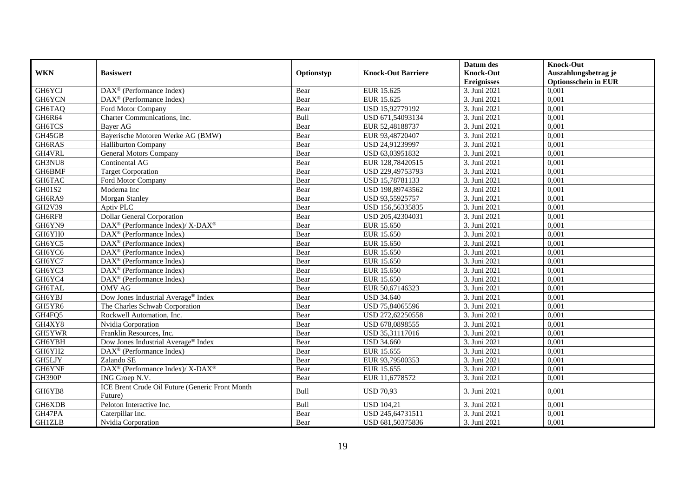|               |                                                          |            |                           | Datum des                          | <b>Knock-Out</b>                     |
|---------------|----------------------------------------------------------|------------|---------------------------|------------------------------------|--------------------------------------|
| <b>WKN</b>    | <b>Basiswert</b>                                         | Optionstyp | <b>Knock-Out Barriere</b> | <b>Knock-Out</b>                   | Auszahlungsbetrag je                 |
| GH6YCJ        | $\overline{\text{DAX}^{\otimes}}$ (Performance Index)    | Bear       | EUR 15.625                | <b>Ereignisses</b><br>3. Juni 2021 | <b>Optionsschein in EUR</b><br>0,001 |
|               |                                                          |            |                           |                                    |                                      |
| GH6YCN        | $DAX^{\circledR}$ (Performance Index)                    | Bear       | EUR 15.625                | 3. Juni 2021                       | 0,001                                |
| GH6TAQ        | Ford Motor Company                                       | Bear       | USD 15,92779192           | 3. Juni 2021                       | 0,001                                |
| GH6R64        | Charter Communications, Inc.                             | Bull       | USD 671,54093134          | 3. Juni 2021                       | 0,001                                |
| GH6TCS        | Bayer AG                                                 | Bear       | EUR 52,48188737           | 3. Juni 2021                       | 0,001                                |
| GH45GB        | Bayerische Motoren Werke AG (BMW)                        | Bear       | EUR 93,48720407           | 3. Juni 2021                       | 0,001                                |
| GH6RAS        | <b>Halliburton Company</b>                               | Bear       | USD 24,91239997           | 3. Juni 2021                       | 0,001                                |
| GH4VRL        | <b>General Motors Company</b>                            | Bear       | USD 63,03951832           | 3. Juni 2021                       | 0,001                                |
| GH3NU8        | Continental AG                                           | Bear       | EUR 128,78420515          | 3. Juni 2021                       | 0,001                                |
| GH6BMF        | <b>Target Corporation</b>                                | Bear       | USD 229,49753793          | 3. Juni 2021                       | 0,001                                |
| <b>GH6TAC</b> | Ford Motor Company                                       | Bear       | USD 15,78781133           | 3. Juni 2021                       | 0,001                                |
| GH01S2        | Moderna Inc                                              | Bear       | USD 198,89743562          | 3. Juni 2021                       | 0,001                                |
| GH6RA9        | <b>Morgan Stanley</b>                                    | Bear       | USD 93,55925757           | 3. Juni 2021                       | 0,001                                |
| GH2V39        | Aptiv PLC                                                | Bear       | USD 156,56335835          | 3. Juni 2021                       | 0,001                                |
| GH6RF8        | <b>Dollar General Corporation</b>                        | Bear       | USD 205,42304031          | 3. Juni 2021                       | 0,001                                |
| GH6YN9        | DAX <sup>®</sup> (Performance Index)/ X-DAX <sup>®</sup> | Bear       | EUR 15.650                | 3. Juni 2021                       | 0,001                                |
| GH6YH0        | DAX <sup>®</sup> (Performance Index)                     | Bear       | EUR 15.650                | 3. Juni 2021                       | 0,001                                |
| GH6YC5        | $DAX^{\circledcirc}$ (Performance Index)                 | Bear       | EUR 15.650                | 3. Juni 2021                       | 0,001                                |
| GH6YC6        | $DAX^{\circledR}$ (Performance Index)                    | Bear       | EUR 15.650                | 3. Juni 2021                       | 0,001                                |
| GH6YC7        | $\overline{\text{DAX}^{\otimes}}$ (Performance Index)    | Bear       | EUR 15.650                | 3. Juni 2021                       | 0,001                                |
| GH6YC3        | $\overline{\text{DAX}^{\otimes}}$ (Performance Index)    | Bear       | EUR 15.650                | 3. Juni 2021                       | 0,001                                |
| GH6YC4        | DAX <sup>®</sup> (Performance Index)                     | Bear       | EUR 15.650                | 3. Juni 2021                       | 0,001                                |
| GH6TAL        | <b>OMV AG</b>                                            | Bear       | EUR 50,67146323           | 3. Juni 2021                       | 0,001                                |
| GH6YBJ        | Dow Jones Industrial Average <sup>®</sup> Index          | Bear       | <b>USD 34.640</b>         | 3. Juni 2021                       | 0,001                                |
| GH5YR6        | The Charles Schwab Corporation                           | Bear       | USD 75,84065596           | 3. Juni 2021                       | 0,001                                |
| GH4FQ5        | Rockwell Automation, Inc.                                | Bear       | USD 272,62250558          | 3. Juni 2021                       | 0,001                                |
| GH4XY8        | Nvidia Corporation                                       | Bear       | USD 678,0898555           | 3. Juni 2021                       | 0,001                                |
| GH5YWR        | Franklin Resources, Inc.                                 | Bear       | USD 35,31117016           | 3. Juni 2021                       | 0.001                                |
| GH6YBH        | Dow Jones Industrial Average <sup>®</sup> Index          | Bear       | <b>USD 34.660</b>         | 3. Juni 2021                       | 0,001                                |
| GH6YH2        | DAX <sup>®</sup> (Performance Index)                     | Bear       | EUR 15.655                | 3. Juni 2021                       | 0,001                                |
| GH5LJY        | Zalando SE                                               | Bear       | EUR 93,79500353           | 3. Juni 2021                       | 0,001                                |
| GH6YNF        | DAX <sup>®</sup> (Performance Index)/X-DAX <sup>®</sup>  | Bear       | EUR 15.655                | 3. Juni 2021                       | 0,001                                |
| GH390P        | ING Groep N.V.                                           | Bear       | EUR 11,6778572            | 3. Juni 2021                       | 0,001                                |
| GH6YB8        | ICE Brent Crude Oil Future (Generic Front Month          | Bull       | <b>USD 70,93</b>          | 3. Juni 2021                       | 0,001                                |
|               | Future)                                                  |            |                           |                                    |                                      |
| GH6XDB        | Peloton Interactive Inc.                                 | Bull       | <b>USD 104,21</b>         | 3. Juni 2021                       | 0,001                                |
| GH47PA        | Caterpillar Inc.                                         | Bear       | USD 245,64731511          | 3. Juni 2021                       | 0,001                                |
| <b>GH1ZLB</b> | Nvidia Corporation                                       | Bear       | USD 681,50375836          | 3. Juni 2021                       | 0,001                                |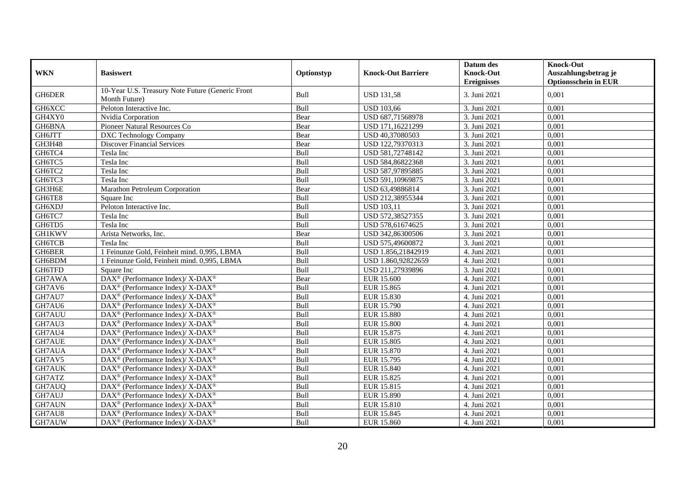|               |                                                                   |            |                           | Datum des          | <b>Knock-Out</b>            |
|---------------|-------------------------------------------------------------------|------------|---------------------------|--------------------|-----------------------------|
| <b>WKN</b>    | <b>Basiswert</b>                                                  | Optionstyp | <b>Knock-Out Barriere</b> | <b>Knock-Out</b>   | Auszahlungsbetrag je        |
|               |                                                                   |            |                           | <b>Ereignisses</b> | <b>Optionsschein in EUR</b> |
| GH6DER        | 10-Year U.S. Treasury Note Future (Generic Front<br>Month Future) | Bull       | <b>USD 131,58</b>         | 3. Juni 2021       | 0,001                       |
| <b>GH6XCC</b> | Peloton Interactive Inc.                                          | Bull       | <b>USD 103,66</b>         | 3. Juni 2021       | 0,001                       |
| GH4XY0        | Nvidia Corporation                                                | Bear       | USD 687,71568978          | 3. Juni 2021       | 0,001                       |
| GH6BNA        | Pioneer Natural Resources Co                                      | Bear       | USD 171,16221299          | 3. Juni 2021       | 0,001                       |
| GH6JTT        | DXC Technology Company                                            | Bear       | USD 40,37080503           | 3. Juni 2021       | 0,001                       |
| GH3H48        | <b>Discover Financial Services</b>                                | Bear       | USD 122,79370313          | 3. Juni 2021       | 0,001                       |
| GH6TC4        | Tesla Inc                                                         | Bull       | USD 581.72748142          | 3. Juni 2021       | 0,001                       |
| GH6TC5        | Tesla Inc                                                         | Bull       | USD 584,86822368          | 3. Juni 2021       | 0,001                       |
| GH6TC2        | Tesla Inc                                                         | Bull       | USD 587,97895885          | 3. Juni 2021       | 0,001                       |
| GH6TC3        | Tesla Inc                                                         | Bull       | USD 591,10969875          | 3. Juni 2021       | 0,001                       |
| GH3H6E        | Marathon Petroleum Corporation                                    | Bear       | USD 63,49886814           | 3. Juni 2021       | 0,001                       |
| GH6TE8        | Square Inc                                                        | Bull       | USD 212,38955344          | 3. Juni 2021       | 0.001                       |
| GH6XDJ        | Peloton Interactive Inc.                                          | Bull       | <b>USD</b> 103,11         | 3. Juni 2021       | 0,001                       |
| GH6TC7        | Tesla Inc                                                         | Bull       | USD 572,38527355          | 3. Juni 2021       | 0,001                       |
| GH6TD5        | Tesla Inc                                                         | Bull       | USD 578,61674625          | 3. Juni 2021       | 0,001                       |
| <b>GH1KWV</b> | Arista Networks, Inc.                                             | Bear       | USD 342,86300506          | 3. Juni 2021       | 0,001                       |
| GH6TCB        | Tesla Inc                                                         | Bull       | USD 575,49600872          | 3. Juni 2021       | 0.001                       |
| GH6BER        | 1 Feinunze Gold, Feinheit mind. 0,995, LBMA                       | Bull       | USD 1.856,21842919        | 4. Juni 2021       | 0,001                       |
| GH6BDM        | 1 Feinunze Gold, Feinheit mind. 0,995, LBMA                       | Bull       | USD 1.860,92822659        | 4. Juni 2021       | 0,001                       |
| GH6TFD        | Square Inc                                                        | Bull       | USD 211,27939896          | 3. Juni 2021       | 0,001                       |
| GH7AWA        | DAX <sup>®</sup> (Performance Index)/X-DAX <sup>®</sup>           | Bear       | <b>EUR 15.600</b>         | 4. Juni 2021       | 0,001                       |
| GH7AV6        | DAX <sup>®</sup> (Performance Index)/ X-DAX <sup>®</sup>          | Bull       | <b>EUR 15.865</b>         | 4. Juni 2021       | 0.001                       |
| GH7AU7        | DAX <sup>®</sup> (Performance Index)/ X-DAX <sup>®</sup>          | Bull       | EUR 15.830                | 4. Juni 2021       | 0,001                       |
| GH7AU6        | DAX <sup>®</sup> (Performance Index)/X-DAX <sup>®</sup>           | Bull       | <b>EUR 15.790</b>         | 4. Juni 2021       | 0,001                       |
| GH7AUU        | DAX <sup>®</sup> (Performance Index)/ X-DAX <sup>®</sup>          | Bull       | <b>EUR 15.880</b>         | 4. Juni 2021       | 0,001                       |
| GH7AU3        | $DAX^{\circledast}$ (Performance Index)/X-DAX <sup>®</sup>        | Bull       | <b>EUR 15.800</b>         | 4. Juni 2021       | 0,001                       |
| GH7AU4        | $DAX^{\circledast}$ (Performance Index)/ X-DAX <sup>®</sup>       | Bull       | <b>EUR 15.875</b>         | 4. Juni 2021       | 0,001                       |
| <b>GH7AUE</b> | $DAX^{\circledast}$ (Performance Index)/ X-DAX <sup>®</sup>       | Bull       | <b>EUR 15.805</b>         | 4. Juni 2021       | 0,001                       |
| GH7AUA        | $DAX^{\circledast}$ (Performance Index)/ X-DAX <sup>®</sup>       | Bull       | EUR 15.870                | 4. Juni 2021       | 0,001                       |
| GH7AV5        | $DAX^{\circledast}$ (Performance Index)/X-DAX <sup>®</sup>        | Bull       | EUR 15.795                | 4. Juni 2021       | 0,001                       |
| GH7AUK        | $DAX^{\circledast}$ (Performance Index)/X-DAX <sup>®</sup>        | Bull       | EUR 15.840                | 4. Juni 2021       | 0,001                       |
| GH7ATZ        | DAX <sup>®</sup> (Performance Index)/ X-DAX <sup>®</sup>          | Bull       | EUR 15.825                | 4. Juni 2021       | 0,001                       |
| GH7AUQ        | DAX <sup>®</sup> (Performance Index)/X-DAX <sup>®</sup>           | Bull       | EUR 15.815                | 4. Juni 2021       | 0,001                       |
| GH7AUJ        | DAX <sup>®</sup> (Performance Index)/X-DAX <sup>®</sup>           | Bull       | EUR 15.890                | 4. Juni 2021       | 0,001                       |
| GH7AUN        | DAX <sup>®</sup> (Performance Index)/ X-DAX <sup>®</sup>          | Bull       | EUR 15.810                | 4. Juni 2021       | 0,001                       |
| GH7AU8        | DAX <sup>®</sup> (Performance Index)/ X-DAX <sup>®</sup>          | Bull       | EUR 15.845                | 4. Juni 2021       | 0,001                       |
| GH7AUW        | $DAX^{\circledast}$ (Performance Index)/ X-DAX <sup>®</sup>       | Bull       | EUR 15.860                | 4. Juni 2021       | 0,001                       |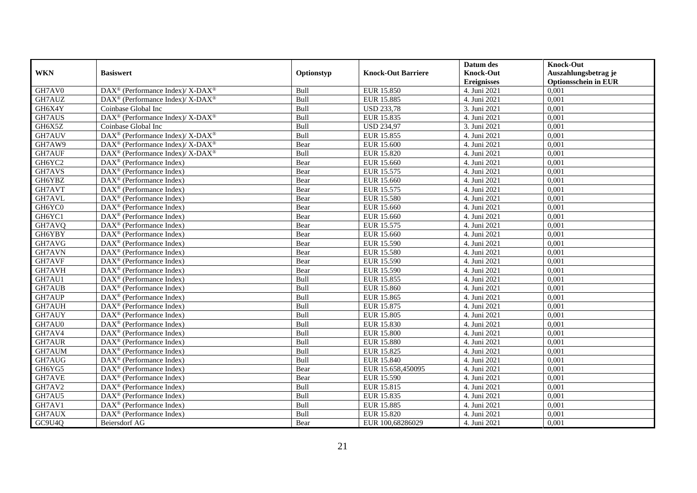|            |                                                                          |            |                           | Datum des          | <b>Knock-Out</b>            |
|------------|--------------------------------------------------------------------------|------------|---------------------------|--------------------|-----------------------------|
| <b>WKN</b> | <b>Basiswert</b>                                                         | Optionstyp | <b>Knock-Out Barriere</b> | <b>Knock-Out</b>   | Auszahlungsbetrag je        |
|            |                                                                          |            |                           | <b>Ereignisses</b> | <b>Optionsschein in EUR</b> |
| GH7AV0     | DAX <sup>®</sup> (Performance Index)/ X-DAX <sup>®</sup>                 | Bull       | <b>EUR 15.850</b>         | 4. Juni 2021       | 0,001                       |
| GH7AUZ     | DAX <sup>®</sup> (Performance Index)/ X-DAX <sup>®</sup>                 | Bull       | <b>EUR 15.885</b>         | 4. Juni 2021       | 0,001                       |
| GH6X4Y     | Coinbase Global Inc                                                      | Bull       | <b>USD 233,78</b>         | 3. Juni 2021       | 0,001                       |
| GH7AUS     | $\overline{\text{DAX}^{\otimes}}$ (Performance Index)/X-DAX <sup>®</sup> | Bull       | EUR 15.835                | 4. Juni 2021       | 0,001                       |
| GH6X5Z     | Coinbase Global Inc                                                      | Bull       | <b>USD 234,97</b>         | 3. Juni 2021       | 0,001                       |
| GH7AUV     | DAX <sup>®</sup> (Performance Index)/ X-DAX <sup>®</sup>                 | Bull       | EUR 15.855                | 4. Juni 2021       | 0,001                       |
| GH7AW9     | DAX <sup>®</sup> (Performance Index)/ X-DAX <sup>®</sup>                 | Bear       | <b>EUR 15.600</b>         | 4. Juni 2021       | 0,001                       |
| GH7AUF     | $\text{DAX}^{\circledast}$ (Performance Index)/ X-DAX <sup>®</sup>       | Bull       | <b>EUR 15.820</b>         | 4. Juni 2021       | 0,001                       |
| GH6YC2     | $\text{DAX}^{\textcircled{n}}$ (Performance Index)                       | Bear       | EUR 15.660                | 4. Juni 2021       | 0,001                       |
| GH7AVS     | $\text{DAX}^{\otimes}$ (Performance Index)                               | Bear       | EUR 15.575                | 4. Juni 2021       | 0,001                       |
| GH6YBZ     | $\overline{\text{DAX}}^{\textcircled{}}$ (Performance Index)             | Bear       | EUR 15.660                | 4. Juni 2021       | 0,001                       |
| GH7AVT     | $\overline{\text{DAX}}^{\textcirc}$ (Performance Index)                  | Bear       | EUR 15.575                | 4. Juni 2021       | 0,001                       |
| GH7AVL     | $\text{DAX}^{\textcircled{n}}$ (Performance Index)                       | Bear       | <b>EUR 15.580</b>         | 4. Juni 2021       | 0,001                       |
| GH6YC0     | $DAX^{\circledR}$ (Performance Index)                                    | Bear       | EUR 15.660                | 4. Juni 2021       | 0,001                       |
| GH6YC1     | $\text{DAX}^{\otimes}$ (Performance Index)                               | Bear       | EUR 15.660                | 4. Juni 2021       | 0,001                       |
| GH7AVQ     | DAX <sup>®</sup> (Performance Index)                                     | Bear       | EUR 15.575                | 4. Juni 2021       | 0,001                       |
| GH6YBY     | DAX <sup>®</sup> (Performance Index)                                     | Bear       | EUR 15.660                | 4. Juni 2021       | 0,001                       |
| GH7AVG     | $DAX^{\circledR}$ (Performance Index)                                    | Bear       | EUR 15.590                | 4. Juni 2021       | 0,001                       |
| GH7AVN     | DAX <sup>®</sup> (Performance Index)                                     | Bear       | <b>EUR 15.580</b>         | 4. Juni 2021       | 0,001                       |
| GH7AVF     | DAX <sup>®</sup> (Performance Index)                                     | Bear       | EUR 15.590                | 4. Juni 2021       | 0,001                       |
| GH7AVH     | DAX <sup>®</sup> (Performance Index)                                     | Bear       | <b>EUR 15.590</b>         | 4. Juni $2021$     | 0,001                       |
| GH7AU1     | $\overline{\text{DAX}^{\otimes}}$ (Performance Index)                    | Bull       | EUR 15.855                | 4. Juni 2021       | 0,001                       |
| GH7AUB     | DAX <sup>®</sup> (Performance Index)                                     | Bull       | <b>EUR 15.860</b>         | 4. Juni 2021       | 0,001                       |
| GH7AUP     | $\text{DAX}^{\circledast}$ (Performance Index)                           | Bull       | EUR 15.865                | 4. Juni 2021       | 0,001                       |
| GH7AUH     | DAX <sup>®</sup> (Performance Index)                                     | Bull       | EUR 15.875                | 4. Juni 2021       | 0.001                       |
| GH7AUY     | DAX <sup>®</sup> (Performance Index)                                     | Bull       | <b>EUR 15.805</b>         | 4. Juni 2021       | 0,001                       |
| GH7AU0     | DAX <sup>®</sup> (Performance Index)                                     | Bull       | <b>EUR 15.830</b>         | 4. Juni 2021       | 0,001                       |
| GH7AV4     | $\text{DAX}^{\textcircled{p}}$ (Performance Index)                       | Bull       | <b>EUR 15.800</b>         | 4. Juni 2021       | 0,001                       |
| GH7AUR     | $\overline{\text{DAX}^{\otimes}}$ (Performance Index)                    | Bull       | <b>EUR 15.880</b>         | 4. Juni 2021       | 0,001                       |
| GH7AUM     | $\text{DAX}^{\circledast}$ (Performance Index)                           | Bull       | EUR 15.825                | 4. Juni 2021       | 0,001                       |
| GH7AUG     | $\text{DAX}^{\textcircled{n}}$ (Performance Index)                       | Bull       | EUR 15.840                | 4. Juni 2021       | 0,001                       |
| GH6YG5     | $DAX^{\circledR}$ (Performance Index)                                    | Bear       | EUR 15.658,450095         | 4. Juni 2021       | 0.001                       |
| GH7AVE     | $\overline{\text{DAX}}^{\textcirc}$ (Performance Index)                  | Bear       | <b>EUR 15.590</b>         | 4. Juni 2021       | 0,001                       |
| GH7AV2     | $\overline{\text{DAX}}^{\textcirc}$ (Performance Index)                  | Bull       | EUR 15.815                | 4. Juni 2021       | 0,001                       |
| GH7AU5     | DAX <sup>®</sup> (Performance Index)                                     | Bull       | EUR 15.835                | 4. Juni 2021       | 0,001                       |
| GH7AV1     | DAX <sup>®</sup> (Performance Index)                                     | Bull       | EUR 15.885                | 4. Juni 2021       | 0,001                       |
| GH7AUX     | DAX <sup>®</sup> (Performance Index)                                     | Bull       | EUR 15.820                | 4. Juni 2021       | 0,001                       |
| GC9U4Q     | Beiersdorf AG                                                            | Bear       | EUR 100,68286029          | 4. Juni 2021       | 0,001                       |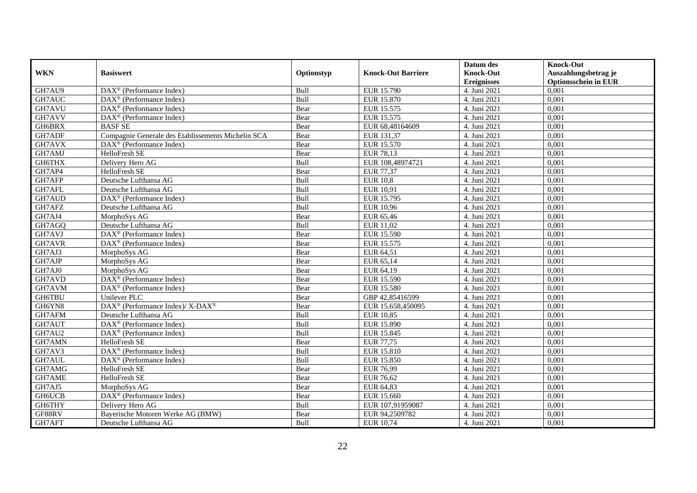|               |                                                                  |            |                           | Datum des          | <b>Knock-Out</b>            |
|---------------|------------------------------------------------------------------|------------|---------------------------|--------------------|-----------------------------|
| <b>WKN</b>    | <b>Basiswert</b>                                                 | Optionstyp | <b>Knock-Out Barriere</b> | <b>Knock-Out</b>   | Auszahlungsbetrag je        |
|               |                                                                  |            |                           | <b>Ereignisses</b> | <b>Optionsschein in EUR</b> |
| GH7AU9        | $\overline{\text{DAX}^{\otimes}}$ (Performance Index)            | Bull       | EUR 15.790                | 4. Juni 2021       | 0,001                       |
| GH7AUC        | $\text{DAX}^{\textcircled{D}}$ (Performance Index)               | Bull       | <b>EUR 15.870</b>         | 4. Juni 2021       | 0,001                       |
| GH7AVU        | DAX <sup>®</sup> (Performance Index)                             | Bear       | EUR 15.575                | 4. Juni 2021       | 0,001                       |
| GH7AVV        | $\text{DAX}^{\circledast}$ (Performance Index)                   | Bear       | EUR 15.575                | 4. Juni 2021       | 0,001                       |
| GH6BRX        | <b>BASF SE</b>                                                   | Bear       | EUR 68,48164609           | 4. Juni 2021       | 0,001                       |
| GH7ADF        | Compagnie Generale des Etablissements Michelin SCA               | Bear       | EUR 131,37                | 4. Juni 2021       | 0,001                       |
| GH7AVX        | $\text{DAX}^{\textcircled{n}}$ (Performance Index)               | Bear       | EUR 15.570                | 4. Juni 2021       | 0,001                       |
| GH7AMJ        | HelloFresh SE                                                    | Bear       | EUR 78,13                 | 4. Juni 2021       | 0,001                       |
| <b>GH6THX</b> | Delivery Hero AG                                                 | Bull       | EUR 108,48974721          | 4. Juni 2021       | 0,001                       |
| GH7AP4        | HelloFresh SE                                                    | Bear       | EUR 77,37                 | 4. Juni 2021       | 0,001                       |
| GH7AFP        | Deutsche Lufthansa AG                                            | Bull       | <b>EUR 10,8</b>           | 4. Juni 2021       | 0,001                       |
| GH7AFL        | Deutsche Lufthansa AG                                            | Bull       | EUR 10,91                 | 4. Juni 2021       | 0,001                       |
| GH7AUD        | DAX <sup>®</sup> (Performance Index)                             | Bull       | EUR 15.795                | 4. Juni 2021       | 0,001                       |
| GH7AFZ        | Deutsche Lufthansa AG                                            | Bull       | EUR 10,96                 | 4. Juni 2021       | 0,001                       |
| GH7AJ4        | MorphoSys AG                                                     | Bear       | EUR 65,46                 | 4. Juni 2021       | 0,001                       |
| GH7AGQ        | Deutsche Lufthansa AG                                            | Bull       | EUR 11,02                 | 4. Juni 2021       | 0,001                       |
| GH7AVJ        | DAX <sup>®</sup> (Performance Index)                             | Bear       | EUR 15.590                | 4. Juni 2021       | 0,001                       |
| GH7AVR        | $DAX^{\circledR}$ (Performance Index)                            | Bear       | EUR 15.575                | 4. Juni 2021       | 0,001                       |
| GH7AJ3        | MorphoSys AG                                                     | Bear       | EUR 64,51                 | 4. Juni 2021       | 0,001                       |
| GH7AJP        | MorphoSys AG                                                     | Bear       | EUR 65,14                 | 4. Juni 2021       | 0,001                       |
| GH7AJ0        | MorphoSys AG                                                     | Bear       | EUR 64,19                 | 4. Juni 2021       | 0,001                       |
| GH7AVD        | DAX <sup>®</sup> (Performance Index)                             | Bear       | <b>EUR 15.590</b>         | 4. Juni 2021       | 0,001                       |
| GH7AVM        | $\overline{\text{DAX}}^{\textcirc}$ (Performance Index)          | Bear       | <b>EUR 15.580</b>         | 4. Juni 2021       | 0,001                       |
| GH6TBU        | Unilever PLC                                                     | Bear       | GBP 42,85416599           | 4. Juni 2021       | 0,001                       |
| GH6YN8        | $\text{DAX}^{\circledR}$ (Performance Index)/ X-DAX <sup>®</sup> | Bear       | EUR 15.658,450095         | 4. Juni 2021       | 0,001                       |
| GH7AFM        | Deutsche Lufthansa AG                                            | Bull       | <b>EUR 10,85</b>          | 4. Juni 2021       | 0,001                       |
| GH7AUT        | DAX <sup>®</sup> (Performance Index)                             | Bull       | <b>EUR 15.890</b>         | 4. Juni 2021       | 0,001                       |
| GH7AU2        | $\overline{\text{DAX}^{\otimes}}$ (Performance Index)            | Bull       | <b>EUR 15.845</b>         | 4. Juni 2021       | 0.001                       |
| GH7AMN        | HelloFresh SE                                                    | Bear       | <b>EUR 77,75</b>          | 4. Juni 2021       | 0,001                       |
| GH7AV3        | DAX <sup>®</sup> (Performance Index)                             | Bull       | <b>EUR 15.810</b>         | 4. Juni 2021       | 0,001                       |
| GH7AUL        | DAX <sup>®</sup> (Performance Index)                             | Bull       | EUR 15.850                | 4. Juni 2021       | 0,001                       |
| GH7AMG        | HelloFresh SE                                                    | Bear       | EUR 76,99                 | 4. Juni 2021       | 0.001                       |
| GH7AME        | HelloFresh SE                                                    | Bear       | EUR 76,62                 | 4. Juni 2021       | 0,001                       |
| GH7AJ5        | MorphoSys AG                                                     | Bear       | EUR 64,83                 | 4. Juni 2021       | 0,001                       |
| <b>GH6UCB</b> | $\text{DAX}^{\circledast}$ (Performance Index)                   | Bear       | EUR 15.660                | 4. Juni 2021       | 0,001                       |
| GH6THY        | Delivery Hero AG                                                 | Bull       | EUR 107,91959087          | 4. Juni 2021       | 0,001                       |
| GF88RV        | Bayerische Motoren Werke AG (BMW)                                | Bear       | EUR 94,2509782            | 4. Juni 2021       | 0,001                       |
| GH7AFT        | Deutsche Lufthansa AG                                            | Bull       | EUR 10,74                 | 4. Juni 2021       | 0,001                       |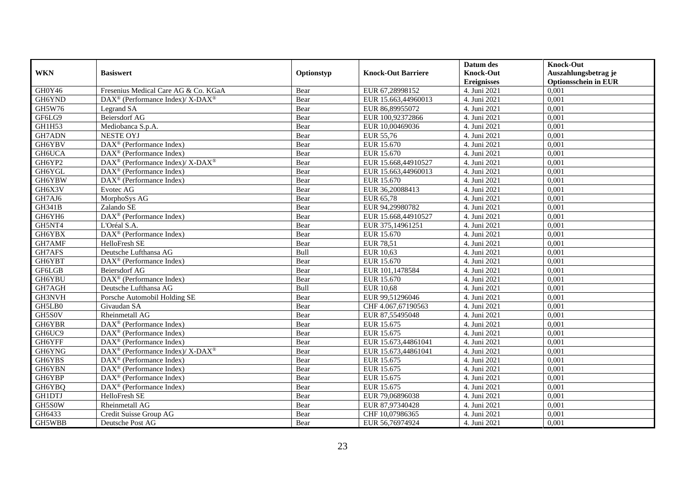|               |                                                                                                 |            |                           | Datum des          | <b>Knock-Out</b>            |
|---------------|-------------------------------------------------------------------------------------------------|------------|---------------------------|--------------------|-----------------------------|
| <b>WKN</b>    | <b>Basiswert</b>                                                                                | Optionstyp | <b>Knock-Out Barriere</b> | <b>Knock-Out</b>   | Auszahlungsbetrag je        |
|               |                                                                                                 |            |                           | <b>Ereignisses</b> | <b>Optionsschein in EUR</b> |
| GH0Y46        | Fresenius Medical Care AG & Co. KGaA                                                            | Bear       | EUR 67,28998152           | 4. Juni 2021       | 0,001                       |
| GH6YND        | $\text{DAX}^{\circledast}$ (Performance Index)/ X-DAX <sup>®</sup>                              | Bear       | EUR 15.663,44960013       | 4. Juni 2021       | 0,001                       |
| GH5W76        | Legrand SA                                                                                      | Bear       | EUR 86,89955072           | 4. Juni 2021       | 0,001                       |
| GF6LG9        | <b>Beiersdorf AG</b>                                                                            | Bear       | EUR 100,92372866          | 4. Juni 2021       | 0.001                       |
| GH1H53        | Mediobanca S.p.A.                                                                               | Bear       | EUR 10,00469036           | 4. Juni 2021       | 0,001                       |
| GH7ADN        | <b>NESTE OYJ</b>                                                                                | Bear       | EUR 55,76                 | 4. Juni 2021       | 0,001                       |
| <b>GH6YBV</b> | DAX <sup>®</sup> (Performance Index)                                                            | Bear       | EUR 15.670                | 4. Juni 2021       | 0,001                       |
| GH6UCA        | $\overline{\text{DAX}^{\otimes}}$ (Performance Index)                                           | Bear       | EUR 15.670                | 4. Juni 2021       | 0,001                       |
| GH6YP2        | $\text{DAX}^{\textcircled{p}}$ (Performance Index)/ $\overline{\text{X-DAX}^{\textcircled{p}}}$ | Bear       | EUR 15.668,44910527       | 4. Juni 2021       | 0,001                       |
| GH6YGL        | $\text{DAX}^{\otimes}$ (Performance Index)                                                      | Bear       | EUR 15.663,44960013       | 4. Juni 2021       | 0,001                       |
| GH6YBW        | $\overline{\text{DAX}}^{\textcirc}$ (Performance Index)                                         | Bear       | EUR 15.670                | 4. Juni 2021       | 0.001                       |
| GH6X3V        | Evotec AG                                                                                       | Bear       | EUR 36,20088413           | 4. Juni 2021       | 0,001                       |
| GH7AJ6        | MorphoSys AG                                                                                    | Bear       | EUR 65,78                 | 4. Juni 2021       | 0,001                       |
| <b>GH341B</b> | Zalando SE                                                                                      | Bear       | EUR 94,29980782           | 4. Juni 2021       | 0,001                       |
| GH6YH6        | DAX <sup>®</sup> (Performance Index)                                                            | Bear       | EUR 15.668,44910527       | 4. Juni 2021       | 0,001                       |
| GH5NT4        | L'Oréal S.A.                                                                                    | Bear       | EUR 375,14961251          | 4. Juni 2021       | 0,001                       |
| GH6YBX        | DAX <sup>®</sup> (Performance Index)                                                            | Bear       | EUR 15.670                | 4. Juni 2021       | 0,001                       |
| GH7AMF        | HelloFresh SE                                                                                   | Bear       | <b>EUR 78.51</b>          | 4. Juni 2021       | 0,001                       |
| GH7AFS        | Deutsche Lufthansa AG                                                                           | Bull       | EUR 10,63                 | 4. Juni 2021       | 0,001                       |
| GH6YBT        | DAX <sup>®</sup> (Performance Index)                                                            | Bear       | EUR 15.670                | 4. Juni 2021       | 0,001                       |
| GF6LGB        | Beiersdorf AG                                                                                   | Bear       | EUR 101,1478584           | 4. Juni 2021       | 0,001                       |
| GH6YBU        | DAX <sup>®</sup> (Performance Index)                                                            | Bear       | EUR 15.670                | 4. Juni 2021       | 0,001                       |
| GH7AGH        | Deutsche Lufthansa AG                                                                           | Bull       | EUR 10,68                 | 4. Juni 2021       | 0,001                       |
| GH3NVH        | Porsche Automobil Holding SE                                                                    | Bear       | EUR 99,51296046           | 4. Juni 2021       | 0,001                       |
| GH5LB0        | Givaudan SA                                                                                     | Bear       | CHF 4.067,67190563        | 4. Juni 2021       | 0.001                       |
| GH5S0V        | Rheinmetall AG                                                                                  | Bear       | EUR 87,55495048           | 4. Juni 2021       | 0,001                       |
| GH6YBR        | DAX <sup>®</sup> (Performance Index)                                                            | Bear       | EUR 15.675                | 4. Juni 2021       | 0,001                       |
| GH6UC9        | $\text{DAX}^{\textcircled{D}}$ (Performance Index)                                              | Bear       | EUR 15.675                | 4. Juni 2021       | 0,001                       |
| GH6YFF        | $\text{DAX}^{\textcircled{D}}$ (Performance Index)                                              | Bear       | EUR 15.673,44861041       | 4. Juni 2021       | 0,001                       |
| GH6YNG        | DAX <sup>®</sup> (Performance Index)/X-DAX <sup>®</sup>                                         | Bear       | EUR 15.673,44861041       | 4. Juni 2021       | 0,001                       |
| GH6YBS        | $\text{DAX}^{\textcircled{n}}$ (Performance Index)                                              | Bear       | EUR 15.675                | 4. Juni 2021       | 0,001                       |
| GH6YBN        | $DAX^{\circledR}$ (Performance Index)                                                           | Bear       | EUR 15.675                | 4. Juni 2021       | 0.001                       |
| GH6YBP        | $\text{DAX}^{\textcircled{p}}$ (Performance Index)                                              | Bear       | EUR 15.675                | 4. Juni 2021       | 0,001                       |
| GH6YBQ        | $\overline{\text{DAX}^{\otimes}}$ (Performance Index)                                           | Bear       | EUR 15.675                | 4. Juni 2021       | 0,001                       |
| <b>GH1DTJ</b> | HelloFresh SE                                                                                   | Bear       | EUR 79,06896038           | 4. Juni 2021       | 0,001                       |
| GH5S0W        | Rheinmetall AG                                                                                  | Bear       | EUR 87,97340428           | 4. Juni 2021       | 0,001                       |
| GH6433        | Credit Suisse Group AG                                                                          | Bear       | CHF 10,07986365           | 4. Juni 2021       | 0,001                       |
| GH5WBB        | Deutsche Post AG                                                                                | Bear       | EUR 56,76974924           | 4. Juni 2021       | 0,001                       |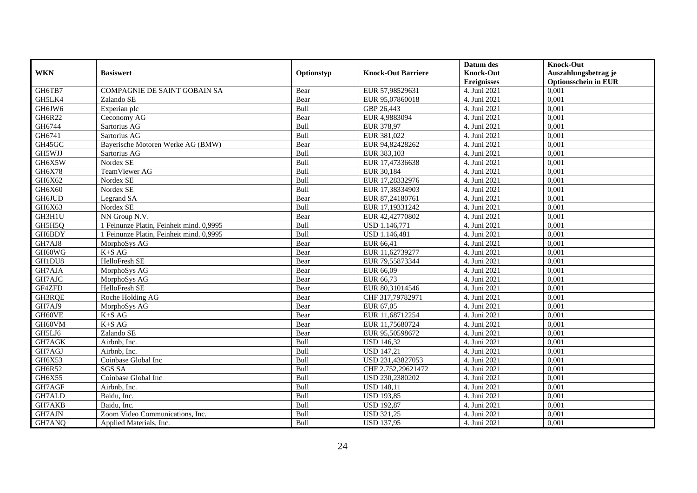|               |                                          |            |                           | Datum des          | <b>Knock-Out</b>            |
|---------------|------------------------------------------|------------|---------------------------|--------------------|-----------------------------|
| <b>WKN</b>    | <b>Basiswert</b>                         | Optionstyp | <b>Knock-Out Barriere</b> | <b>Knock-Out</b>   | Auszahlungsbetrag je        |
|               |                                          |            |                           | <b>Ereignisses</b> | <b>Optionsschein in EUR</b> |
| GH6TB7        | COMPAGNIE DE SAINT GOBAIN SA             | Bear       | EUR 57,98529631           | 4. Juni 2021       | 0,001                       |
| GH5LK4        | Zalando SE                               | Bear       | EUR 95,07860018           | 4. Juni 2021       | 0,001                       |
| GH6JW6        | Experian plc                             | Bull       | GBP 26,443                | 4. Juni 2021       | 0,001                       |
| GH6R22        | Ceconomy AG                              | Bear       | EUR 4,9883094             | 4. Juni 2021       | 0,001                       |
| GH6744        | Sartorius AG                             | Bull       | EUR 378,97                | 4. Juni 2021       | 0,001                       |
| GH6741        | Sartorius AG                             | Bull       | EUR 381,022               | 4. Juni 2021       | 0,001                       |
| GH45GC        | Bayerische Motoren Werke AG (BMW)        | Bear       | EUR 94,82428262           | 4. Juni 2021       | 0,001                       |
| GH5WJJ        | Sartorius AG                             | Bull       | EUR 383,103               | 4. Juni 2021       | 0,001                       |
| GH6X5W        | Nordex SE                                | Bull       | EUR 17,47336638           | 4. Juni 2021       | 0,001                       |
| <b>GH6X78</b> | TeamViewer AG                            | Bull       | EUR 30,184                | 4. Juni 2021       | 0,001                       |
| GH6X62        | Nordex SE                                | Bull       | EUR 17,28332976           | 4. Juni 2021       | 0,001                       |
| GH6X60        | Nordex SE                                | Bull       | EUR 17,38334903           | 4. Juni 2021       | 0,001                       |
| GH6JUD        | Legrand SA                               | Bear       | EUR 87,24180761           | 4. Juni 2021       | 0,001                       |
| GH6X63        | Nordex SE                                | Bull       | EUR 17,19331242           | 4. Juni 2021       | 0.001                       |
| GH3H1U        | NN Group N.V.                            | Bear       | EUR 42,42770802           | 4. Juni 2021       | 0,001                       |
| GH5H5Q        | 1 Feinunze Platin, Feinheit mind. 0,9995 | Bull       | USD 1.146,771             | 4. Juni 2021       | 0,001                       |
| GH6BDY        | 1 Feinunze Platin, Feinheit mind. 0,9995 | Bull       | USD 1.146,481             | 4. Juni 2021       | 0,001                       |
| GH7AJ8        | MorphoSys AG                             | Bear       | EUR 66,41                 | 4. Juni 2021       | 0,001                       |
| GH60WG        | $K+SAG$                                  | Bear       | EUR 11,62739277           | 4. Juni 2021       | 0,001                       |
| GH1DU8        | HelloFresh SE                            | Bear       | EUR 79,55873344           | 4. Juni 2021       | 0,001                       |
| GH7AJA        | MorphoSys AG                             | Bear       | EUR 66,09                 | 4. Juni 2021       | 0,001                       |
| GH7AJC        | MorphoSys AG                             | Bear       | EUR 66,73                 | 4. Juni 2021       | 0.001                       |
| GF4ZFD        | HelloFresh SE                            | Bear       | EUR 80,31014546           | 4. Juni 2021       | 0,001                       |
| GH3RQE        | Roche Holding AG                         | Bear       | CHF 317,79782971          | 4. Juni 2021       | 0,001                       |
| GH7AJ9        | MorphoSys AG                             | Bear       | EUR 67,05                 | 4. Juni 2021       | 0,001                       |
| GH60VE        | $K+SAG$                                  | Bear       | EUR 11,68712254           | 4. Juni 2021       | 0,001                       |
| GH60VM        | $K+SAG$                                  | Bear       | EUR 11,75680724           | 4. Juni 2021       | 0,001                       |
| GH5LJ6        | Zalando SE                               | Bear       | EUR 95,50598672           | 4. Juni 2021       | 0,001                       |
| GH7AGK        | Airbnb, Inc.                             | Bull       | <b>USD 146,32</b>         | 4. Juni 2021       | 0,001                       |
| GH7AGJ        | Airbnb, Inc.                             | Bull       | <b>USD 147,21</b>         | 4. Juni 2021       | 0,001                       |
| GH6X53        | Coinbase Global Inc                      | Bull       | USD 231,43827053          | 4. Juni 2021       | 0,001                       |
| GH6R52        | <b>SGS SA</b>                            | Bull       | CHF 2.752,29621472        | 4. Juni 2021       | 0,001                       |
| GH6X55        | Coinbase Global Inc                      | Bull       | USD 230,2380202           | 4. Juni 2021       | 0,001                       |
| GH7AGF        | $A$ irbnb, Inc.                          | Bull       | <b>USD 148,11</b>         | 4. Juni 2021       | 0,001                       |
| GH7ALD        | Baidu, Inc.                              | Bull       | <b>USD 193,85</b>         | 4. Juni 2021       | 0,001                       |
| GH7AKB        | Baidu, Inc.                              | Bull       | <b>USD 192,87</b>         | 4. Juni 2021       | 0,001                       |
| GH7AJN        | Zoom Video Communications, Inc.          | Bull       | <b>USD 321,25</b>         | 4. Juni 2021       | 0,001                       |
| GH7ANQ        | Applied Materials, Inc.                  | Bull       | <b>USD 137,95</b>         | 4. Juni 2021       | 0,001                       |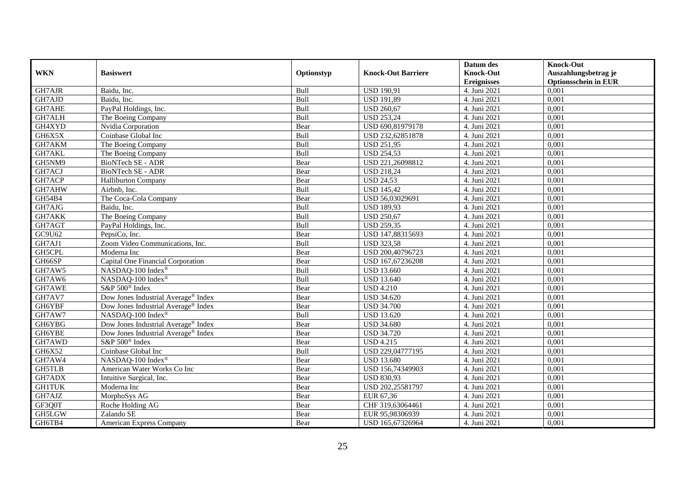|               |                                                 |            |                           | Datum des          | <b>Knock-Out</b>            |
|---------------|-------------------------------------------------|------------|---------------------------|--------------------|-----------------------------|
| <b>WKN</b>    | <b>Basiswert</b>                                | Optionstyp | <b>Knock-Out Barriere</b> | <b>Knock-Out</b>   | Auszahlungsbetrag je        |
|               |                                                 |            |                           | <b>Ereignisses</b> | <b>Optionsschein in EUR</b> |
| GH7AJR        | Baidu, Inc.                                     | Bull       | <b>USD 190,91</b>         | 4. Juni 2021       | 0,001                       |
| GH7AJD        | Baidu, Inc.                                     | Bull       | <b>USD 191,89</b>         | 4. Juni 2021       | 0,001                       |
| GH7AHE        | PayPal Holdings, Inc.                           | Bull       | <b>USD 260,67</b>         | 4. Juni 2021       | 0,001                       |
| GH7ALH        | The Boeing Company                              | Bull       | <b>USD 253,24</b>         | 4. Juni 2021       | 0,001                       |
| GH4XYD        | Nvidia Corporation                              | Bear       | USD 690,81979178          | 4. Juni 2021       | 0,001                       |
| GH6X5X        | Coinbase Global Inc                             | Bull       | USD 232,62851878          | 4. Juni 2021       | 0,001                       |
| GH7AKM        | The Boeing Company                              | Bull       | <b>USD 251,95</b>         | 4. Juni 2021       | 0,001                       |
| GH7AKL        | The Boeing Company                              | Bull       | <b>USD 254,53</b>         | 4. Juni 2021       | 0,001                       |
| GH5NM9        | <b>BioNTech SE - ADR</b>                        | Bear       | USD 221,26098812          | 4. Juni 2021       | 0,001                       |
| GH7ACJ        | BioNTech SE - ADR                               | Bear       | <b>USD 218,24</b>         | 4. Juni 2021       | 0,001                       |
| GH7ACP        | <b>Halliburton Company</b>                      | Bear       | <b>USD 24,53</b>          | 4. Juni 2021       | 0,001                       |
| GH7AHW        | Airbnb, Inc.                                    | Bull       | <b>USD 145,42</b>         | 4. Juni 2021       | 0,001                       |
| GH54B4        | The Coca-Cola Company                           | Bear       | USD 56,03029691           | 4. Juni 2021       | 0,001                       |
| GH7AJG        | Baidu, Inc.                                     | Bull       | <b>USD 189,93</b>         | 4. Juni 2021       | 0,001                       |
| GH7AKK        | The Boeing Company                              | Bull       | <b>USD 250,67</b>         | 4. Juni 2021       | 0,001                       |
| GH7AGT        | PayPal Holdings, Inc.                           | Bull       | <b>USD 259,35</b>         | 4. Juni 2021       | 0,001                       |
| GC9U62        | PepsiCo, Inc.                                   | Bear       | USD 147,88315693          | 4. Juni 2021       | 0,001                       |
| GH7AJ1        | Zoom Video Communications, Inc.                 | Bull       | <b>USD 323,58</b>         | 4. Juni 2021       | 0,001                       |
| GH5CPL        | Moderna Inc                                     | Bear       | USD 200,40796723          | 4. Juni 2021       | 0,001                       |
| GH66SP        | Capital One Financial Corporation               | Bear       | USD 167,67236208          | 4. Juni 2021       | 0,001                       |
| GH7AW5        | NASDAQ-100 Index®                               | Bull       | <b>USD 13.660</b>         | 4. Juni 2021       | 0,001                       |
| GH7AW6        | NASDAQ-100 Index®                               | Bull       | <b>USD 13.640</b>         | 4. Juni 2021       | 0.001                       |
| GH7AWE        | S&P 500 <sup>®</sup> Index                      | Bear       | <b>USD 4.210</b>          | 4. Juni 2021       | 0,001                       |
| GH7AV7        | Dow Jones Industrial Average® Index             | Bear       | <b>USD 34.620</b>         | 4. Juni 2021       | 0,001                       |
| GH6YBF        | Dow Jones Industrial Average <sup>®</sup> Index | Bear       | <b>USD 34.700</b>         | 4. Juni 2021       | 0,001                       |
| GH7AW7        | NASDAQ-100 Index®                               | Bull       | <b>USD 13.620</b>         | 4. Juni 2021       | 0,001                       |
| GH6YBG        | Dow Jones Industrial Average <sup>®</sup> Index | Bear       | <b>USD 34.680</b>         | 4. Juni 2021       | 0,001                       |
| GH6YBE        | Dow Jones Industrial Average <sup>®</sup> Index | Bear       | <b>USD 34.720</b>         | 4. Juni 2021       | 0,001                       |
| GH7AWD        | S&P 500 <sup>®</sup> Index                      | Bear       | <b>USD 4.215</b>          | 4. Juni 2021       | 0,001                       |
| GH6X52        | Coinbase Global Inc                             | Bull       | USD 229,04777195          | 4. Juni 2021       | 0.001                       |
| GH7AW4        | NASDAO-100 Index®                               | Bear       | <b>USD 13.680</b>         | 4. Juni 2021       | 0,001                       |
| <b>GH5TLB</b> | American Water Works Co Inc                     | Bear       | USD 156,74349903          | 4. Juni 2021       | 0,001                       |
| GH7ADX        | Intuitive Surgical, Inc.                        | Bear       | <b>USD 830,93</b>         | 4. Juni 2021       | 0,001                       |
| <b>GH1TUK</b> | Moderna Inc                                     | Bear       | USD 202,25581797          | 4. Juni 2021       | 0,001                       |
| GH7AJZ        | MorphoSys AG                                    | Bear       | EUR 67,36                 | 4. Juni 2021       | 0,001                       |
| GF3Q0T        | Roche Holding AG                                | Bear       | CHF 319,63064461          | 4. Juni 2021       | 0,001                       |
| GH5LGW        | Zalando SE                                      | Bear       | EUR 95,98306939           | 4. Juni 2021       | 0,001                       |
| GH6TB4        | American Express Company                        | Bear       | USD 165,67326964          | 4. Juni 2021       | 0,001                       |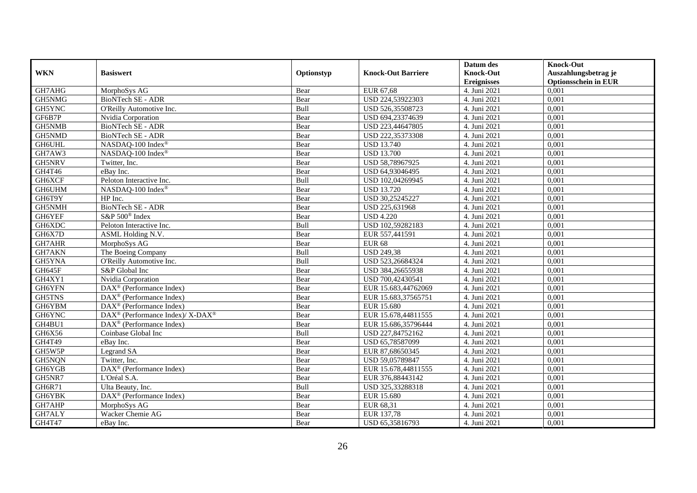|               |                                                            |            |                           | Datum des          | <b>Knock-Out</b>            |
|---------------|------------------------------------------------------------|------------|---------------------------|--------------------|-----------------------------|
| <b>WKN</b>    | <b>Basiswert</b>                                           | Optionstyp | <b>Knock-Out Barriere</b> | <b>Knock-Out</b>   | Auszahlungsbetrag je        |
|               |                                                            |            |                           | <b>Ereignisses</b> | <b>Optionsschein in EUR</b> |
| GH7AHG        | MorphoSys AG                                               | Bear       | EUR 67,68                 | 4. Juni 2021       | 0,001                       |
| GH5NMG        | <b>BioNTech SE - ADR</b>                                   | Bear       | USD 224,53922303          | 4. Juni 2021       | 0,001                       |
| GH5YNC        | O'Reilly Automotive Inc.                                   | Bull       | USD 526,35508723          | 4. Juni 2021       | 0,001                       |
| GF6B7P        | Nvidia Corporation                                         | Bear       | USD 694,23374639          | 4. Juni 2021       | 0,001                       |
| GH5NMB        | BioNTech SE - ADR                                          | Bear       | USD 223,44647805          | 4. Juni 2021       | 0,001                       |
| GH5NMD        | <b>BioNTech SE - ADR</b>                                   | Bear       | USD 222,35373308          | 4. Juni 2021       | 0,001                       |
| <b>GH6UHL</b> | NASDAQ-100 Index®                                          | Bear       | <b>USD 13.740</b>         | 4. Juni 2021       | 0,001                       |
| GH7AW3        | NASDAQ-100 Index®                                          | Bear       | <b>USD 13.700</b>         | 4. Juni 2021       | 0,001                       |
| GH5NRV        | Twitter, Inc.                                              | Bear       | USD 58,78967925           | 4. Juni 2021       | 0,001                       |
| GH4T46        | eBav Inc.                                                  | Bear       | USD 64,93046495           | 4. Juni 2021       | 0,001                       |
| <b>GH6XCF</b> | Peloton Interactive Inc.                                   | Bull       | USD 102,04269945          | 4. Juni 2021       | 0,001                       |
| GH6UHM        | NASDAQ-100 Index®                                          | Bear       | <b>USD 13.720</b>         | 4. Juni 2021       | 0,001                       |
| GH6T9Y        | HP Inc.                                                    | Bear       | USD 30,25245227           | 4. Juni 2021       | 0,001                       |
| GH5NMH        | <b>BioNTech SE - ADR</b>                                   | Bear       | USD 225,631968            | 4. Juni 2021       | 0.001                       |
| GH6YEF        | S&P 500 <sup>®</sup> Index                                 | Bear       | <b>USD 4.220</b>          | 4. Juni 2021       | 0,001                       |
| GH6XDC        | Peloton Interactive Inc.                                   | Bull       | USD 102,59282183          | 4. Juni 2021       | 0,001                       |
| GH6X7D        | ASML Holding N.V.                                          | Bear       | EUR 557,441591            | 4. Juni 2021       | 0,001                       |
| GH7AHR        | MorphoSys AG                                               | Bear       | <b>EUR 68</b>             | 4. Juni 2021       | 0,001                       |
| GH7AKN        | The Boeing Company                                         | Bull       | <b>USD 249,38</b>         | 4. Juni 2021       | 0,001                       |
| GH5YNA        | O'Reilly Automotive Inc.                                   | Bull       | USD 523,26684324          | 4. Juni 2021       | 0,001                       |
| GH645F        | S&P Global Inc                                             | Bear       | USD 384,26655938          | 4. Juni 2021       | 0,001                       |
| GH4XY1        | Nvidia Corporation                                         | Bear       | USD 700,42430541          | 4. Juni 2021       | 0,001                       |
| GH6YFN        | $\overline{\text{DAX}}^{\textcirc}$ (Performance Index)    | Bear       | EUR 15.683,44762069       | 4. Juni 2021       | 0,001                       |
| <b>GH5TNS</b> | $\text{DAX}^{\textcircled{p}}$ (Performance Index)         | Bear       | EUR 15.683,37565751       | 4. Juni 2021       | 0,001                       |
| GH6YBM        | $\text{DAX}^{\textcircled{p}}$ (Performance Index)         | Bear       | EUR 15.680                | 4. Juni 2021       | 0,001                       |
| GH6YNC        | $DAX^{\circledast}$ (Performance Index)/X-DAX <sup>®</sup> | Bear       | EUR 15.678,44811555       | 4. Juni 2021       | 0,001                       |
| GH4BU1        | $\overline{\text{DAX}^{\otimes}}$ (Performance Index)      | Bear       | EUR 15.686,35796444       | 4. Juni 2021       | 0,001                       |
| GH6X56        | Coinbase Global Inc                                        | Bull       | USD 227,84752162          | 4. Juni 2021       | 0,001                       |
| GH4T49        | eBay Inc.                                                  | Bear       | USD 65,78587099           | 4. Juni 2021       | 0,001                       |
| GH5W5P        | Legrand SA                                                 | Bear       | EUR 87,68650345           | 4. Juni 2021       | 0,001                       |
| GH5NQN        | Twitter, Inc.                                              | Bear       | USD 59,05789847           | 4. Juni 2021       | 0,001                       |
| GH6YGB        | DAX <sup>®</sup> (Performance Index)                       | Bear       | EUR 15.678,44811555       | 4. Juni 2021       | 0,001                       |
| GH5NR7        | L'Oréal S.A.                                               | Bear       | EUR 376,88443142          | 4. Juni 2021       | 0,001                       |
| GH6R71        | Ulta Beauty, Inc.                                          | Bull       | USD 325,33288318          | 4. Juni 2021       | 0,001                       |
| GH6YBK        | $\text{DAX}^{\circledast}$ (Performance Index)             | Bear       | EUR 15.680                | 4. Juni 2021       | 0,001                       |
| GH7AHP        | MorphoSys AG                                               | Bear       | EUR 68,31                 | 4. Juni 2021       | 0,001                       |
| GH7ALY        | Wacker Chemie AG                                           | Bear       | EUR 137,78                | 4. Juni 2021       | 0,001                       |
| GH4T47        | eBay Inc.                                                  | Bear       | USD 65,35816793           | 4. Juni 2021       | 0,001                       |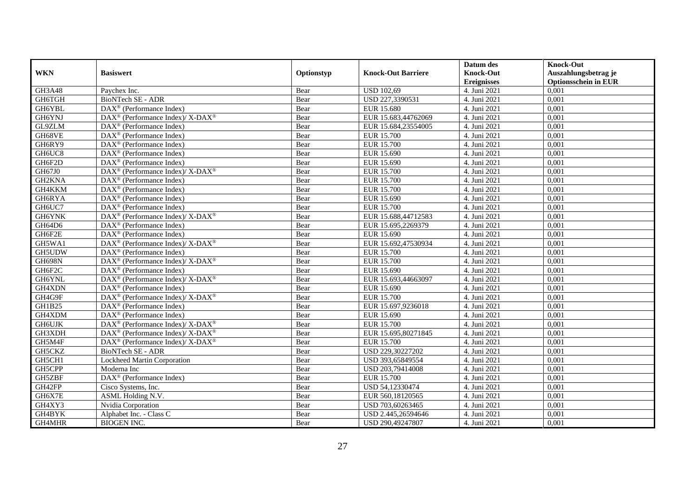|               |                                                                  |            |                           | Datum des          | <b>Knock-Out</b>            |
|---------------|------------------------------------------------------------------|------------|---------------------------|--------------------|-----------------------------|
| <b>WKN</b>    | <b>Basiswert</b>                                                 | Optionstyp | <b>Knock-Out Barriere</b> | <b>Knock-Out</b>   | Auszahlungsbetrag je        |
|               |                                                                  |            |                           | <b>Ereignisses</b> | <b>Optionsschein in EUR</b> |
| GH3A48        | Paychex Inc.                                                     | Bear       | <b>USD 102,69</b>         | 4. Juni 2021       | 0,001                       |
| GH6TGH        | <b>BioNTech SE - ADR</b>                                         | Bear       | USD 227,3390531           | 4. Juni 2021       | 0,001                       |
| GH6YBL        | $\text{DAX}^{\circledast}$ (Performance Index)                   | Bear       | EUR 15.680                | 4. Juni 2021       | 0,001                       |
| GH6YNJ        | $DAX^{\circledcirc}$ (Performance Index)/X-DAX <sup>®</sup>      | Bear       | EUR 15.683,44762069       | 4. Juni 2021       | 0.001                       |
| GL9ZLM        | DAX <sup>®</sup> (Performance Index)                             | Bear       | EUR 15.684,23554005       | 4. Juni 2021       | 0,001                       |
| GH68VE        | $\text{DAX}^{\textcircled{p}}$ (Performance Index)               | Bear       | <b>EUR 15.700</b>         | 4. Juni 2021       | 0,001                       |
| GH6RY9        | $DAX^{\otimes}$ (Performance Index)                              | Bear       | <b>EUR 15.700</b>         | 4. Juni 2021       | 0,001                       |
| GH6UC8        | $\text{DAX}^{\textcircled{n}}$ (Performance Index)               | Bear       | EUR 15.690                | 4. Juni 2021       | 0,001                       |
| GH6F2D        | $\text{DAX}^{\textcircled{n}}$ (Performance Index)               | Bear       | EUR 15.690                | 4. Juni 2021       | 0,001                       |
| GH67J0        | DAX <sup>®</sup> (Performance Index)/ X-DAX <sup>®</sup>         | Bear       | <b>EUR 15.700</b>         | 4. Juni 2021       | 0,001                       |
| GH2KNA        | $\overline{\text{DAX}}^{\textcirc}$ (Performance Index)          | Bear       | <b>EUR 15.700</b>         | 4. Juni 2021       | 0,001                       |
| GH4KKM        | DAX <sup>®</sup> (Performance Index)                             | Bear       | <b>EUR 15.700</b>         | 4. Juni 2021       | 0,001                       |
| GH6RYA        | DAX <sup>®</sup> (Performance Index)                             | Bear       | EUR 15.690                | 4. Juni 2021       | 0,001                       |
| GH6UC7        | $DAX^{\circledR}$ (Performance Index)                            | Bear       | <b>EUR 15.700</b>         | 4. Juni 2021       | 0,001                       |
| GH6YNK        | $DAX^{\circledast}$ (Performance Index)/X-DAX <sup>®</sup>       | Bear       | EUR 15.688,44712583       | 4. Juni 2021       | 0,001                       |
| GH64D6        | $\text{DAX}^{\circledast}$ (Performance Index)                   | Bear       | EUR 15.695,2269379        | 4. Juni 2021       | 0,001                       |
| GH6F2E        | DAX <sup>®</sup> (Performance Index)                             | Bear       | EUR 15.690                | 4. Juni 2021       | 0,001                       |
| GH5WA1        | $DAX^{\circledcirc}$ (Performance Index)/X-DAX <sup>®</sup>      | Bear       | EUR 15.692,47530934       | 4. Juni 2021       | 0,001                       |
| GH5UDW        | DAX <sup>®</sup> (Performance Index)                             | Bear       | <b>EUR 15.700</b>         | 4. Juni 2021       | 0,001                       |
| <b>GH698N</b> | $\text{DAX}^{\circledR}$ (Performance Index)/ X-DAX <sup>®</sup> | Bear       | <b>EUR 15.700</b>         | 4. Juni 2021       | 0,001                       |
| GH6F2C        | $\overline{\text{DAX}^{\otimes}}$ (Performance Index)            | Bear       | EUR 15.690                | 4. Juni 2021       | 0,001                       |
| GH6YNL        | $\text{DAX}^{\circledR}$ (Performance Index)/ X-DAX <sup>®</sup> | Bear       | EUR 15.693,44663097       | 4. Juni 2021       | 0,001                       |
| GH4XDN        | DAX <sup>®</sup> (Performance Index)                             | Bear       | EUR 15.690                | 4. Juni 2021       | 0,001                       |
| GH4G9F        | $\text{DAX}^{\circledR}$ (Performance Index)/ X-DAX <sup>®</sup> | Bear       | <b>EUR 15.700</b>         | 4. Juni 2021       | 0,001                       |
| GH1B25        | $\overline{\text{DAX}^{\otimes}}$ (Performance Index)            | Bear       | EUR 15.697.9236018        | 4. Juni 2021       | 0.001                       |
| GH4XDM        | DAX <sup>®</sup> (Performance Index)                             | Bear       | EUR 15.690                | 4. Juni 2021       | 0,001                       |
| <b>GH6UJK</b> | DAX <sup>®</sup> (Performance Index)/ X-DAX <sup>®</sup>         | Bear       | <b>EUR 15.700</b>         | 4. Juni 2021       | 0,001                       |
| GH3XDH        | $\text{DAX}^{\circledR}$ (Performance Index)/ X-DAX <sup>®</sup> | Bear       | EUR 15.695,80271845       | 4. Juni 2021       | 0,001                       |
| GH5M4F        | $\text{DAX}^{\circledR}$ (Performance Index)/ X-DAX <sup>®</sup> | Bear       | <b>EUR 15.700</b>         | 4. Juni 2021       | 0,001                       |
| GH5CKZ        | BioNTech SE - ADR                                                | Bear       | USD 229,30227202          | 4. Juni 2021       | 0,001                       |
| GH5CH1        | Lockheed Martin Corporation                                      | Bear       | USD 393,65849554          | 4. Juni 2021       | 0,001                       |
| GH5CPP        | Moderna Inc                                                      | Bear       | USD 203,79414008          | 4. Juni 2021       | 0.001                       |
| GH5ZBF        | DAX <sup>®</sup> (Performance Index)                             | Bear       | <b>EUR 15.700</b>         | 4. Juni 2021       | 0,001                       |
| GH42FP        | Cisco Systems, Inc.                                              | Bear       | USD 54,12330474           | 4. Juni 2021       | 0,001                       |
| GH6X7E        | ASML Holding N.V.                                                | Bear       | EUR 560,18120565          | 4. Juni 2021       | 0,001                       |
| GH4XY3        | Nvidia Corporation                                               | Bear       | USD 703,60263465          | 4. Juni 2021       | 0,001                       |
| GH4BYK        | Alphabet Inc. - Class C                                          | Bear       | USD 2.445,26594646        | 4. Juni 2021       | 0,001                       |
| GH4MHR        | <b>BIOGEN INC.</b>                                               | Bear       | USD 290,49247807          | 4. Juni 2021       | 0,001                       |